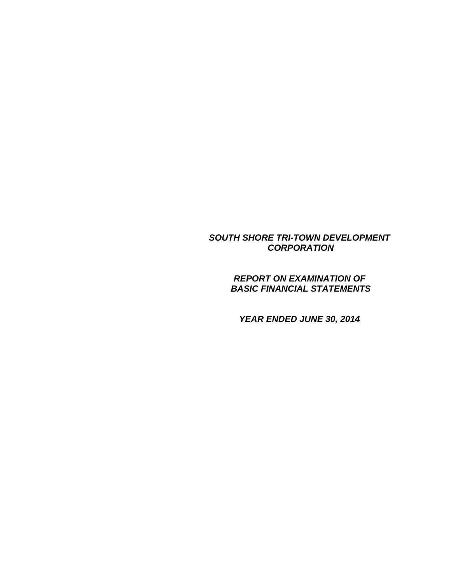### *SOUTH SHORE TRI-TOWN DEVELOPMENT CORPORATION*

### *REPORT ON EXAMINATION OF BASIC FINANCIAL STATEMENTS*

*YEAR ENDED JUNE 30, 2014*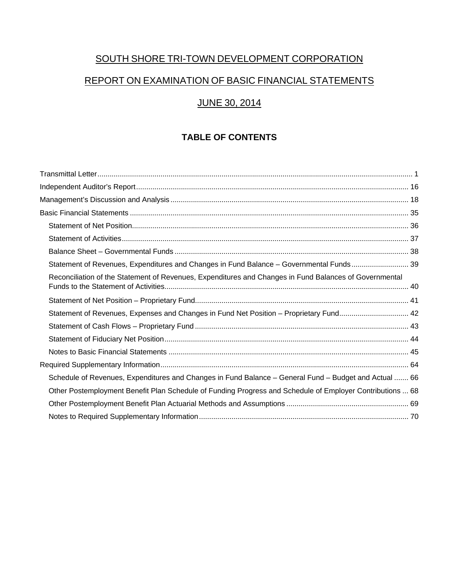### SOUTH SHORE TRI-TOWN DEVELOPMENT CORPORATION

### REPORT ON EXAMINATION OF BASIC FINANCIAL STATEMENTS

### JUNE 30, 2014

### **TABLE OF CONTENTS**

| Statement of Revenues, Expenditures and Changes in Fund Balance - Governmental Funds 39                   |  |
|-----------------------------------------------------------------------------------------------------------|--|
| Reconciliation of the Statement of Revenues, Expenditures and Changes in Fund Balances of Governmental    |  |
|                                                                                                           |  |
| Statement of Revenues, Expenses and Changes in Fund Net Position - Proprietary Fund 42                    |  |
|                                                                                                           |  |
|                                                                                                           |  |
|                                                                                                           |  |
|                                                                                                           |  |
| Schedule of Revenues, Expenditures and Changes in Fund Balance - General Fund - Budget and Actual  66     |  |
| Other Postemployment Benefit Plan Schedule of Funding Progress and Schedule of Employer Contributions  68 |  |
|                                                                                                           |  |
|                                                                                                           |  |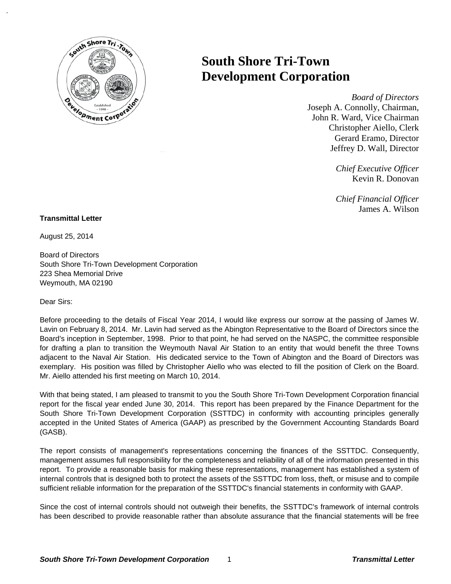

## **South Shore Tri-Town Development Corporation**

*Board of Directors*  Joseph A. Connolly, Chairman, John R. Ward, Vice Chairman Christopher Aiello, Clerk Gerard Eramo, Director Jeffrey D. Wall, Director

> *Chief Executive Officer*  Kevin R. Donovan

> *Chief Financial Officer*  James A. Wilson

### **Transmittal Letter**

August 25, 2014

Board of Directors South Shore Tri-Town Development Corporation 223 Shea Memorial Drive Weymouth, MA 02190

Dear Sirs:

Before proceeding to the details of Fiscal Year 2014, I would like express our sorrow at the passing of James W. Lavin on February 8, 2014. Mr. Lavin had served as the Abington Representative to the Board of Directors since the Board's inception in September, 1998. Prior to that point, he had served on the NASPC, the committee responsible for drafting a plan to transition the Weymouth Naval Air Station to an entity that would benefit the three Towns adjacent to the Naval Air Station. His dedicated service to the Town of Abington and the Board of Directors was exemplary. His position was filled by Christopher Aiello who was elected to fill the position of Clerk on the Board. Mr. Aiello attended his first meeting on March 10, 2014.

With that being stated, I am pleased to transmit to you the South Shore Tri-Town Development Corporation financial report for the fiscal year ended June 30, 2014. This report has been prepared by the Finance Department for the South Shore Tri-Town Development Corporation (SSTTDC) in conformity with accounting principles generally accepted in the United States of America (GAAP) as prescribed by the Government Accounting Standards Board (GASB).

The report consists of management's representations concerning the finances of the SSTTDC. Consequently, management assumes full responsibility for the completeness and reliability of all of the information presented in this report. To provide a reasonable basis for making these representations, management has established a system of internal controls that is designed both to protect the assets of the SSTTDC from loss, theft, or misuse and to compile sufficient reliable information for the preparation of the SSTTDC's financial statements in conformity with GAAP.

Since the cost of internal controls should not outweigh their benefits, the SSTTDC's framework of internal controls has been described to provide reasonable rather than absolute assurance that the financial statements will be free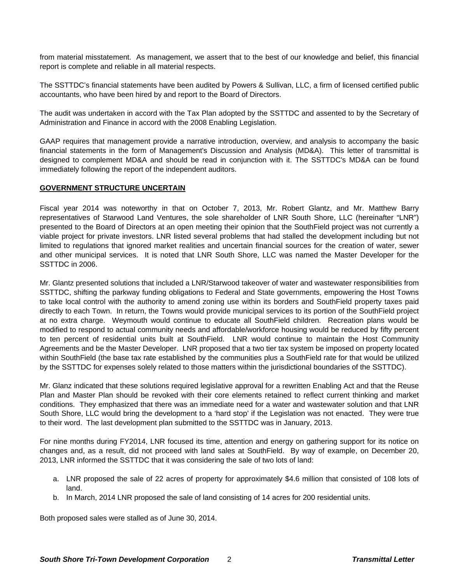from material misstatement. As management, we assert that to the best of our knowledge and belief, this financial report is complete and reliable in all material respects.

The SSTTDC's financial statements have been audited by Powers & Sullivan, LLC, a firm of licensed certified public accountants, who have been hired by and report to the Board of Directors.

The audit was undertaken in accord with the Tax Plan adopted by the SSTTDC and assented to by the Secretary of Administration and Finance in accord with the 2008 Enabling Legislation.

GAAP requires that management provide a narrative introduction, overview, and analysis to accompany the basic financial statements in the form of Management's Discussion and Analysis (MD&A). This letter of transmittal is designed to complement MD&A and should be read in conjunction with it. The SSTTDC's MD&A can be found immediately following the report of the independent auditors.

### **GOVERNMENT STRUCTURE UNCERTAIN**

Fiscal year 2014 was noteworthy in that on October 7, 2013, Mr. Robert Glantz, and Mr. Matthew Barry representatives of Starwood Land Ventures, the sole shareholder of LNR South Shore, LLC (hereinafter "LNR") presented to the Board of Directors at an open meeting their opinion that the SouthField project was not currently a viable project for private investors. LNR listed several problems that had stalled the development including but not limited to regulations that ignored market realities and uncertain financial sources for the creation of water, sewer and other municipal services. It is noted that LNR South Shore, LLC was named the Master Developer for the SSTTDC in 2006.

Mr. Glantz presented solutions that included a LNR/Starwood takeover of water and wastewater responsibilities from SSTTDC, shifting the parkway funding obligations to Federal and State governments, empowering the Host Towns to take local control with the authority to amend zoning use within its borders and SouthField property taxes paid directly to each Town. In return, the Towns would provide municipal services to its portion of the SouthField project at no extra charge. Weymouth would continue to educate all SouthField children. Recreation plans would be modified to respond to actual community needs and affordable/workforce housing would be reduced by fifty percent to ten percent of residential units built at SouthField. LNR would continue to maintain the Host Community Agreements and be the Master Developer. LNR proposed that a two tier tax system be imposed on property located within SouthField (the base tax rate established by the communities plus a SouthField rate for that would be utilized by the SSTTDC for expenses solely related to those matters within the jurisdictional boundaries of the SSTTDC).

Mr. Glanz indicated that these solutions required legislative approval for a rewritten Enabling Act and that the Reuse Plan and Master Plan should be revoked with their core elements retained to reflect current thinking and market conditions. They emphasized that there was an immediate need for a water and wastewater solution and that LNR South Shore, LLC would bring the development to a 'hard stop' if the Legislation was not enacted. They were true to their word. The last development plan submitted to the SSTTDC was in January, 2013.

For nine months during FY2014, LNR focused its time, attention and energy on gathering support for its notice on changes and, as a result, did not proceed with land sales at SouthField. By way of example, on December 20, 2013, LNR informed the SSTTDC that it was considering the sale of two lots of land:

- a. LNR proposed the sale of 22 acres of property for approximately \$4.6 million that consisted of 108 lots of land.
- b. In March, 2014 LNR proposed the sale of land consisting of 14 acres for 200 residential units.

Both proposed sales were stalled as of June 30, 2014.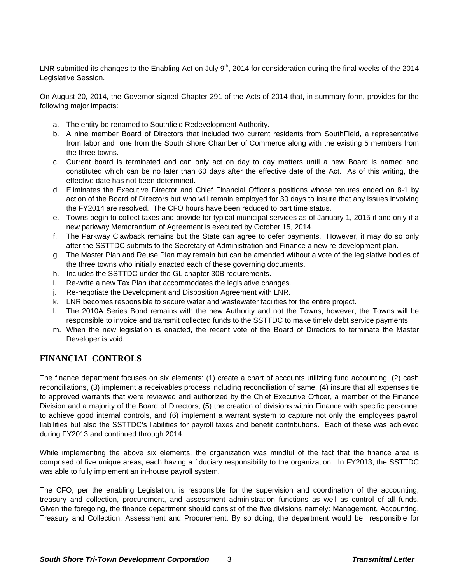LNR submitted its changes to the Enabling Act on July  $9<sup>th</sup>$ , 2014 for consideration during the final weeks of the 2014 Legislative Session.

On August 20, 2014, the Governor signed Chapter 291 of the Acts of 2014 that, in summary form, provides for the following major impacts:

- a. The entity be renamed to Southfield Redevelopment Authority.
- b. A nine member Board of Directors that included two current residents from SouthField, a representative from labor and one from the South Shore Chamber of Commerce along with the existing 5 members from the three towns.
- c. Current board is terminated and can only act on day to day matters until a new Board is named and constituted which can be no later than 60 days after the effective date of the Act. As of this writing, the effective date has not been determined.
- d. Eliminates the Executive Director and Chief Financial Officer's positions whose tenures ended on 8-1 by action of the Board of Directors but who will remain employed for 30 days to insure that any issues involving the FY2014 are resolved. The CFO hours have been reduced to part time status.
- e. Towns begin to collect taxes and provide for typical municipal services as of January 1, 2015 if and only if a new parkway Memorandum of Agreement is executed by October 15, 2014.
- f. The Parkway Clawback remains but the State can agree to defer payments. However, it may do so only after the SSTTDC submits to the Secretary of Administration and Finance a new re-development plan.
- g. The Master Plan and Reuse Plan may remain but can be amended without a vote of the legislative bodies of the three towns who initially enacted each of these governing documents.
- h. Includes the SSTTDC under the GL chapter 30B requirements.
- i. Re-write a new Tax Plan that accommodates the legislative changes.
- j. Re-negotiate the Development and Disposition Agreement with LNR.
- k. LNR becomes responsible to secure water and wastewater facilities for the entire project.
- l. The 2010A Series Bond remains with the new Authority and not the Towns, however, the Towns will be responsible to invoice and transmit collected funds to the SSTTDC to make timely debt service payments
- m. When the new legislation is enacted, the recent vote of the Board of Directors to terminate the Master Developer is void.

### **FINANCIAL CONTROLS**

The finance department focuses on six elements: (1) create a chart of accounts utilizing fund accounting, (2) cash reconciliations, (3) implement a receivables process including reconciliation of same, (4) insure that all expenses tie to approved warrants that were reviewed and authorized by the Chief Executive Officer, a member of the Finance Division and a majority of the Board of Directors, (5) the creation of divisions within Finance with specific personnel to achieve good internal controls, and (6) implement a warrant system to capture not only the employees payroll liabilities but also the SSTTDC's liabilities for payroll taxes and benefit contributions. Each of these was achieved during FY2013 and continued through 2014.

While implementing the above six elements, the organization was mindful of the fact that the finance area is comprised of five unique areas, each having a fiduciary responsibility to the organization. In FY2013, the SSTTDC was able to fully implement an in-house payroll system.

The CFO, per the enabling Legislation, is responsible for the supervision and coordination of the accounting, treasury and collection, procurement, and assessment administration functions as well as control of all funds. Given the foregoing, the finance department should consist of the five divisions namely: Management, Accounting, Treasury and Collection, Assessment and Procurement. By so doing, the department would be responsible for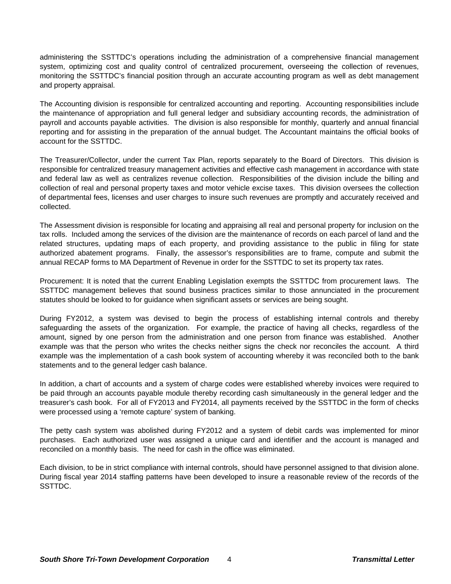administering the SSTTDC's operations including the administration of a comprehensive financial management system, optimizing cost and quality control of centralized procurement, overseeing the collection of revenues, monitoring the SSTTDC's financial position through an accurate accounting program as well as debt management and property appraisal.

The Accounting division is responsible for centralized accounting and reporting. Accounting responsibilities include the maintenance of appropriation and full general ledger and subsidiary accounting records, the administration of payroll and accounts payable activities. The division is also responsible for monthly, quarterly and annual financial reporting and for assisting in the preparation of the annual budget. The Accountant maintains the official books of account for the SSTTDC.

The Treasurer/Collector, under the current Tax Plan, reports separately to the Board of Directors. This division is responsible for centralized treasury management activities and effective cash management in accordance with state and federal law as well as centralizes revenue collection. Responsibilities of the division include the billing and collection of real and personal property taxes and motor vehicle excise taxes. This division oversees the collection of departmental fees, licenses and user charges to insure such revenues are promptly and accurately received and collected.

The Assessment division is responsible for locating and appraising all real and personal property for inclusion on the tax rolls. Included among the services of the division are the maintenance of records on each parcel of land and the related structures, updating maps of each property, and providing assistance to the public in filing for state authorized abatement programs. Finally, the assessor's responsibilities are to frame, compute and submit the annual RECAP forms to MA Department of Revenue in order for the SSTTDC to set its property tax rates.

Procurement: It is noted that the current Enabling Legislation exempts the SSTTDC from procurement laws. The SSTTDC management believes that sound business practices similar to those annunciated in the procurement statutes should be looked to for guidance when significant assets or services are being sought.

During FY2012, a system was devised to begin the process of establishing internal controls and thereby safeguarding the assets of the organization. For example, the practice of having all checks, regardless of the amount, signed by one person from the administration and one person from finance was established. Another example was that the person who writes the checks neither signs the check nor reconciles the account. A third example was the implementation of a cash book system of accounting whereby it was reconciled both to the bank statements and to the general ledger cash balance.

In addition, a chart of accounts and a system of charge codes were established whereby invoices were required to be paid through an accounts payable module thereby recording cash simultaneously in the general ledger and the treasurer's cash book. For all of FY2013 and FY2014, all payments received by the SSTTDC in the form of checks were processed using a 'remote capture' system of banking.

The petty cash system was abolished during FY2012 and a system of debit cards was implemented for minor purchases. Each authorized user was assigned a unique card and identifier and the account is managed and reconciled on a monthly basis. The need for cash in the office was eliminated.

Each division, to be in strict compliance with internal controls, should have personnel assigned to that division alone. During fiscal year 2014 staffing patterns have been developed to insure a reasonable review of the records of the SSTTDC.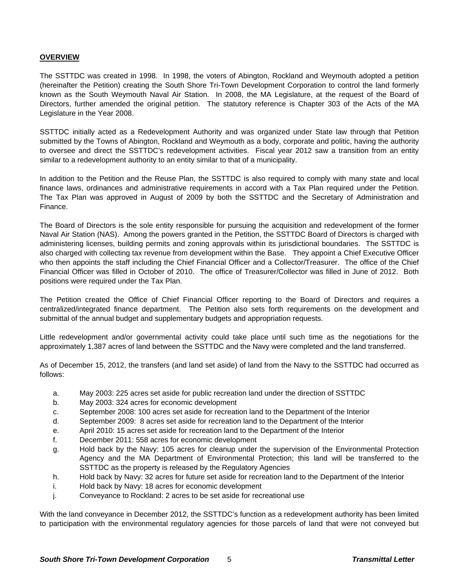### **OVERVIEW**

The SSTTDC was created in 1998. In 1998, the voters of Abington, Rockland and Weymouth adopted a petition (hereinafter the Petition) creating the South Shore Tri-Town Development Corporation to control the land formerly known as the South Weymouth Naval Air Station. In 2008, the MA Legislature, at the request of the Board of Directors, further amended the original petition. The statutory reference is Chapter 303 of the Acts of the MA Legislature in the Year 2008.

SSTTDC initially acted as a Redevelopment Authority and was organized under State law through that Petition submitted by the Towns of Abington, Rockland and Weymouth as a body, corporate and politic, having the authority to oversee and direct the SSTTDC's redevelopment activities. Fiscal year 2012 saw a transition from an entity similar to a redevelopment authority to an entity similar to that of a municipality.

In addition to the Petition and the Reuse Plan, the SSTTDC is also required to comply with many state and local finance laws, ordinances and administrative requirements in accord with a Tax Plan required under the Petition. The Tax Plan was approved in August of 2009 by both the SSTTDC and the Secretary of Administration and Finance.

The Board of Directors is the sole entity responsible for pursuing the acquisition and redevelopment of the former Naval Air Station (NAS). Among the powers granted in the Petition, the SSTTDC Board of Directors is charged with administering licenses, building permits and zoning approvals within its jurisdictional boundaries. The SSTTDC is also charged with collecting tax revenue from development within the Base. They appoint a Chief Executive Officer who then appoints the staff including the Chief Financial Officer and a Collector/Treasurer. The office of the Chief Financial Officer was filled in October of 2010. The office of Treasurer/Collector was filled in June of 2012. Both positions were required under the Tax Plan.

The Petition created the Office of Chief Financial Officer reporting to the Board of Directors and requires a centralized/integrated finance department. The Petition also sets forth requirements on the development and submittal of the annual budget and supplementary budgets and appropriation requests.

Little redevelopment and/or governmental activity could take place until such time as the negotiations for the approximately 1,387 acres of land between the SSTTDC and the Navy were completed and the land transferred.

As of December 15, 2012, the transfers (and land set aside) of land from the Navy to the SSTTDC had occurred as follows:

- a. May 2003: 225 acres set aside for public recreation land under the direction of SSTTDC
- b. May 2003: 324 acres for economic development
- c. September 2008: 100 acres set aside for recreation land to the Department of the Interior
- d. September 2009: 8 acres set aside for recreation land to the Department of the Interior
- e. April 2010: 15 acres set aside for recreation land to the Department of the Interior
- f. December 2011: 558 acres for economic development
- g. Hold back by the Navy: 105 acres for cleanup under the supervision of the Environmental Protection Agency and the MA Department of Environmental Protection; this land will be transferred to the SSTTDC as the property is released by the Regulatory Agencies
- h. Hold back by Navy: 32 acres for future set aside for recreation land to the Department of the Interior
- i. Hold back by Navy: 18 acres for economic development
- j. Conveyance to Rockland: 2 acres to be set aside for recreational use

With the land conveyance in December 2012, the SSTTDC's function as a redevelopment authority has been limited to participation with the environmental regulatory agencies for those parcels of land that were not conveyed but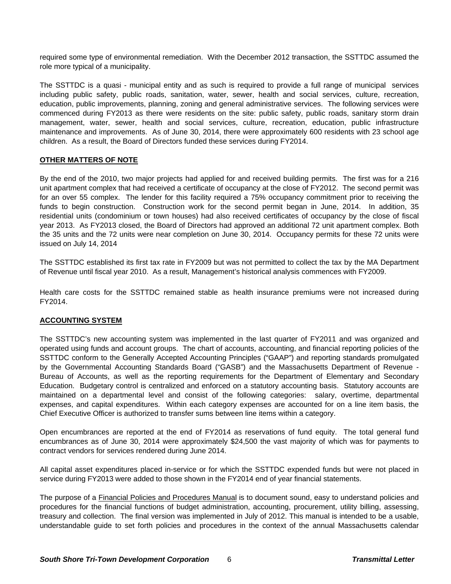required some type of environmental remediation. With the December 2012 transaction, the SSTTDC assumed the role more typical of a municipality.

The SSTTDC is a quasi - municipal entity and as such is required to provide a full range of municipal services including public safety, public roads, sanitation, water, sewer, health and social services, culture, recreation, education, public improvements, planning, zoning and general administrative services. The following services were commenced during FY2013 as there were residents on the site: public safety, public roads, sanitary storm drain management, water, sewer, health and social services, culture, recreation, education, public infrastructure maintenance and improvements. As of June 30, 2014, there were approximately 600 residents with 23 school age children. As a result, the Board of Directors funded these services during FY2014.

### **OTHER MATTERS OF NOTE**

By the end of the 2010, two major projects had applied for and received building permits. The first was for a 216 unit apartment complex that had received a certificate of occupancy at the close of FY2012. The second permit was for an over 55 complex. The lender for this facility required a 75% occupancy commitment prior to receiving the funds to begin construction. Construction work for the second permit began in June, 2014. In addition, 35 residential units (condominium or town houses) had also received certificates of occupancy by the close of fiscal year 2013. As FY2013 closed, the Board of Directors had approved an additional 72 unit apartment complex. Both the 35 units and the 72 units were near completion on June 30, 2014. Occupancy permits for these 72 units were issued on July 14, 2014

The SSTTDC established its first tax rate in FY2009 but was not permitted to collect the tax by the MA Department of Revenue until fiscal year 2010. As a result, Management's historical analysis commences with FY2009.

Health care costs for the SSTTDC remained stable as health insurance premiums were not increased during FY2014.

### **ACCOUNTING SYSTEM**

The SSTTDC's new accounting system was implemented in the last quarter of FY2011 and was organized and operated using funds and account groups. The chart of accounts, accounting, and financial reporting policies of the SSTTDC conform to the Generally Accepted Accounting Principles ("GAAP") and reporting standards promulgated by the Governmental Accounting Standards Board ("GASB") and the Massachusetts Department of Revenue - Bureau of Accounts, as well as the reporting requirements for the Department of Elementary and Secondary Education. Budgetary control is centralized and enforced on a statutory accounting basis. Statutory accounts are maintained on a departmental level and consist of the following categories: salary, overtime, departmental expenses, and capital expenditures. Within each category expenses are accounted for on a line item basis, the Chief Executive Officer is authorized to transfer sums between line items within a category.

Open encumbrances are reported at the end of FY2014 as reservations of fund equity. The total general fund encumbrances as of June 30, 2014 were approximately \$24,500 the vast majority of which was for payments to contract vendors for services rendered during June 2014.

All capital asset expenditures placed in-service or for which the SSTTDC expended funds but were not placed in service during FY2013 were added to those shown in the FY2014 end of year financial statements.

The purpose of a Financial Policies and Procedures Manual is to document sound, easy to understand policies and procedures for the financial functions of budget administration, accounting, procurement, utility billing, assessing, treasury and collection. The final version was implemented in July of 2012. This manual is intended to be a usable, understandable guide to set forth policies and procedures in the context of the annual Massachusetts calendar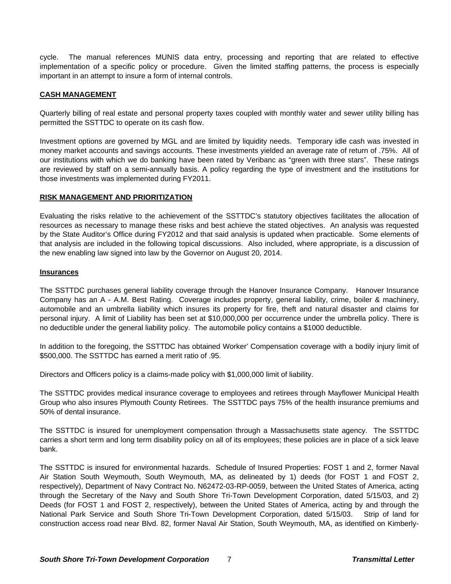cycle. The manual references MUNIS data entry, processing and reporting that are related to effective implementation of a specific policy or procedure. Given the limited staffing patterns, the process is especially important in an attempt to insure a form of internal controls.

### **CASH MANAGEMENT**

Quarterly billing of real estate and personal property taxes coupled with monthly water and sewer utility billing has permitted the SSTTDC to operate on its cash flow.

Investment options are governed by MGL and are limited by liquidity needs. Temporary idle cash was invested in money market accounts and savings accounts. These investments yielded an average rate of return of .75%. All of our institutions with which we do banking have been rated by Veribanc as "green with three stars". These ratings are reviewed by staff on a semi-annually basis. A policy regarding the type of investment and the institutions for those investments was implemented during FY2011.

### **RISK MANAGEMENT AND PRIORITIZATION**

Evaluating the risks relative to the achievement of the SSTTDC's statutory objectives facilitates the allocation of resources as necessary to manage these risks and best achieve the stated objectives. An analysis was requested by the State Auditor's Office during FY2012 and that said analysis is updated when practicable. Some elements of that analysis are included in the following topical discussions. Also included, where appropriate, is a discussion of the new enabling law signed into law by the Governor on August 20, 2014.

### **Insurances**

The SSTTDC purchases general liability coverage through the Hanover Insurance Company. Hanover Insurance Company has an A - A.M. Best Rating. Coverage includes property, general liability, crime, boiler & machinery, automobile and an umbrella liability which insures its property for fire, theft and natural disaster and claims for personal injury. A limit of Liability has been set at \$10,000,000 per occurrence under the umbrella policy. There is no deductible under the general liability policy. The automobile policy contains a \$1000 deductible.

In addition to the foregoing, the SSTTDC has obtained Worker' Compensation coverage with a bodily injury limit of \$500,000. The SSTTDC has earned a merit ratio of .95.

Directors and Officers policy is a claims-made policy with \$1,000,000 limit of liability.

The SSTTDC provides medical insurance coverage to employees and retirees through Mayflower Municipal Health Group who also insures Plymouth County Retirees. The SSTTDC pays 75% of the health insurance premiums and 50% of dental insurance.

The SSTTDC is insured for unemployment compensation through a Massachusetts state agency. The SSTTDC carries a short term and long term disability policy on all of its employees; these policies are in place of a sick leave bank.

The SSTTDC is insured for environmental hazards. Schedule of Insured Properties: FOST 1 and 2, former Naval Air Station South Weymouth, South Weymouth, MA, as delineated by 1) deeds (for FOST 1 and FOST 2, respectively), Department of Navy Contract No. N62472-03-RP-0059, between the United States of America, acting through the Secretary of the Navy and South Shore Tri-Town Development Corporation, dated 5/15/03, and 2) Deeds (for FOST 1 and FOST 2, respectively), between the United States of America, acting by and through the National Park Service and South Shore Tri-Town Development Corporation, dated 5/15/03. Strip of land for construction access road near Blvd. 82, former Naval Air Station, South Weymouth, MA, as identified on Kimberly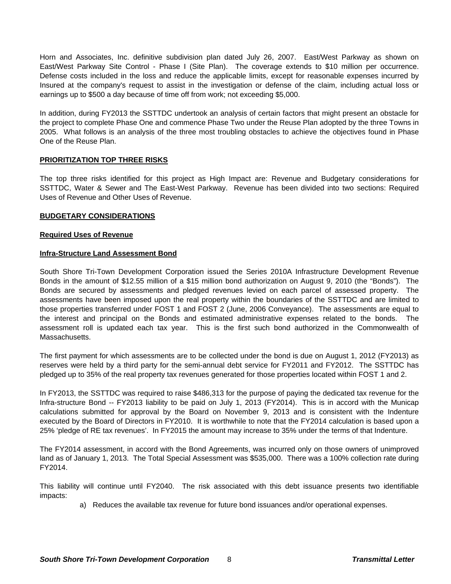Horn and Associates, Inc. definitive subdivision plan dated July 26, 2007. East/West Parkway as shown on East/West Parkway Site Control - Phase I (Site Plan). The coverage extends to \$10 million per occurrence. Defense costs included in the loss and reduce the applicable limits, except for reasonable expenses incurred by Insured at the company's request to assist in the investigation or defense of the claim, including actual loss or earnings up to \$500 a day because of time off from work; not exceeding \$5,000.

In addition, during FY2013 the SSTTDC undertook an analysis of certain factors that might present an obstacle for the project to complete Phase One and commence Phase Two under the Reuse Plan adopted by the three Towns in 2005. What follows is an analysis of the three most troubling obstacles to achieve the objectives found in Phase One of the Reuse Plan.

### **PRIORITIZATION TOP THREE RISKS**

The top three risks identified for this project as High Impact are: Revenue and Budgetary considerations for SSTTDC, Water & Sewer and The East-West Parkway. Revenue has been divided into two sections: Required Uses of Revenue and Other Uses of Revenue.

### **BUDGETARY CONSIDERATIONS**

### **Required Uses of Revenue**

### **Infra-Structure Land Assessment Bond**

South Shore Tri-Town Development Corporation issued the Series 2010A Infrastructure Development Revenue Bonds in the amount of \$12.55 million of a \$15 million bond authorization on August 9, 2010 (the "Bonds"). The Bonds are secured by assessments and pledged revenues levied on each parcel of assessed property. The assessments have been imposed upon the real property within the boundaries of the SSTTDC and are limited to those properties transferred under FOST 1 and FOST 2 (June, 2006 Conveyance). The assessments are equal to the interest and principal on the Bonds and estimated administrative expenses related to the bonds. The assessment roll is updated each tax year. This is the first such bond authorized in the Commonwealth of Massachusetts.

The first payment for which assessments are to be collected under the bond is due on August 1, 2012 (FY2013) as reserves were held by a third party for the semi-annual debt service for FY2011 and FY2012. The SSTTDC has pledged up to 35% of the real property tax revenues generated for those properties located within FOST 1 and 2.

In FY2013, the SSTTDC was required to raise \$486,313 for the purpose of paying the dedicated tax revenue for the Infra-structure Bond -- FY2013 liability to be paid on July 1, 2013 (FY2014). This is in accord with the Municap calculations submitted for approval by the Board on November 9, 2013 and is consistent with the Indenture executed by the Board of Directors in FY2010. It is worthwhile to note that the FY2014 calculation is based upon a 25% 'pledge of RE tax revenues'. In FY2015 the amount may increase to 35% under the terms of that Indenture.

The FY2014 assessment, in accord with the Bond Agreements, was incurred only on those owners of unimproved land as of January 1, 2013. The Total Special Assessment was \$535,000. There was a 100% collection rate during FY2014.

This liability will continue until FY2040. The risk associated with this debt issuance presents two identifiable impacts:

a) Reduces the available tax revenue for future bond issuances and/or operational expenses.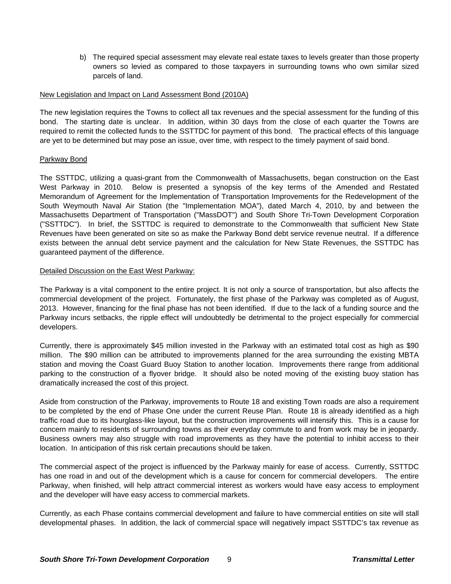b) The required special assessment may elevate real estate taxes to levels greater than those property owners so levied as compared to those taxpayers in surrounding towns who own similar sized parcels of land.

### New Legislation and Impact on Land Assessment Bond (2010A)

The new legislation requires the Towns to collect all tax revenues and the special assessment for the funding of this bond. The starting date is unclear. In addition, within 30 days from the close of each quarter the Towns are required to remit the collected funds to the SSTTDC for payment of this bond. The practical effects of this language are yet to be determined but may pose an issue, over time, with respect to the timely payment of said bond.

#### Parkway Bond

The SSTTDC, utilizing a quasi-grant from the Commonwealth of Massachusetts, began construction on the East West Parkway in 2010. Below is presented a synopsis of the key terms of the Amended and Restated Memorandum of Agreement for the Implementation of Transportation Improvements for the Redevelopment of the South Weymouth Naval Air Station (the "Implementation MOA"), dated March 4, 2010, by and between the Massachusetts Department of Transportation ("MassDOT") and South Shore Tri-Town Development Corporation ("SSTTDC"). In brief, the SSTTDC is required to demonstrate to the Commonwealth that sufficient New State Revenues have been generated on site so as make the Parkway Bond debt service revenue neutral. If a difference exists between the annual debt service payment and the calculation for New State Revenues, the SSTTDC has guaranteed payment of the difference.

#### Detailed Discussion on the East West Parkway:

The Parkway is a vital component to the entire project. It is not only a source of transportation, but also affects the commercial development of the project. Fortunately, the first phase of the Parkway was completed as of August, 2013. However, financing for the final phase has not been identified. If due to the lack of a funding source and the Parkway incurs setbacks, the ripple effect will undoubtedly be detrimental to the project especially for commercial developers.

Currently, there is approximately \$45 million invested in the Parkway with an estimated total cost as high as \$90 million. The \$90 million can be attributed to improvements planned for the area surrounding the existing MBTA station and moving the Coast Guard Buoy Station to another location. Improvements there range from additional parking to the construction of a flyover bridge. It should also be noted moving of the existing buoy station has dramatically increased the cost of this project.

Aside from construction of the Parkway, improvements to Route 18 and existing Town roads are also a requirement to be completed by the end of Phase One under the current Reuse Plan. Route 18 is already identified as a high traffic road due to its hourglass-like layout, but the construction improvements will intensify this. This is a cause for concern mainly to residents of surrounding towns as their everyday commute to and from work may be in jeopardy. Business owners may also struggle with road improvements as they have the potential to inhibit access to their location. In anticipation of this risk certain precautions should be taken.

The commercial aspect of the project is influenced by the Parkway mainly for ease of access. Currently, SSTTDC has one road in and out of the development which is a cause for concern for commercial developers. The entire Parkway, when finished, will help attract commercial interest as workers would have easy access to employment and the developer will have easy access to commercial markets.

Currently, as each Phase contains commercial development and failure to have commercial entities on site will stall developmental phases. In addition, the lack of commercial space will negatively impact SSTTDC's tax revenue as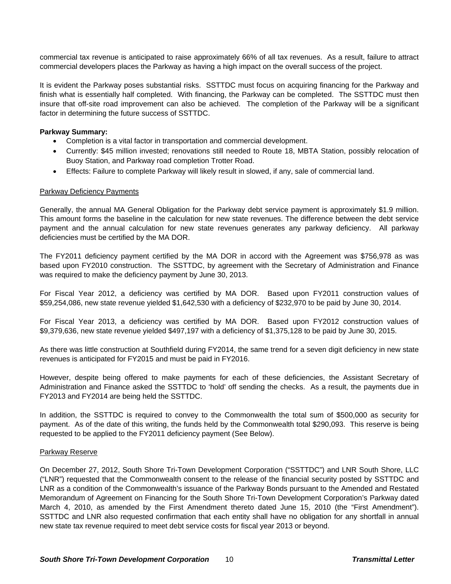commercial tax revenue is anticipated to raise approximately 66% of all tax revenues. As a result, failure to attract commercial developers places the Parkway as having a high impact on the overall success of the project.

It is evident the Parkway poses substantial risks. SSTTDC must focus on acquiring financing for the Parkway and finish what is essentially half completed. With financing, the Parkway can be completed. The SSTTDC must then insure that off-site road improvement can also be achieved. The completion of the Parkway will be a significant factor in determining the future success of SSTTDC.

### **Parkway Summary:**

- Completion is a vital factor in transportation and commercial development.
- Currently: \$45 million invested; renovations still needed to Route 18, MBTA Station, possibly relocation of Buoy Station, and Parkway road completion Trotter Road.
- Effects: Failure to complete Parkway will likely result in slowed, if any, sale of commercial land.

### Parkway Deficiency Payments

Generally, the annual MA General Obligation for the Parkway debt service payment is approximately \$1.9 million. This amount forms the baseline in the calculation for new state revenues. The difference between the debt service payment and the annual calculation for new state revenues generates any parkway deficiency. All parkway deficiencies must be certified by the MA DOR.

The FY2011 deficiency payment certified by the MA DOR in accord with the Agreement was \$756,978 as was based upon FY2010 construction. The SSTTDC, by agreement with the Secretary of Administration and Finance was required to make the deficiency payment by June 30, 2013.

For Fiscal Year 2012, a deficiency was certified by MA DOR. Based upon FY2011 construction values of \$59,254,086, new state revenue yielded \$1,642,530 with a deficiency of \$232,970 to be paid by June 30, 2014.

For Fiscal Year 2013, a deficiency was certified by MA DOR. Based upon FY2012 construction values of \$9,379,636, new state revenue yielded \$497,197 with a deficiency of \$1,375,128 to be paid by June 30, 2015.

As there was little construction at Southfield during FY2014, the same trend for a seven digit deficiency in new state revenues is anticipated for FY2015 and must be paid in FY2016.

However, despite being offered to make payments for each of these deficiencies, the Assistant Secretary of Administration and Finance asked the SSTTDC to 'hold' off sending the checks. As a result, the payments due in FY2013 and FY2014 are being held the SSTTDC.

In addition, the SSTTDC is required to convey to the Commonwealth the total sum of \$500,000 as security for payment. As of the date of this writing, the funds held by the Commonwealth total \$290,093. This reserve is being requested to be applied to the FY2011 deficiency payment (See Below).

### Parkway Reserve

On December 27, 2012, South Shore Tri-Town Development Corporation ("SSTTDC") and LNR South Shore, LLC ("LNR") requested that the Commonwealth consent to the release of the financial security posted by SSTTDC and LNR as a condition of the Commonwealth's issuance of the Parkway Bonds pursuant to the Amended and Restated Memorandum of Agreement on Financing for the South Shore Tri-Town Development Corporation's Parkway dated March 4, 2010, as amended by the First Amendment thereto dated June 15, 2010 (the "First Amendment"). SSTTDC and LNR also requested confirmation that each entity shall have no obligation for any shortfall in annual new state tax revenue required to meet debt service costs for fiscal year 2013 or beyond.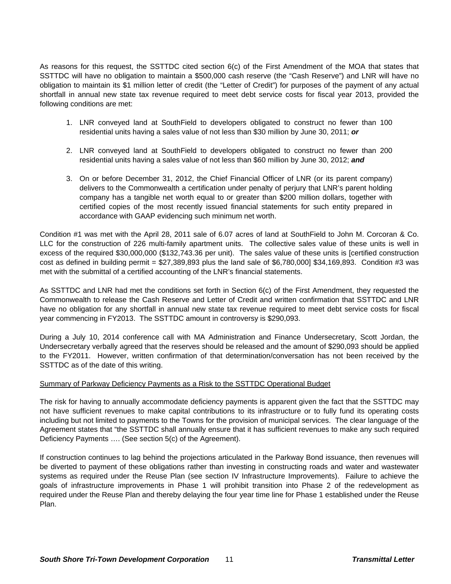As reasons for this request, the SSTTDC cited section 6(c) of the First Amendment of the MOA that states that SSTTDC will have no obligation to maintain a \$500,000 cash reserve (the "Cash Reserve") and LNR will have no obligation to maintain its \$1 million letter of credit (the "Letter of Credit") for purposes of the payment of any actual shortfall in annual new state tax revenue required to meet debt service costs for fiscal year 2013, provided the following conditions are met:

- 1. LNR conveyed land at SouthField to developers obligated to construct no fewer than 100 residential units having a sales value of not less than \$30 million by June 30, 2011; *or*
- 2. LNR conveyed land at SouthField to developers obligated to construct no fewer than 200 residential units having a sales value of not less than \$60 million by June 30, 2012; *and*
- 3. On or before December 31, 2012, the Chief Financial Officer of LNR (or its parent company) delivers to the Commonwealth a certification under penalty of perjury that LNR's parent holding company has a tangible net worth equal to or greater than \$200 million dollars, together with certified copies of the most recently issued financial statements for such entity prepared in accordance with GAAP evidencing such minimum net worth.

Condition #1 was met with the April 28, 2011 sale of 6.07 acres of land at SouthField to John M. Corcoran & Co. LLC for the construction of 226 multi-family apartment units. The collective sales value of these units is well in excess of the required \$30,000,000 (\$132,743.36 per unit). The sales value of these units is [certified construction cost as defined in building permit =  $$27,389,893$  plus the land sale of  $$6,780,000]$  \$34,169,893. Condition #3 was met with the submittal of a certified accounting of the LNR's financial statements.

As SSTTDC and LNR had met the conditions set forth in Section 6(c) of the First Amendment, they requested the Commonwealth to release the Cash Reserve and Letter of Credit and written confirmation that SSTTDC and LNR have no obligation for any shortfall in annual new state tax revenue required to meet debt service costs for fiscal year commencing in FY2013. The SSTTDC amount in controversy is \$290,093.

During a July 10, 2014 conference call with MA Administration and Finance Undersecretary, Scott Jordan, the Undersecretary verbally agreed that the reserves should be released and the amount of \$290,093 should be applied to the FY2011. However, written confirmation of that determination/conversation has not been received by the SSTTDC as of the date of this writing.

### Summary of Parkway Deficiency Payments as a Risk to the SSTTDC Operational Budget

The risk for having to annually accommodate deficiency payments is apparent given the fact that the SSTTDC may not have sufficient revenues to make capital contributions to its infrastructure or to fully fund its operating costs including but not limited to payments to the Towns for the provision of municipal services. The clear language of the Agreement states that "the SSTTDC shall annually ensure that it has sufficient revenues to make any such required Deficiency Payments …. (See section 5(c) of the Agreement).

If construction continues to lag behind the projections articulated in the Parkway Bond issuance, then revenues will be diverted to payment of these obligations rather than investing in constructing roads and water and wastewater systems as required under the Reuse Plan (see section IV Infrastructure Improvements). Failure to achieve the goals of infrastructure improvements in Phase 1 will prohibit transition into Phase 2 of the redevelopment as required under the Reuse Plan and thereby delaying the four year time line for Phase 1 established under the Reuse Plan.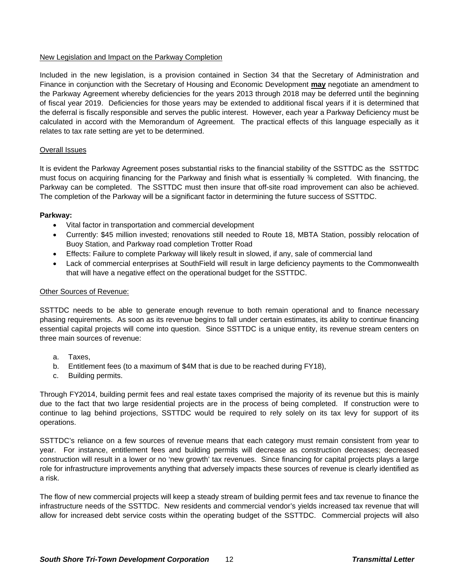### New Legislation and Impact on the Parkway Completion

Included in the new legislation, is a provision contained in Section 34 that the Secretary of Administration and Finance in conjunction with the Secretary of Housing and Economic Development **may** negotiate an amendment to the Parkway Agreement whereby deficiencies for the years 2013 through 2018 may be deferred until the beginning of fiscal year 2019. Deficiencies for those years may be extended to additional fiscal years if it is determined that the deferral is fiscally responsible and serves the public interest. However, each year a Parkway Deficiency must be calculated in accord with the Memorandum of Agreement. The practical effects of this language especially as it relates to tax rate setting are yet to be determined.

### Overall Issues

It is evident the Parkway Agreement poses substantial risks to the financial stability of the SSTTDC as the SSTTDC must focus on acquiring financing for the Parkway and finish what is essentially ¾ completed. With financing, the Parkway can be completed. The SSTTDC must then insure that off-site road improvement can also be achieved. The completion of the Parkway will be a significant factor in determining the future success of SSTTDC.

### **Parkway:**

- Vital factor in transportation and commercial development
- Currently: \$45 million invested; renovations still needed to Route 18, MBTA Station, possibly relocation of Buoy Station, and Parkway road completion Trotter Road
- Effects: Failure to complete Parkway will likely result in slowed, if any, sale of commercial land
- Lack of commercial enterprises at SouthField will result in large deficiency payments to the Commonwealth that will have a negative effect on the operational budget for the SSTTDC.

### Other Sources of Revenue:

SSTTDC needs to be able to generate enough revenue to both remain operational and to finance necessary phasing requirements. As soon as its revenue begins to fall under certain estimates, its ability to continue financing essential capital projects will come into question. Since SSTTDC is a unique entity, its revenue stream centers on three main sources of revenue:

- a. Taxes,
- b. Entitlement fees (to a maximum of \$4M that is due to be reached during FY18),
- c. Building permits.

Through FY2014, building permit fees and real estate taxes comprised the majority of its revenue but this is mainly due to the fact that two large residential projects are in the process of being completed. If construction were to continue to lag behind projections, SSTTDC would be required to rely solely on its tax levy for support of its operations.

SSTTDC's reliance on a few sources of revenue means that each category must remain consistent from year to year. For instance, entitlement fees and building permits will decrease as construction decreases; decreased construction will result in a lower or no 'new growth' tax revenues. Since financing for capital projects plays a large role for infrastructure improvements anything that adversely impacts these sources of revenue is clearly identified as a risk.

The flow of new commercial projects will keep a steady stream of building permit fees and tax revenue to finance the infrastructure needs of the SSTTDC. New residents and commercial vendor's yields increased tax revenue that will allow for increased debt service costs within the operating budget of the SSTTDC. Commercial projects will also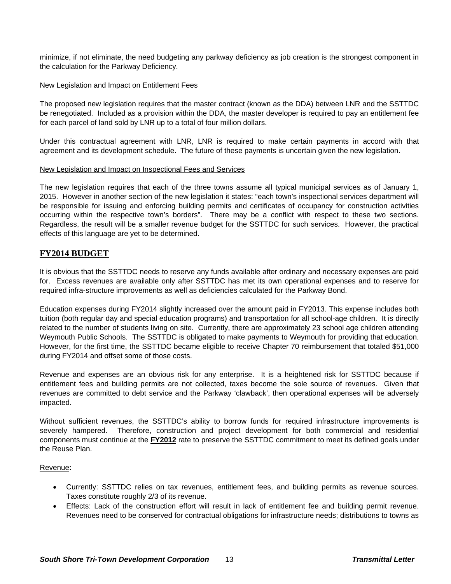minimize, if not eliminate, the need budgeting any parkway deficiency as job creation is the strongest component in the calculation for the Parkway Deficiency.

### New Legislation and Impact on Entitlement Fees

The proposed new legislation requires that the master contract (known as the DDA) between LNR and the SSTTDC be renegotiated. Included as a provision within the DDA, the master developer is required to pay an entitlement fee for each parcel of land sold by LNR up to a total of four million dollars.

Under this contractual agreement with LNR, LNR is required to make certain payments in accord with that agreement and its development schedule. The future of these payments is uncertain given the new legislation.

### New Legislation and Impact on Inspectional Fees and Services

The new legislation requires that each of the three towns assume all typical municipal services as of January 1, 2015. However in another section of the new legislation it states: "each town's inspectional services department will be responsible for issuing and enforcing building permits and certificates of occupancy for construction activities occurring within the respective town's borders". There may be a conflict with respect to these two sections. Regardless, the result will be a smaller revenue budget for the SSTTDC for such services. However, the practical effects of this language are yet to be determined.

### **FY2014 BUDGET**

It is obvious that the SSTTDC needs to reserve any funds available after ordinary and necessary expenses are paid for. Excess revenues are available only after SSTTDC has met its own operational expenses and to reserve for required infra-structure improvements as well as deficiencies calculated for the Parkway Bond.

Education expenses during FY2014 slightly increased over the amount paid in FY2013. This expense includes both tuition (both regular day and special education programs) and transportation for all school-age children. It is directly related to the number of students living on site. Currently, there are approximately 23 school age children attending Weymouth Public Schools. The SSTTDC is obligated to make payments to Weymouth for providing that education. However, for the first time, the SSTTDC became eligible to receive Chapter 70 reimbursement that totaled \$51,000 during FY2014 and offset some of those costs.

Revenue and expenses are an obvious risk for any enterprise. It is a heightened risk for SSTTDC because if entitlement fees and building permits are not collected, taxes become the sole source of revenues. Given that revenues are committed to debt service and the Parkway 'clawback', then operational expenses will be adversely impacted.

Without sufficient revenues, the SSTTDC's ability to borrow funds for required infrastructure improvements is severely hampered. Therefore, construction and project development for both commercial and residential components must continue at the **FY2012** rate to preserve the SSTTDC commitment to meet its defined goals under the Reuse Plan.

### Revenue**:**

- Currently: SSTTDC relies on tax revenues, entitlement fees, and building permits as revenue sources. Taxes constitute roughly 2/3 of its revenue.
- Effects: Lack of the construction effort will result in lack of entitlement fee and building permit revenue. Revenues need to be conserved for contractual obligations for infrastructure needs; distributions to towns as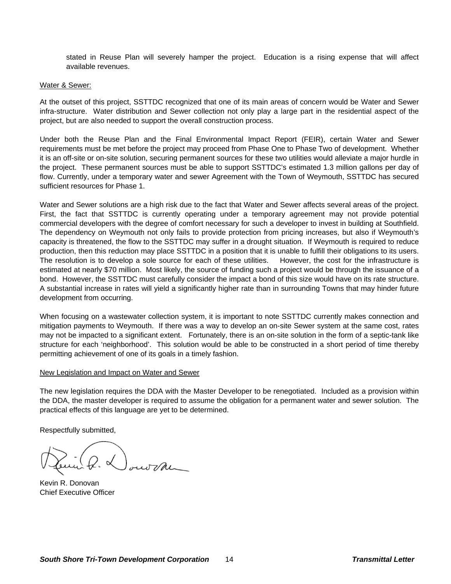stated in Reuse Plan will severely hamper the project. Education is a rising expense that will affect available revenues.

### Water & Sewer:

At the outset of this project, SSTTDC recognized that one of its main areas of concern would be Water and Sewer infra-structure. Water distribution and Sewer collection not only play a large part in the residential aspect of the project, but are also needed to support the overall construction process.

Under both the Reuse Plan and the Final Environmental Impact Report (FEIR), certain Water and Sewer requirements must be met before the project may proceed from Phase One to Phase Two of development. Whether it is an off-site or on-site solution, securing permanent sources for these two utilities would alleviate a major hurdle in the project. These permanent sources must be able to support SSTTDC's estimated 1.3 million gallons per day of flow. Currently, under a temporary water and sewer Agreement with the Town of Weymouth, SSTTDC has secured sufficient resources for Phase 1.

Water and Sewer solutions are a high risk due to the fact that Water and Sewer affects several areas of the project. First, the fact that SSTTDC is currently operating under a temporary agreement may not provide potential commercial developers with the degree of comfort necessary for such a developer to invest in building at Southfield. The dependency on Weymouth not only fails to provide protection from pricing increases, but also if Weymouth's capacity is threatened, the flow to the SSTTDC may suffer in a drought situation. If Weymouth is required to reduce production, then this reduction may place SSTTDC in a position that it is unable to fulfill their obligations to its users. The resolution is to develop a sole source for each of these utilities. However, the cost for the infrastructure is estimated at nearly \$70 million. Most likely, the source of funding such a project would be through the issuance of a bond. However, the SSTTDC must carefully consider the impact a bond of this size would have on its rate structure. A substantial increase in rates will yield a significantly higher rate than in surrounding Towns that may hinder future development from occurring.

When focusing on a wastewater collection system, it is important to note SSTTDC currently makes connection and mitigation payments to Weymouth. If there was a way to develop an on-site Sewer system at the same cost, rates may not be impacted to a significant extent. Fortunately, there is an on-site solution in the form of a septic-tank like structure for each 'neighborhood'. This solution would be able to be constructed in a short period of time thereby permitting achievement of one of its goals in a timely fashion.

### New Legislation and Impact on Water and Sewer

The new legislation requires the DDA with the Master Developer to be renegotiated. Included as a provision within the DDA, the master developer is required to assume the obligation for a permanent water and sewer solution. The practical effects of this language are yet to be determined.

Respectfully submitted,

Kevin R. Donovan Chief Executive Officer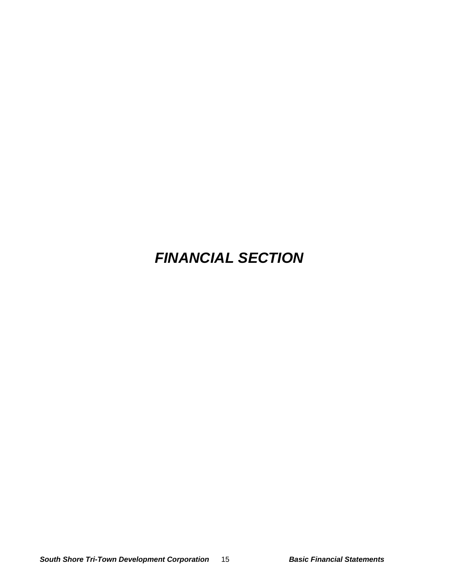## *FINANCIAL SECTION*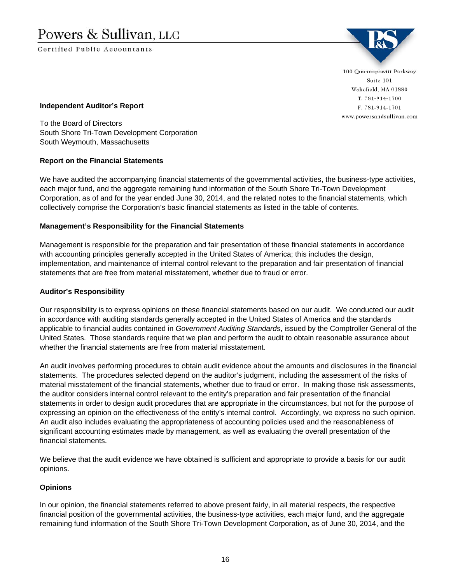## Powers & Sullivan, LLC

Certified Public Accountants



100 Quannapowitt Parkway Suite 101 Wakefield, MA 01880 T. 781-914-1700 F. 781-914-1701 www.powersandsullivan.com

### **Independent Auditor's Report**

To the Board of Directors South Shore Tri-Town Development Corporation South Weymouth, Massachusetts

### **Report on the Financial Statements**

We have audited the accompanying financial statements of the governmental activities, the business-type activities, each major fund, and the aggregate remaining fund information of the South Shore Tri-Town Development Corporation, as of and for the year ended June 30, 2014, and the related notes to the financial statements, which collectively comprise the Corporation's basic financial statements as listed in the table of contents.

### **Management's Responsibility for the Financial Statements**

Management is responsible for the preparation and fair presentation of these financial statements in accordance with accounting principles generally accepted in the United States of America; this includes the design, implementation, and maintenance of internal control relevant to the preparation and fair presentation of financial statements that are free from material misstatement, whether due to fraud or error.

### **Auditor's Responsibility**

Our responsibility is to express opinions on these financial statements based on our audit. We conducted our audit in accordance with auditing standards generally accepted in the United States of America and the standards applicable to financial audits contained in *Government Auditing Standards*, issued by the Comptroller General of the United States. Those standards require that we plan and perform the audit to obtain reasonable assurance about whether the financial statements are free from material misstatement.

An audit involves performing procedures to obtain audit evidence about the amounts and disclosures in the financial statements. The procedures selected depend on the auditor's judgment, including the assessment of the risks of material misstatement of the financial statements, whether due to fraud or error. In making those risk assessments, the auditor considers internal control relevant to the entity's preparation and fair presentation of the financial statements in order to design audit procedures that are appropriate in the circumstances, but not for the purpose of expressing an opinion on the effectiveness of the entity's internal control. Accordingly, we express no such opinion. An audit also includes evaluating the appropriateness of accounting policies used and the reasonableness of significant accounting estimates made by management, as well as evaluating the overall presentation of the financial statements.

We believe that the audit evidence we have obtained is sufficient and appropriate to provide a basis for our audit opinions.

### **Opinions**

In our opinion, the financial statements referred to above present fairly, in all material respects, the respective financial position of the governmental activities, the business-type activities, each major fund, and the aggregate remaining fund information of the South Shore Tri-Town Development Corporation, as of June 30, 2014, and the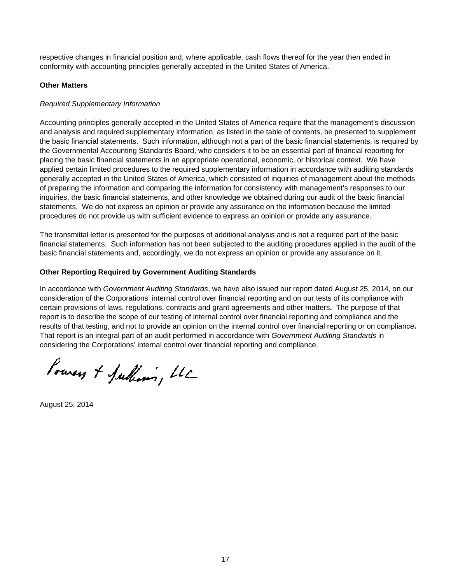respective changes in financial position and, where applicable, cash flows thereof for the year then ended in conformity with accounting principles generally accepted in the United States of America.

### **Other Matters**

### *Required Supplementary Information*

Accounting principles generally accepted in the United States of America require that the management's discussion and analysis and required supplementary information, as listed in the table of contents, be presented to supplement the basic financial statements. Such information, although not a part of the basic financial statements, is required by the Governmental Accounting Standards Board, who considers it to be an essential part of financial reporting for placing the basic financial statements in an appropriate operational, economic, or historical context. We have applied certain limited procedures to the required supplementary information in accordance with auditing standards generally accepted in the United States of America, which consisted of inquiries of management about the methods of preparing the information and comparing the information for consistency with management's responses to our inquiries, the basic financial statements, and other knowledge we obtained during our audit of the basic financial statements. We do not express an opinion or provide any assurance on the information because the limited procedures do not provide us with sufficient evidence to express an opinion or provide any assurance.

The transmittal letter is presented for the purposes of additional analysis and is not a required part of the basic financial statements. Such information has not been subjected to the auditing procedures applied in the audit of the basic financial statements and, accordingly, we do not express an opinion or provide any assurance on it.

### **Other Reporting Required by Government Auditing Standards**

In accordance with *Government Auditing Standards*, we have also issued our report dated August 25, 2014, on our consideration of the Corporations' internal control over financial reporting and on our tests of its compliance with certain provisions of laws, regulations, contracts and grant agreements and other matters**.** The purpose of that report is to describe the scope of our testing of internal control over financial reporting and compliance and the results of that testing, and not to provide an opinion on the internal control over financial reporting or on compliance**.**  That report is an integral part of an audit performed in accordance with *Government Auditing Standards* in considering the Corporations' internal control over financial reporting and compliance.

Powers + Julhami, LLC

August 25, 2014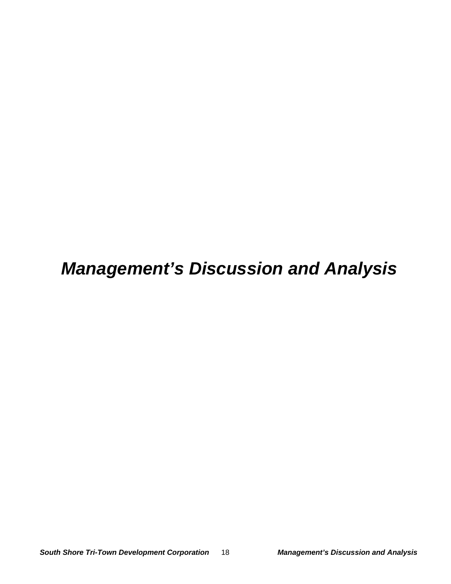# *Management's Discussion and Analysis*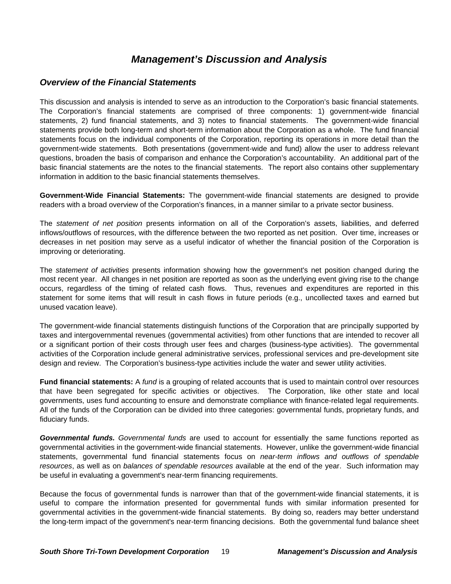### *Management's Discussion and Analysis*

### *Overview of the Financial Statements*

This discussion and analysis is intended to serve as an introduction to the Corporation's basic financial statements. The Corporation's financial statements are comprised of three components: 1) government-wide financial statements, 2) fund financial statements, and 3) notes to financial statements. The government-wide financial statements provide both long-term and short-term information about the Corporation as a whole. The fund financial statements focus on the individual components of the Corporation, reporting its operations in more detail than the government-wide statements. Both presentations (government-wide and fund) allow the user to address relevant questions, broaden the basis of comparison and enhance the Corporation's accountability. An additional part of the basic financial statements are the notes to the financial statements. The report also contains other supplementary information in addition to the basic financial statements themselves.

**Government-Wide Financial Statements:** The government-wide financial statements are designed to provide readers with a broad overview of the Corporation's finances, in a manner similar to a private sector business.

The *statement of net position* presents information on all of the Corporation's assets, liabilities, and deferred inflows/outflows of resources, with the difference between the two reported as net position. Over time, increases or decreases in net position may serve as a useful indicator of whether the financial position of the Corporation is improving or deteriorating.

The *statement of activities* presents information showing how the government's net position changed during the most recent year. All changes in net position are reported as soon as the underlying event giving rise to the change occurs, regardless of the timing of related cash flows. Thus, revenues and expenditures are reported in this statement for some items that will result in cash flows in future periods (e.g., uncollected taxes and earned but unused vacation leave).

The government-wide financial statements distinguish functions of the Corporation that are principally supported by taxes and intergovernmental revenues (governmental activities) from other functions that are intended to recover all or a significant portion of their costs through user fees and charges (business-type activities). The governmental activities of the Corporation include general administrative services, professional services and pre-development site design and review. The Corporation's business-type activities include the water and sewer utility activities.

**Fund financial statements:** A *fund* is a grouping of related accounts that is used to maintain control over resources that have been segregated for specific activities or objectives. The Corporation, like other state and local governments, uses fund accounting to ensure and demonstrate compliance with finance-related legal requirements. All of the funds of the Corporation can be divided into three categories: governmental funds, proprietary funds, and fiduciary funds.

*Governmental funds. Governmental funds* are used to account for essentially the same functions reported as governmental activities in the government-wide financial statements. However, unlike the government-wide financial statements, governmental fund financial statements focus on *near-term inflows and outflows of spendable resources*, as well as on *balances of spendable resources* available at the end of the year. Such information may be useful in evaluating a government's near-term financing requirements.

Because the focus of governmental funds is narrower than that of the government-wide financial statements, it is useful to compare the information presented for governmental funds with similar information presented for governmental activities in the government-wide financial statements. By doing so, readers may better understand the long-term impact of the government's near-term financing decisions. Both the governmental fund balance sheet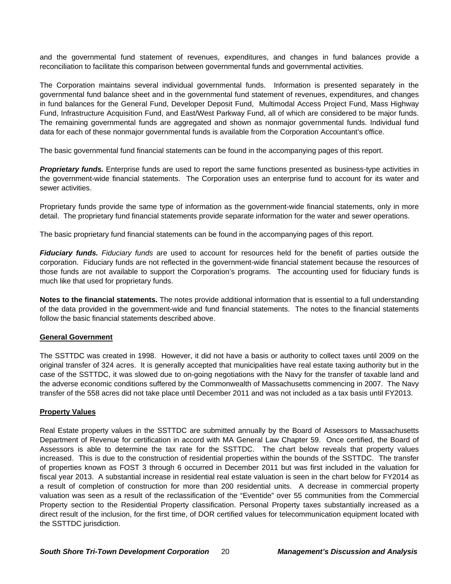and the governmental fund statement of revenues, expenditures, and changes in fund balances provide a reconciliation to facilitate this comparison between governmental funds and governmental activities.

The Corporation maintains several individual governmental funds. Information is presented separately in the governmental fund balance sheet and in the governmental fund statement of revenues, expenditures, and changes in fund balances for the General Fund, Developer Deposit Fund, Multimodal Access Project Fund, Mass Highway Fund, Infrastructure Acquisition Fund, and East/West Parkway Fund, all of which are considered to be major funds. The remaining governmental funds are aggregated and shown as nonmajor governmental funds. Individual fund data for each of these nonmajor governmental funds is available from the Corporation Accountant's office.

The basic governmental fund financial statements can be found in the accompanying pages of this report.

*Proprietary funds.* Enterprise funds are used to report the same functions presented as business-type activities in the government-wide financial statements. The Corporation uses an enterprise fund to account for its water and sewer activities.

Proprietary funds provide the same type of information as the government-wide financial statements, only in more detail. The proprietary fund financial statements provide separate information for the water and sewer operations.

The basic proprietary fund financial statements can be found in the accompanying pages of this report.

*Fiduciary funds. Fiduciary funds* are used to account for resources held for the benefit of parties outside the corporation. Fiduciary funds are not reflected in the government-wide financial statement because the resources of those funds are not available to support the Corporation's programs. The accounting used for fiduciary funds is much like that used for proprietary funds.

**Notes to the financial statements.** The notes provide additional information that is essential to a full understanding of the data provided in the government-wide and fund financial statements. The notes to the financial statements follow the basic financial statements described above.

### **General Government**

The SSTTDC was created in 1998. However, it did not have a basis or authority to collect taxes until 2009 on the original transfer of 324 acres. It is generally accepted that municipalities have real estate taxing authority but in the case of the SSTTDC, it was slowed due to on-going negotiations with the Navy for the transfer of taxable land and the adverse economic conditions suffered by the Commonwealth of Massachusetts commencing in 2007. The Navy transfer of the 558 acres did not take place until December 2011 and was not included as a tax basis until FY2013.

### **Property Values**

Real Estate property values in the SSTTDC are submitted annually by the Board of Assessors to Massachusetts Department of Revenue for certification in accord with MA General Law Chapter 59. Once certified, the Board of Assessors is able to determine the tax rate for the SSTTDC. The chart below reveals that property values increased. This is due to the construction of residential properties within the bounds of the SSTTDC. The transfer of properties known as FOST 3 through 6 occurred in December 2011 but was first included in the valuation for fiscal year 2013. A substantial increase in residential real estate valuation is seen in the chart below for FY2014 as a result of completion of construction for more than 200 residential units. A decrease in commercial property valuation was seen as a result of the reclassification of the "Eventide" over 55 communities from the Commercial Property section to the Residential Property classification. Personal Property taxes substantially increased as a direct result of the inclusion, for the first time, of DOR certified values for telecommunication equipment located with the SSTTDC jurisdiction.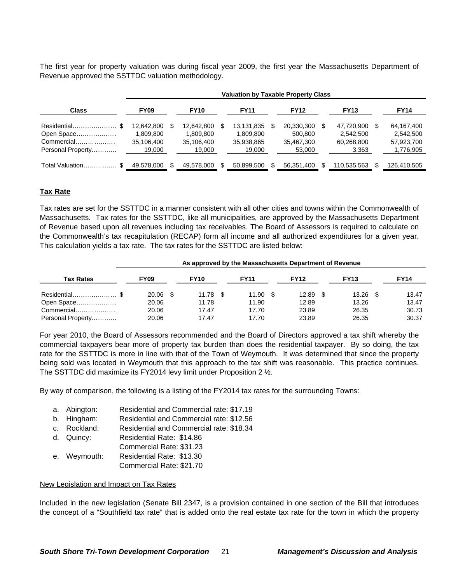The first year for property valuation was during fiscal year 2009, the first year the Massachusetts Department of Revenue approved the SSTTDC valuation methodology.

|                    | <b>Valuation by Taxable Property Class</b> |  |             |   |             |    |               |  |             |     |             |  |
|--------------------|--------------------------------------------|--|-------------|---|-------------|----|---------------|--|-------------|-----|-------------|--|
| <b>Class</b>       | <b>FY09</b>                                |  | <b>FY10</b> |   | <b>FY11</b> |    | <b>FY12</b>   |  | <b>FY13</b> |     | <b>FY14</b> |  |
| Residential \$     | 12,642,800                                 |  | 12.642.800  | S | 13,131,835  | S  | 20,330,300 \$ |  | 47,720,900  | \$. | 64,167,400  |  |
| Open Space         | 1,809,800                                  |  | 1,809,800   |   | 1,809,800   |    | 500.800       |  | 2,542,500   |     | 2,542,500   |  |
| Commercial         | 35,106,400                                 |  | 35,106,400  |   | 35,938,865  |    | 35,467,300    |  | 60,268,800  |     | 57,923,700  |  |
| Personal Property  | 19,000                                     |  | 19,000      |   | 19,000      |    | 53,000        |  | 3,363       |     | 1,776,905   |  |
| Total Valuation \$ | 49,578,000                                 |  | 49,578,000  |   | 50,899,500  | S. | 56,351,400    |  | 110,535,563 |     | 126,410,505 |  |

#### **Tax Rate**

Tax rates are set for the SSTTDC in a manner consistent with all other cities and towns within the Commonwealth of Massachusetts. Tax rates for the SSTTDC, like all municipalities, are approved by the Massachusetts Department of Revenue based upon all revenues including tax receivables. The Board of Assessors is required to calculate on the Commonwealth's tax recapitulation (RECAP) form all income and all authorized expenditures for a given year. This calculation yields a tax rate. The tax rates for the SSTTDC are listed below:

|                   | As approved by the Massachusetts Department of Revenue |  |             |  |             |   |             |  |             |      |             |  |  |  |
|-------------------|--------------------------------------------------------|--|-------------|--|-------------|---|-------------|--|-------------|------|-------------|--|--|--|
| Tax Rates         | <b>FY09</b>                                            |  | <b>FY10</b> |  | <b>FY11</b> |   | <b>FY12</b> |  | <b>FY13</b> |      | <b>FY14</b> |  |  |  |
| Residential \$    | $20.06$ \$                                             |  | $11.78$ \$  |  | 11.90       | S | 12.89       |  | 13.26       | - \$ | 13.47       |  |  |  |
| Open Space        | 20.06                                                  |  | 11.78       |  | 11.90       |   | 12.89       |  | 13.26       |      | 13.47       |  |  |  |
| Commercial        | 20.06                                                  |  | 17.47       |  | 17.70       |   | 23.89       |  | 26.35       |      | 30.73       |  |  |  |
| Personal Property | 20.06                                                  |  | 17.47       |  | 17.70       |   | 23.89       |  | 26.35       |      | 30.37       |  |  |  |

For year 2010, the Board of Assessors recommended and the Board of Directors approved a tax shift whereby the commercial taxpayers bear more of property tax burden than does the residential taxpayer. By so doing, the tax rate for the SSTTDC is more in line with that of the Town of Weymouth. It was determined that since the property being sold was located in Weymouth that this approach to the tax shift was reasonable. This practice continues. The SSTTDC did maximize its FY2014 levy limit under Proposition 2 ½.

By way of comparison, the following is a listing of the FY2014 tax rates for the surrounding Towns:

| a. | Abington: | Residential and Commercial rate: \$17.19 |
|----|-----------|------------------------------------------|
|----|-----------|------------------------------------------|

- b. Hingham: Residential and Commercial rate: \$12.56
- c. Rockland: Residential and Commercial rate: \$18.34
- d. Quincy: Residential Rate: \$14.86
	- Commercial Rate: \$31.23
- e. Weymouth: Residential Rate: \$13.30
	- Commercial Rate: \$21.70

#### New Legislation and Impact on Tax Rates

Included in the new legislation (Senate Bill 2347, is a provision contained in one section of the Bill that introduces the concept of a "Southfield tax rate" that is added onto the real estate tax rate for the town in which the property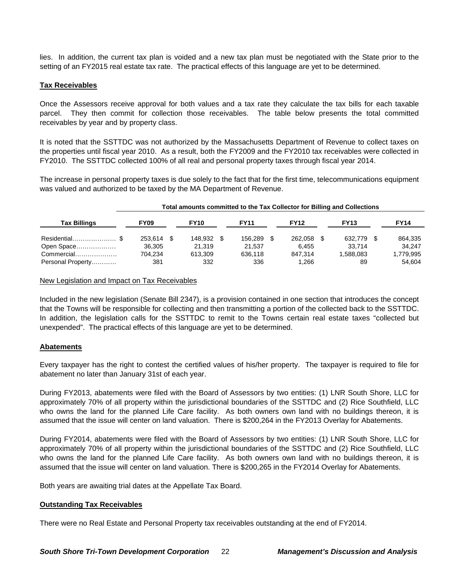lies. In addition, the current tax plan is voided and a new tax plan must be negotiated with the State prior to the setting of an FY2015 real estate tax rate. The practical effects of this language are yet to be determined.

### **Tax Receivables**

Once the Assessors receive approval for both values and a tax rate they calculate the tax bills for each taxable parcel. They then commit for collection those receivables. The table below presents the total committed receivables by year and by property class.

It is noted that the SSTTDC was not authorized by the Massachusetts Department of Revenue to collect taxes on the properties until fiscal year 2010. As a result, both the FY2009 and the FY2010 tax receivables were collected in FY2010. The SSTTDC collected 100% of all real and personal property taxes through fiscal year 2014.

The increase in personal property taxes is due solely to the fact that for the first time, telecommunications equipment was valued and authorized to be taxed by the MA Department of Revenue.

| Total amounts committed to the Tax Collector for Billing and Collections |             |  |             |  |             |  |             |  |             |  |             |  |
|--------------------------------------------------------------------------|-------------|--|-------------|--|-------------|--|-------------|--|-------------|--|-------------|--|
| <b>Tax Billings</b>                                                      | <b>FY09</b> |  | <b>FY10</b> |  | <b>FY11</b> |  | <b>FY12</b> |  | <b>FY13</b> |  | <b>FY14</b> |  |
| Residential \$                                                           | 253.614     |  | 148.932     |  | 156.289     |  | 262.058 \$  |  | 632.779     |  | 864,335     |  |
| Open Space                                                               | 36.305      |  | 21.319      |  | 21.537      |  | 6.455       |  | 33.714      |  | 34.247      |  |
| Commercial                                                               | 704.234     |  | 613.309     |  | 636.118     |  | 847.314     |  | 1.588.083   |  | 1,779,995   |  |
| Personal Property                                                        | 381         |  | 332         |  | 336         |  | 1.266       |  | 89          |  | 54.604      |  |

### New Legislation and Impact on Tax Receivables

Included in the new legislation (Senate Bill 2347), is a provision contained in one section that introduces the concept that the Towns will be responsible for collecting and then transmitting a portion of the collected back to the SSTTDC. In addition, the legislation calls for the SSTTDC to remit to the Towns certain real estate taxes "collected but unexpended". The practical effects of this language are yet to be determined.

### **Abatements**

Every taxpayer has the right to contest the certified values of his/her property. The taxpayer is required to file for abatement no later than January 31st of each year.

During FY2013, abatements were filed with the Board of Assessors by two entities: (1) LNR South Shore, LLC for approximately 70% of all property within the jurisdictional boundaries of the SSTTDC and (2) Rice Southfield, LLC who owns the land for the planned Life Care facility. As both owners own land with no buildings thereon, it is assumed that the issue will center on land valuation. There is \$200,264 in the FY2013 Overlay for Abatements.

During FY2014, abatements were filed with the Board of Assessors by two entities: (1) LNR South Shore, LLC for approximately 70% of all property within the jurisdictional boundaries of the SSTTDC and (2) Rice Southfield, LLC who owns the land for the planned Life Care facility. As both owners own land with no buildings thereon, it is assumed that the issue will center on land valuation. There is \$200,265 in the FY2014 Overlay for Abatements.

Both years are awaiting trial dates at the Appellate Tax Board.

### **Outstanding Tax Receivables**

There were no Real Estate and Personal Property tax receivables outstanding at the end of FY2014.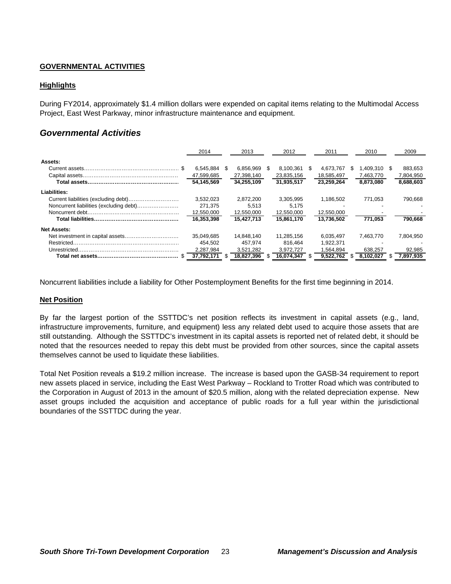### **GOVERNMENTAL ACTIVITIES**

### **Highlights**

During FY2014, approximately \$1.4 million dollars were expended on capital items relating to the Multimodal Access Project, East West Parkway, minor infrastructure maintenance and equipment.

### *Governmental Activities*

|                    | 2014       |     | 2013       |     | 2012       |    | 2011       |   | 2010         |  | 2009      |
|--------------------|------------|-----|------------|-----|------------|----|------------|---|--------------|--|-----------|
| Assets:            |            |     |            |     |            |    |            |   |              |  |           |
|                    | 6,545,884  | \$. | 6.856.969  | \$. | 8.100.361  | S. | 4,673,767  | S | 1,409,310 \$ |  | 883,653   |
|                    | 47,599,685 |     | 27,398,140 |     | 23,835,156 |    | 18,585,497 |   | 7,463,770    |  | 7,804,950 |
|                    | 54.145.569 |     | 34,255,109 |     | 31,935,517 |    | 23.259.264 |   | 8.873.080    |  | 8,688,603 |
| Liabilities:       |            |     |            |     |            |    |            |   |              |  |           |
|                    | 3.532.023  |     | 2,872,200  |     | 3,305,995  |    | 1.186.502  |   | 771.053      |  | 790.668   |
|                    | 271.375    |     | 5.513      |     | 5.175      |    |            |   |              |  |           |
|                    | 12,550,000 |     | 12,550,000 |     | 12,550,000 |    | 12,550,000 |   |              |  |           |
|                    | 16,353,398 |     | 15,427,713 |     | 15,861,170 |    | 13,736,502 |   | 771.053      |  | 790,668   |
| <b>Net Assets:</b> |            |     |            |     |            |    |            |   |              |  |           |
|                    | 35.049.685 |     | 14.848.140 |     | 11.285.156 |    | 6.035.497  |   | 7.463.770    |  | 7,804,950 |
| Restricted         | 454.502    |     | 457.974    |     | 816.464    |    | 1,922,371  |   |              |  |           |
|                    | 2.287.984  |     | 3.521.282  |     | 3,972,727  |    | 1.564.894  |   | 638.257      |  | 92,985    |
|                    | 37,792,171 |     | 18,827,396 |     | 16,074,347 |    | 9,522,762  |   | 8,102,027    |  | 7,897,935 |

Noncurrent liabilities include a liability for Other Postemployment Benefits for the first time beginning in 2014.

### **Net Position**

By far the largest portion of the SSTTDC's net position reflects its investment in capital assets (e.g., land, infrastructure improvements, furniture, and equipment) less any related debt used to acquire those assets that are still outstanding. Although the SSTTDC's investment in its capital assets is reported net of related debt, it should be noted that the resources needed to repay this debt must be provided from other sources, since the capital assets themselves cannot be used to liquidate these liabilities.

Total Net Position reveals a \$19.2 million increase. The increase is based upon the GASB-34 requirement to report new assets placed in service, including the East West Parkway – Rockland to Trotter Road which was contributed to the Corporation in August of 2013 in the amount of \$20.5 million, along with the related depreciation expense. New asset groups included the acquisition and acceptance of public roads for a full year within the jurisdictional boundaries of the SSTTDC during the year.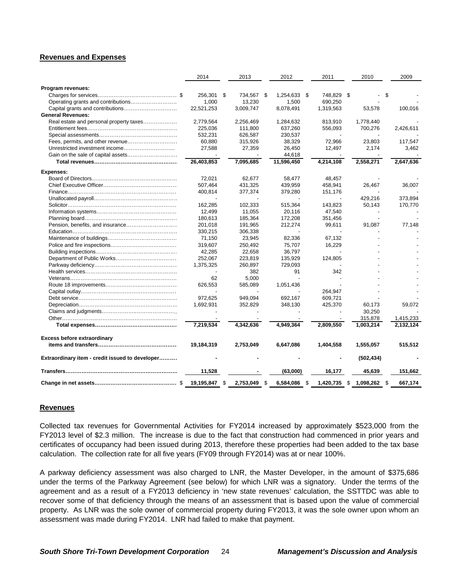### **Revenues and Expenses**

|                                                 | 2014          | 2013          | 2012               | 2011 |            | 2010               | 2009      |
|-------------------------------------------------|---------------|---------------|--------------------|------|------------|--------------------|-----------|
| Program revenues:                               |               |               |                    |      |            |                    |           |
|                                                 | 256,301       | \$<br>734,567 | \$<br>1,254,633    | \$   | 748,829 \$ |                    | \$        |
|                                                 | 1,000         | 13,230        | 1,500              |      | 690,250    |                    |           |
|                                                 | 22,521,253    | 3,009,747     | 8,078,491          |      | 1,319,563  | 53,578             | 100,016   |
| <b>General Revenues:</b>                        |               |               |                    |      |            |                    |           |
| Real estate and personal property taxes         | 2,779,564     | 2,256,469     | 1,284,632          |      | 813,910    | 1,778,440          |           |
|                                                 | 225,036       | 111,800       | 637,260            |      | 556,093    | 700,276            | 2,426,611 |
|                                                 | 532,231       | 626,587       | 230,537            |      |            |                    |           |
|                                                 | 60,880        | 315,926       | 38,329             |      | 72,966     | 23,803             | 117,547   |
|                                                 | 27,588        | 27,359        | 26,450             |      | 12,497     | 2,174              | 3,462     |
|                                                 |               |               | 44,618             |      |            |                    |           |
|                                                 | 26,403,853    | 7,095,685     | 11,596,450         |      | 4,214,108  | 2,558,271          | 2,647,636 |
| Expenses:                                       |               |               |                    |      |            |                    |           |
|                                                 | 72,021        | 62,677        | 58,477             |      | 48,457     |                    |           |
|                                                 | 507,464       | 431,325       | 439,959            |      | 458,941    | 26,467             | 36,007    |
|                                                 | 400,814       | 377,374       | 379,280            |      | 151,176    |                    |           |
|                                                 |               |               |                    |      |            | 429,216            | 373,894   |
|                                                 | 162,285       | 102,333       | 515,364            |      | 143,823    | 50,143             | 170,770   |
|                                                 | 12,499        | 11,055        | 20,116             |      | 47,540     |                    |           |
|                                                 | 180,613       | 185,364       | 172,208            |      | 351,456    |                    |           |
|                                                 |               |               |                    |      |            |                    |           |
|                                                 | 201,018       | 191,965       | 212,274            |      | 99,611     | 91,087             | 77,148    |
|                                                 | 330,215       | 306,338       |                    |      |            |                    |           |
|                                                 | 71,150        | 23,945        | 82,336             |      | 67,132     |                    |           |
|                                                 | 319,607       | 250,492       | 75,707             |      | 16,229     |                    |           |
|                                                 | 42,285        | 22,658        | 36,797             |      |            |                    |           |
|                                                 | 252,067       | 223,819       | 135,929            |      | 124,805    |                    |           |
|                                                 | 1,375,325     | 260,897       | 729,093            |      |            |                    |           |
|                                                 |               | 382           | 91                 |      | 342        |                    |           |
|                                                 | 62            | 5,000         |                    |      |            |                    |           |
|                                                 | 626,553       | 585,089       | 1,051,436          |      |            |                    |           |
|                                                 |               |               |                    |      | 264,947    |                    |           |
|                                                 | 972,625       | 949,094       | 692,167            |      | 609,721    |                    |           |
|                                                 | 1,692,931     | 352,829       | 348,130            |      | 425,370    | 60,173             | 59,072    |
|                                                 |               |               |                    |      |            | 30,250             |           |
|                                                 |               |               |                    |      |            | 315,878            | 1,415,233 |
|                                                 | 7,219,534     | 4,342,636     | 4,949,364          |      | 2,809,550  | 1,003,214          | 2,132,124 |
| <b>Excess before extraordinary</b>              |               |               |                    |      |            |                    |           |
|                                                 | 19,184,319    | 2,753,049     | 6,647,086          |      | 1,404,558  | 1,555,057          | 515,512   |
| Extraordinary item - credit issued to developer |               |               |                    |      |            | (502, 434)         |           |
|                                                 | 11,528        |               | (63,000)           |      | 16,177     | 45,639             | 151,662   |
|                                                 | 19,195,847 \$ | 2,753,049     | \$<br>6,584,086 \$ |      | 1,420,735  | \$<br>1,098,262 \$ | 667,174   |

### **Revenues**

Collected tax revenues for Governmental Activities for FY2014 increased by approximately \$523,000 from the FY2013 level of \$2.3 million. The increase is due to the fact that construction had commenced in prior years and certificates of occupancy had been issued during 2013, therefore these properties had been added to the tax base calculation. The collection rate for all five years (FY09 through FY2014) was at or near 100%.

A parkway deficiency assessment was also charged to LNR, the Master Developer, in the amount of \$375,686 under the terms of the Parkway Agreement (see below) for which LNR was a signatory. Under the terms of the agreement and as a result of a FY2013 deficiency in 'new state revenues' calculation, the SSTTDC was able to recover some of that deficiency through the means of an assessment that is based upon the value of commercial property. As LNR was the sole owner of commercial property during FY2013, it was the sole owner upon whom an assessment was made during FY2014. LNR had failed to make that payment.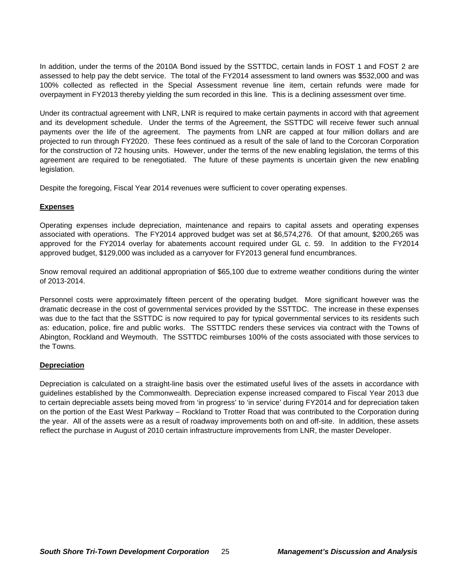In addition, under the terms of the 2010A Bond issued by the SSTTDC, certain lands in FOST 1 and FOST 2 are assessed to help pay the debt service. The total of the FY2014 assessment to land owners was \$532,000 and was 100% collected as reflected in the Special Assessment revenue line item, certain refunds were made for overpayment in FY2013 thereby yielding the sum recorded in this line. This is a declining assessment over time.

Under its contractual agreement with LNR, LNR is required to make certain payments in accord with that agreement and its development schedule. Under the terms of the Agreement, the SSTTDC will receive fewer such annual payments over the life of the agreement. The payments from LNR are capped at four million dollars and are projected to run through FY2020. These fees continued as a result of the sale of land to the Corcoran Corporation for the construction of 72 housing units. However, under the terms of the new enabling legislation, the terms of this agreement are required to be renegotiated. The future of these payments is uncertain given the new enabling legislation.

Despite the foregoing, Fiscal Year 2014 revenues were sufficient to cover operating expenses.

### **Expenses**

Operating expenses include depreciation, maintenance and repairs to capital assets and operating expenses associated with operations. The FY2014 approved budget was set at \$6,574,276. Of that amount, \$200,265 was approved for the FY2014 overlay for abatements account required under GL c. 59. In addition to the FY2014 approved budget, \$129,000 was included as a carryover for FY2013 general fund encumbrances.

Snow removal required an additional appropriation of \$65,100 due to extreme weather conditions during the winter of 2013-2014.

Personnel costs were approximately fifteen percent of the operating budget. More significant however was the dramatic decrease in the cost of governmental services provided by the SSTTDC. The increase in these expenses was due to the fact that the SSTTDC is now required to pay for typical governmental services to its residents such as: education, police, fire and public works. The SSTTDC renders these services via contract with the Towns of Abington, Rockland and Weymouth. The SSTTDC reimburses 100% of the costs associated with those services to the Towns.

### **Depreciation**

Depreciation is calculated on a straight-line basis over the estimated useful lives of the assets in accordance with guidelines established by the Commonwealth. Depreciation expense increased compared to Fiscal Year 2013 due to certain depreciable assets being moved from 'in progress' to 'in service' during FY2014 and for depreciation taken on the portion of the East West Parkway – Rockland to Trotter Road that was contributed to the Corporation during the year. All of the assets were as a result of roadway improvements both on and off-site. In addition, these assets reflect the purchase in August of 2010 certain infrastructure improvements from LNR, the master Developer.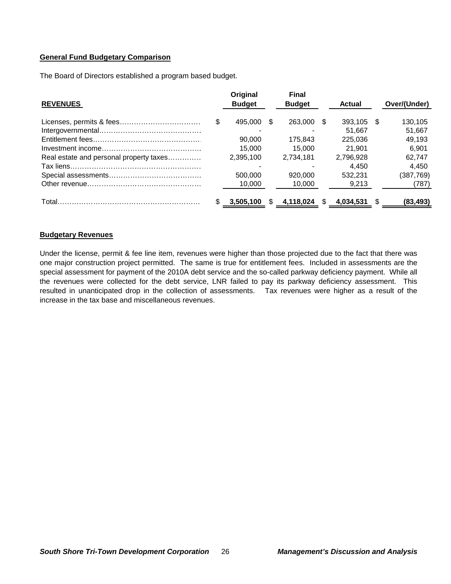### **General Fund Budgetary Comparison**

The Board of Directors established a program based budget.

| <b>REVENUES</b>                         | Original<br><b>Budget</b> |     | <b>Final</b><br><b>Budget</b> |     | <b>Actual</b> |      | Over/(Under) |
|-----------------------------------------|---------------------------|-----|-------------------------------|-----|---------------|------|--------------|
|                                         |                           |     |                               |     |               |      |              |
|                                         | \$<br>495,000             | S   | 263,000                       | \$. | 393.105       | - \$ | 130,105      |
|                                         |                           |     |                               |     | 51.667        |      | 51,667       |
|                                         | 90,000                    |     | 175.843                       |     | 225,036       |      | 49,193       |
|                                         | 15.000                    |     | 15.000                        |     | 21.901        |      | 6.901        |
| Real estate and personal property taxes | 2.395.100                 |     | 2.734.181                     |     | 2,796,928     |      | 62.747       |
|                                         |                           |     |                               |     | 4.450         |      | 4,450        |
|                                         | 500,000                   |     | 920,000                       |     | 532.231       |      | (387,769)    |
|                                         | 10,000                    |     | 10,000                        |     | 9,213         |      | (787)        |
|                                         | 3.505.100                 | \$. | 4.118.024                     |     | 4.034.531     |      | (83, 493)    |

### **Budgetary Revenues**

Under the license, permit & fee line item, revenues were higher than those projected due to the fact that there was one major construction project permitted. The same is true for entitlement fees. Included in assessments are the special assessment for payment of the 2010A debt service and the so-called parkway deficiency payment. While all the revenues were collected for the debt service, LNR failed to pay its parkway deficiency assessment. This resulted in unanticipated drop in the collection of assessments. Tax revenues were higher as a result of the increase in the tax base and miscellaneous revenues.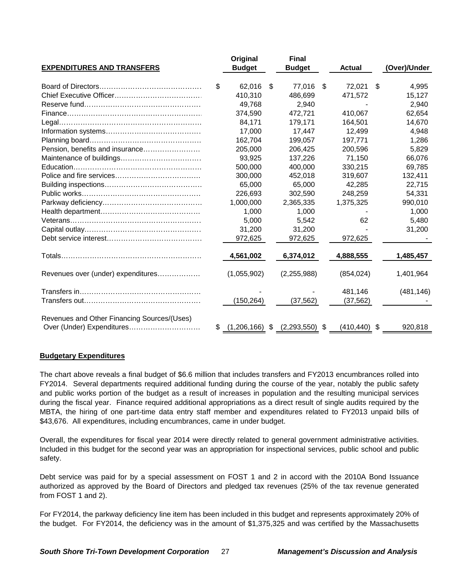|                                             | Original                                | <b>Final</b>  |                 |              |
|---------------------------------------------|-----------------------------------------|---------------|-----------------|--------------|
| <b>EXPENDITURES AND TRANSFERS</b>           | <b>Budget</b>                           | <b>Budget</b> | <b>Actual</b>   | (Over)/Under |
|                                             | \$<br>62,016                            | \$<br>77,016  | \$<br>72,021    | \$<br>4,995  |
|                                             | 410,310                                 | 486,699       | 471,572         | 15,127       |
|                                             | 49,768                                  | 2,940         |                 | 2,940        |
|                                             | 374,590                                 | 472,721       | 410,067         | 62,654       |
|                                             | 84,171                                  | 179,171       | 164,501         | 14,670       |
|                                             | 17,000                                  | 17,447        | 12,499          | 4,948        |
|                                             | 162,704                                 | 199,057       | 197,771         | 1,286        |
| Pension, benefits and insurance             | 205,000                                 | 206,425       | 200,596         | 5,829        |
|                                             | 93,925                                  | 137,226       | 71,150          | 66,076       |
|                                             | 500,000                                 | 400,000       | 330,215         | 69,785       |
|                                             | 300,000                                 | 452,018       | 319,607         | 132,411      |
|                                             | 65,000                                  | 65,000        | 42,285          | 22,715       |
|                                             | 226,693                                 | 302,590       | 248,259         | 54,331       |
|                                             | 1,000,000                               | 2,365,335     | 1,375,325       | 990,010      |
|                                             | 1,000                                   | 1,000         |                 | 1,000        |
|                                             | 5,000                                   | 5,542         | 62              | 5,480        |
|                                             | 31,200                                  | 31,200        |                 | 31,200       |
|                                             | 972,625                                 | 972,625       | 972,625         |              |
|                                             | 4,561,002                               | 6,374,012     | 4,888,555       | 1,485,457    |
| Revenues over (under) expenditures          | (1,055,902)                             | (2, 255, 988) | (854, 024)      | 1,401,964    |
|                                             |                                         |               | 481,146         | (481, 146)   |
|                                             | (150, 264)                              | (37, 562)     | (37, 562)       |              |
| Revenues and Other Financing Sources/(Uses) |                                         |               |                 |              |
| Over (Under) Expenditures                   | $$$ $(1,206,166)$ $$$ $(2,293,550)$ $$$ |               | $(410, 440)$ \$ | 920,818      |

### **Budgetary Expenditures**

The chart above reveals a final budget of \$6.6 million that includes transfers and FY2013 encumbrances rolled into FY2014. Several departments required additional funding during the course of the year, notably the public safety and public works portion of the budget as a result of increases in population and the resulting municipal services during the fiscal year. Finance required additional appropriations as a direct result of single audits required by the MBTA, the hiring of one part-time data entry staff member and expenditures related to FY2013 unpaid bills of \$43,676. All expenditures, including encumbrances, came in under budget.

Overall, the expenditures for fiscal year 2014 were directly related to general government administrative activities. Included in this budget for the second year was an appropriation for inspectional services, public school and public safety.

Debt service was paid for by a special assessment on FOST 1 and 2 in accord with the 2010A Bond Issuance authorized as approved by the Board of Directors and pledged tax revenues (25% of the tax revenue generated from FOST 1 and 2).

For FY2014, the parkway deficiency line item has been included in this budget and represents approximately 20% of the budget. For FY2014, the deficiency was in the amount of \$1,375,325 and was certified by the Massachusetts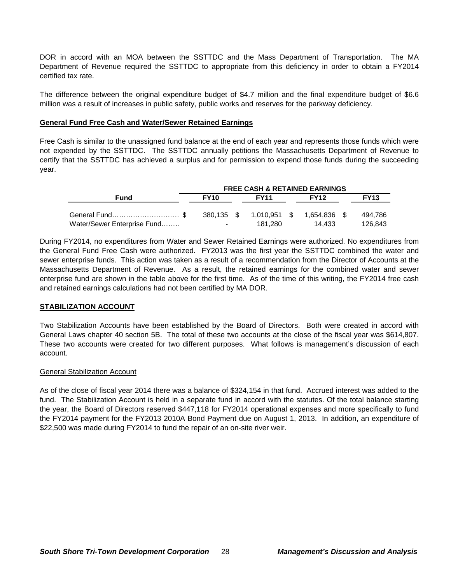DOR in accord with an MOA between the SSTTDC and the Mass Department of Transportation. The MA Department of Revenue required the SSTTDC to appropriate from this deficiency in order to obtain a FY2014 certified tax rate.

The difference between the original expenditure budget of \$4.7 million and the final expenditure budget of \$6.6 million was a result of increases in public safety, public works and reserves for the parkway deficiency.

### **General Fund Free Cash and Water/Sewer Retained Earnings**

Free Cash is similar to the unassigned fund balance at the end of each year and represents those funds which were not expended by the SSTTDC. The SSTTDC annually petitions the Massachusetts Department of Revenue to certify that the SSTTDC has achieved a surplus and for permission to expend those funds during the succeeding year.

|                             |                 | <b>FREE CASH &amp; RETAINED EARNINGS</b> |              |             |
|-----------------------------|-----------------|------------------------------------------|--------------|-------------|
| <b>Fund</b>                 | <b>FY10</b>     | <b>FY11</b>                              | <b>FY12</b>  | <b>FY13</b> |
|                             |                 | 380.135 \$ 1.010.951 \$                  | 1.654.836 \$ | 494.786     |
| Water/Sewer Enterprise Fund | $\qquad \qquad$ | 181.280                                  | 14.433       | 126.843     |

During FY2014, no expenditures from Water and Sewer Retained Earnings were authorized. No expenditures from the General Fund Free Cash were authorized. FY2013 was the first year the SSTTDC combined the water and sewer enterprise funds. This action was taken as a result of a recommendation from the Director of Accounts at the Massachusetts Department of Revenue. As a result, the retained earnings for the combined water and sewer enterprise fund are shown in the table above for the first time. As of the time of this writing, the FY2014 free cash and retained earnings calculations had not been certified by MA DOR.

### **STABILIZATION ACCOUNT**

Two Stabilization Accounts have been established by the Board of Directors. Both were created in accord with General Laws chapter 40 section 5B. The total of these two accounts at the close of the fiscal year was \$614,807. These two accounts were created for two different purposes. What follows is management's discussion of each account.

### General Stabilization Account

As of the close of fiscal year 2014 there was a balance of \$324,154 in that fund. Accrued interest was added to the fund. The Stabilization Account is held in a separate fund in accord with the statutes. Of the total balance starting the year, the Board of Directors reserved \$447,118 for FY2014 operational expenses and more specifically to fund the FY2014 payment for the FY2013 2010A Bond Payment due on August 1, 2013. In addition, an expenditure of \$22,500 was made during FY2014 to fund the repair of an on-site river weir.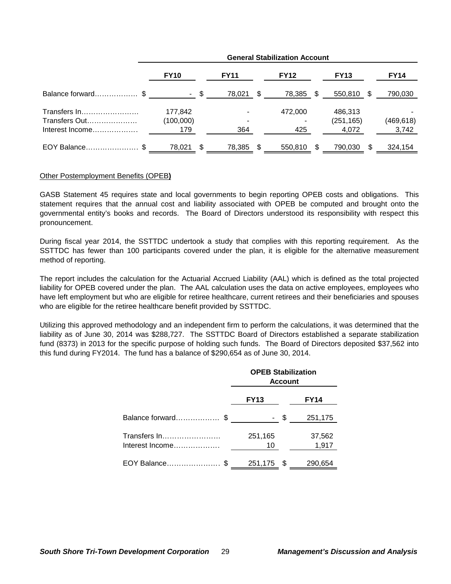|                                                  | <b>General Stabilization Account</b> |  |             |      |                |      |                                |     |                     |  |  |
|--------------------------------------------------|--------------------------------------|--|-------------|------|----------------|------|--------------------------------|-----|---------------------|--|--|
|                                                  | <b>FY10</b>                          |  | <b>FY11</b> |      | <b>FY12</b>    |      | <b>FY13</b>                    |     | <b>FY14</b>         |  |  |
| Balance forward\$                                | - \$                                 |  | 78,021      | - \$ | 78,385         | - \$ | 550,810                        |     | 790,030             |  |  |
| Transfers In<br>Transfers Out<br>Interest Income | 177,842<br>(100,000)<br>179          |  | 364         |      | 472,000<br>425 |      | 486,313<br>(251, 165)<br>4,072 |     | (469, 618)<br>3,742 |  |  |
| EOY Balance\$                                    | 78,021 \$                            |  | 78,385      | - \$ | 550,810        | S.   | 790,030                        | \$. | 324,154             |  |  |

### Other Postemployment Benefits (OPEB**)**

GASB Statement 45 requires state and local governments to begin reporting OPEB costs and obligations. This statement requires that the annual cost and liability associated with OPEB be computed and brought onto the governmental entity's books and records. The Board of Directors understood its responsibility with respect this pronouncement.

During fiscal year 2014, the SSTTDC undertook a study that complies with this reporting requirement. As the SSTTDC has fewer than 100 participants covered under the plan, it is eligible for the alternative measurement method of reporting.

The report includes the calculation for the Actuarial Accrued Liability (AAL) which is defined as the total projected liability for OPEB covered under the plan. The AAL calculation uses the data on active employees, employees who have left employment but who are eligible for retiree healthcare, current retirees and their beneficiaries and spouses who are eligible for the retiree healthcare benefit provided by SSTTDC.

Utilizing this approved methodology and an independent firm to perform the calculations, it was determined that the liability as of June 30, 2014 was \$288,727. The SSTTDC Board of Directors established a separate stabilization fund (8373) in 2013 for the specific purpose of holding such funds. The Board of Directors deposited \$37,562 into this fund during FY2014. The fund has a balance of \$290,654 as of June 30, 2014.

|                                 | <b>OPEB Stabilization</b> | <b>Account</b> |                 |
|---------------------------------|---------------------------|----------------|-----------------|
|                                 | <b>FY13</b>               |                | <b>FY14</b>     |
| Balance forward\$               |                           | - \$           | 251,175         |
| Transfers In<br>Interest Income | 251,165<br>10             |                | 37,562<br>1,917 |
| EOY Balance\$                   | 251,175 \$                |                | 290,654         |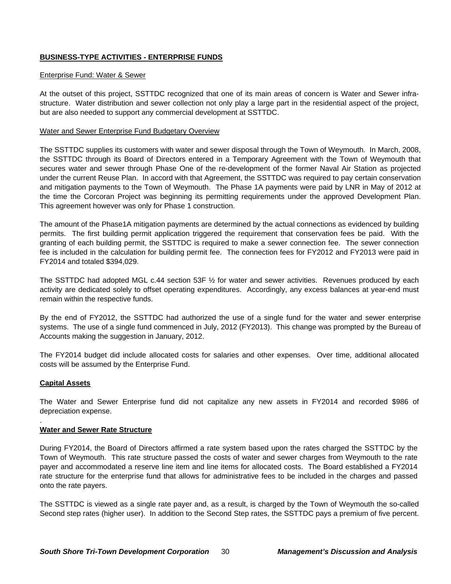### **BUSINESS-TYPE ACTIVITIES - ENTERPRISE FUNDS**

#### Enterprise Fund: Water & Sewer

At the outset of this project, SSTTDC recognized that one of its main areas of concern is Water and Sewer infrastructure. Water distribution and sewer collection not only play a large part in the residential aspect of the project, but are also needed to support any commercial development at SSTTDC.

### Water and Sewer Enterprise Fund Budgetary Overview

The SSTTDC supplies its customers with water and sewer disposal through the Town of Weymouth. In March, 2008, the SSTTDC through its Board of Directors entered in a Temporary Agreement with the Town of Weymouth that secures water and sewer through Phase One of the re-development of the former Naval Air Station as projected under the current Reuse Plan. In accord with that Agreement, the SSTTDC was required to pay certain conservation and mitigation payments to the Town of Weymouth. The Phase 1A payments were paid by LNR in May of 2012 at the time the Corcoran Project was beginning its permitting requirements under the approved Development Plan. This agreement however was only for Phase 1 construction.

The amount of the Phase1A mitigation payments are determined by the actual connections as evidenced by building permits. The first building permit application triggered the requirement that conservation fees be paid. With the granting of each building permit, the SSTTDC is required to make a sewer connection fee. The sewer connection fee is included in the calculation for building permit fee. The connection fees for FY2012 and FY2013 were paid in FY2014 and totaled \$394,029.

The SSTTDC had adopted MGL c.44 section 53F 1/<sub>2</sub> for water and sewer activities. Revenues produced by each activity are dedicated solely to offset operating expenditures. Accordingly, any excess balances at year-end must remain within the respective funds.

By the end of FY2012, the SSTTDC had authorized the use of a single fund for the water and sewer enterprise systems. The use of a single fund commenced in July, 2012 (FY2013). This change was prompted by the Bureau of Accounts making the suggestion in January, 2012.

The FY2014 budget did include allocated costs for salaries and other expenses. Over time, additional allocated costs will be assumed by the Enterprise Fund.

### **Capital Assets**

.

The Water and Sewer Enterprise fund did not capitalize any new assets in FY2014 and recorded \$986 of depreciation expense.

### **Water and Sewer Rate Structure**

During FY2014, the Board of Directors affirmed a rate system based upon the rates charged the SSTTDC by the Town of Weymouth. This rate structure passed the costs of water and sewer charges from Weymouth to the rate payer and accommodated a reserve line item and line items for allocated costs. The Board established a FY2014 rate structure for the enterprise fund that allows for administrative fees to be included in the charges and passed onto the rate payers.

The SSTTDC is viewed as a single rate payer and, as a result, is charged by the Town of Weymouth the so-called Second step rates (higher user). In addition to the Second Step rates, the SSTTDC pays a premium of five percent.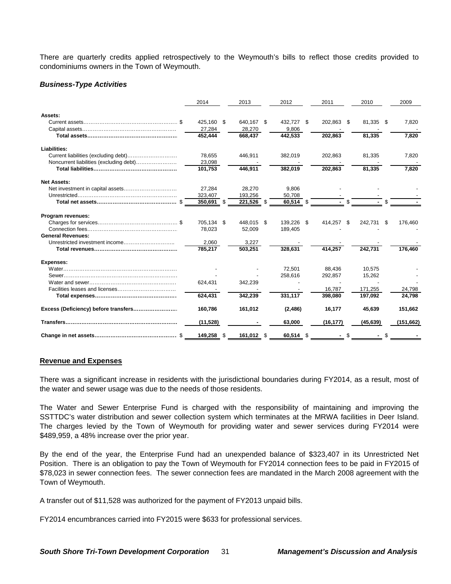There are quarterly credits applied retrospectively to the Weymouth's bills to reflect those credits provided to condominiums owners in the Town of Weymouth.

### *Business-Type Activities*

|                                         | 2014       | 2013       |     | 2012     |     | 2011      |      | 2010       |     | 2009       |
|-----------------------------------------|------------|------------|-----|----------|-----|-----------|------|------------|-----|------------|
| Assets:                                 |            |            |     |          |     |           |      |            |     |            |
|                                         | 425,160 \$ | 640.167    | -\$ | 432,727  | \$  | 202,863   | - \$ | 81,335 \$  |     | 7,820      |
|                                         | 27,284     | 28,270     |     | 9,806    |     |           |      |            |     |            |
|                                         | 452,444    | 668,437    |     | 442,533  |     | 202,863   |      | 81,335     |     | 7,820      |
| Liabilities:                            |            |            |     |          |     |           |      |            |     |            |
| Current liabilities (excluding debt)    | 78.655     | 446,911    |     | 382,019  |     | 202,863   |      | 81,335     |     | 7,820      |
| Noncurrent liabilities (excluding debt) | 23,098     |            |     |          |     |           |      |            |     |            |
|                                         | 101,753    | 446.911    |     | 382,019  |     | 202,863   |      | 81,335     |     | 7,820      |
| <b>Net Assets:</b>                      |            |            |     |          |     |           |      |            |     |            |
|                                         | 27,284     | 28,270     |     | 9,806    |     |           |      |            |     |            |
|                                         | 323,407    | 193,256    |     | 50,708   |     |           |      |            |     |            |
|                                         | 350,691 \$ | 221.526    | \$  | 60,514   | \$  |           | \$   |            | \$. |            |
| Program revenues:                       |            |            |     |          |     |           |      |            |     |            |
|                                         | 705.134 \$ | 448.015    | \$  | 139,226  | \$. | 414,257   | \$   | 242,731 \$ |     | 176,460    |
|                                         | 78,023     | 52,009     |     | 189,405  |     |           |      |            |     |            |
| <b>General Revenues:</b>                |            |            |     |          |     |           |      |            |     |            |
|                                         | 2,060      | 3,227      |     |          |     |           |      |            |     |            |
|                                         | 785,217    | 503,251    |     | 328.631  |     | 414,257   |      | 242,731    |     | 176,460    |
| <b>Expenses:</b>                        |            |            |     |          |     |           |      |            |     |            |
|                                         |            |            |     | 72,501   |     | 88,436    |      | 10,575     |     |            |
|                                         |            |            |     | 258,616  |     | 292,857   |      | 15,262     |     |            |
|                                         | 624,431    | 342,239    |     |          |     |           |      |            |     |            |
|                                         |            |            |     |          |     | 16,787    |      | 171,255    |     | 24,798     |
|                                         | 624.431    | 342,239    |     | 331,117  |     | 398,080   |      | 197,092    |     | 24,798     |
| Excess (Deficiency) before transfers    | 160,786    | 161,012    |     | (2, 486) |     | 16,177    |      | 45,639     |     | 151,662    |
|                                         | (11, 528)  |            |     | 63,000   |     | (16, 177) |      | (45, 639)  |     | (151, 662) |
|                                         | 149,258 \$ | 161,012 \$ |     | 60,514   | \$  |           |      |            | \$  |            |

### **Revenue and Expenses**

There was a significant increase in residents with the jurisdictional boundaries during FY2014, as a result, most of the water and sewer usage was due to the needs of those residents.

The Water and Sewer Enterprise Fund is charged with the responsibility of maintaining and improving the SSTTDC's water distribution and sewer collection system which terminates at the MRWA facilities in Deer Island. The charges levied by the Town of Weymouth for providing water and sewer services during FY2014 were \$489,959, a 48% increase over the prior year.

By the end of the year, the Enterprise Fund had an unexpended balance of \$323,407 in its Unrestricted Net Position. There is an obligation to pay the Town of Weymouth for FY2014 connection fees to be paid in FY2015 of \$78,023 in sewer connection fees. The sewer connection fees are mandated in the March 2008 agreement with the Town of Weymouth.

A transfer out of \$11,528 was authorized for the payment of FY2013 unpaid bills.

FY2014 encumbrances carried into FY2015 were \$633 for professional services.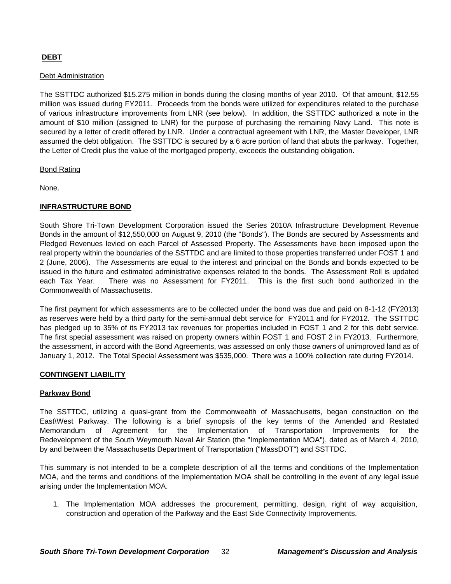### **DEBT**

### Debt Administration

The SSTTDC authorized \$15.275 million in bonds during the closing months of year 2010. Of that amount, \$12.55 million was issued during FY2011. Proceeds from the bonds were utilized for expenditures related to the purchase of various infrastructure improvements from LNR (see below). In addition, the SSTTDC authorized a note in the amount of \$10 million (assigned to LNR) for the purpose of purchasing the remaining Navy Land. This note is secured by a letter of credit offered by LNR. Under a contractual agreement with LNR, the Master Developer, LNR assumed the debt obligation. The SSTTDC is secured by a 6 acre portion of land that abuts the parkway. Together, the Letter of Credit plus the value of the mortgaged property, exceeds the outstanding obligation.

### Bond Rating

None.

### **INFRASTRUCTURE BOND**

South Shore Tri-Town Development Corporation issued the Series 2010A Infrastructure Development Revenue Bonds in the amount of \$12,550,000 on August 9, 2010 (the "Bonds"). The Bonds are secured by Assessments and Pledged Revenues levied on each Parcel of Assessed Property. The Assessments have been imposed upon the real property within the boundaries of the SSTTDC and are limited to those properties transferred under FOST 1 and 2 (June, 2006). The Assessments are equal to the interest and principal on the Bonds and bonds expected to be issued in the future and estimated administrative expenses related to the bonds. The Assessment Roll is updated each Tax Year. There was no Assessment for FY2011. This is the first such bond authorized in the Commonwealth of Massachusetts.

The first payment for which assessments are to be collected under the bond was due and paid on 8-1-12 (FY2013) as reserves were held by a third party for the semi-annual debt service for FY2011 and for FY2012. The SSTTDC has pledged up to 35% of its FY2013 tax revenues for properties included in FOST 1 and 2 for this debt service. The first special assessment was raised on property owners within FOST 1 and FOST 2 in FY2013. Furthermore, the assessment, in accord with the Bond Agreements, was assessed on only those owners of unimproved land as of January 1, 2012. The Total Special Assessment was \$535,000. There was a 100% collection rate during FY2014.

### **CONTINGENT LIABILITY**

### **Parkway Bond**

The SSTTDC, utilizing a quasi-grant from the Commonwealth of Massachusetts, began construction on the East\West Parkway. The following is a brief synopsis of the key terms of the Amended and Restated Memorandum of Agreement for the Implementation of Transportation Improvements for the Redevelopment of the South Weymouth Naval Air Station (the "Implementation MOA"), dated as of March 4, 2010, by and between the Massachusetts Department of Transportation ("MassDOT") and SSTTDC.

This summary is not intended to be a complete description of all the terms and conditions of the Implementation MOA, and the terms and conditions of the Implementation MOA shall be controlling in the event of any legal issue arising under the Implementation MOA.

1. The Implementation MOA addresses the procurement, permitting, design, right of way acquisition, construction and operation of the Parkway and the East Side Connectivity Improvements.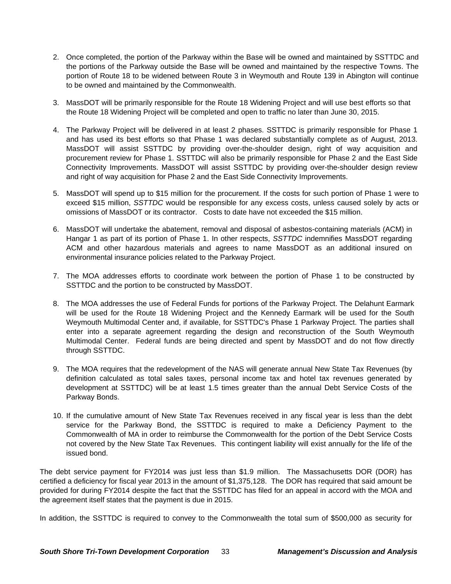- 2. Once completed, the portion of the Parkway within the Base will be owned and maintained by SSTTDC and the portions of the Parkway outside the Base will be owned and maintained by the respective Towns. The portion of Route 18 to be widened between Route 3 in Weymouth and Route 139 in Abington will continue to be owned and maintained by the Commonwealth.
- 3. MassDOT will be primarily responsible for the Route 18 Widening Project and will use best efforts so that the Route 18 Widening Project will be completed and open to traffic no later than June 30, 2015.
- 4. The Parkway Project will be delivered in at least 2 phases. SSTTDC is primarily responsible for Phase 1 and has used its best efforts so that Phase 1 was declared substantially complete as of August, 2013. MassDOT will assist SSTTDC by providing over-the-shoulder design, right of way acquisition and procurement review for Phase 1. SSTTDC will also be primarily responsible for Phase 2 and the East Side Connectivity Improvements. MassDOT will assist SSTTDC by providing over-the-shoulder design review and right of way acquisition for Phase 2 and the East Side Connectivity Improvements.
- 5. MassDOT will spend up to \$15 million for the procurement. If the costs for such portion of Phase 1 were to exceed \$15 million, *SSTTDC* would be responsible for any excess costs, unless caused solely by acts or omissions of MassDOT or its contractor. Costs to date have not exceeded the \$15 million.
- 6. MassDOT will undertake the abatement, removal and disposal of asbestos-containing materials (ACM) in Hangar 1 as part of its portion of Phase 1. In other respects, *SSTTDC* indemnifies MassDOT regarding ACM and other hazardous materials and agrees to name MassDOT as an additional insured on environmental insurance policies related to the Parkway Project.
- 7. The MOA addresses efforts to coordinate work between the portion of Phase 1 to be constructed by SSTTDC and the portion to be constructed by MassDOT.
- 8. The MOA addresses the use of Federal Funds for portions of the Parkway Project. The Delahunt Earmark will be used for the Route 18 Widening Project and the Kennedy Earmark will be used for the South Weymouth Multimodal Center and, if available, for SSTTDC's Phase 1 Parkway Project. The parties shall enter into a separate agreement regarding the design and reconstruction of the South Weymouth Multimodal Center. Federal funds are being directed and spent by MassDOT and do not flow directly through SSTTDC.
- 9. The MOA requires that the redevelopment of the NAS will generate annual New State Tax Revenues (by definition calculated as total sales taxes, personal income tax and hotel tax revenues generated by development at SSTTDC) will be at least 1.5 times greater than the annual Debt Service Costs of the Parkway Bonds.
- 10. If the cumulative amount of New State Tax Revenues received in any fiscal year is less than the debt service for the Parkway Bond, the SSTTDC is required to make a Deficiency Payment to the Commonwealth of MA in order to reimburse the Commonwealth for the portion of the Debt Service Costs not covered by the New State Tax Revenues. This contingent liability will exist annually for the life of the issued bond.

The debt service payment for FY2014 was just less than \$1.9 million. The Massachusetts DOR (DOR) has certified a deficiency for fiscal year 2013 in the amount of \$1,375,128. The DOR has required that said amount be provided for during FY2014 despite the fact that the SSTTDC has filed for an appeal in accord with the MOA and the agreement itself states that the payment is due in 2015.

In addition, the SSTTDC is required to convey to the Commonwealth the total sum of \$500,000 as security for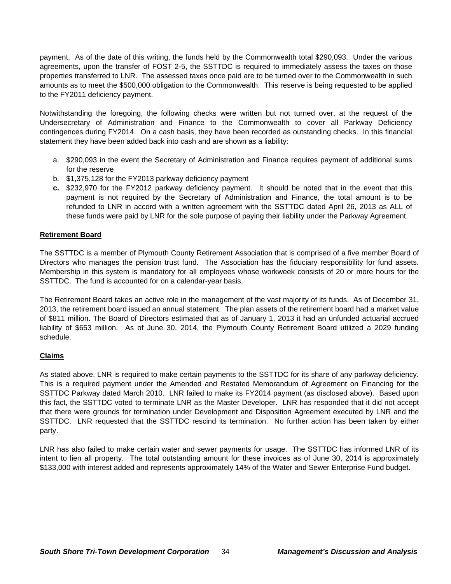payment. As of the date of this writing, the funds held by the Commonwealth total \$290,093. Under the various agreements, upon the transfer of FOST 2-5, the SSTTDC is required to immediately assess the taxes on those properties transferred to LNR. The assessed taxes once paid are to be turned over to the Commonwealth in such amounts as to meet the \$500,000 obligation to the Commonwealth. This reserve is being requested to be applied to the FY2011 deficiency payment.

Notwithstanding the foregoing, the following checks were written but not turned over, at the request of the Undersecretary of Administration and Finance to the Commonwealth to cover all Parkway Deficiency contingences during FY2014. On a cash basis, they have been recorded as outstanding checks. In this financial statement they have been added back into cash and are shown as a liability:

- a. \$290,093 in the event the Secretary of Administration and Finance requires payment of additional sums for the reserve
- b. \$1,375,128 for the FY2013 parkway deficiency payment
- **c.** \$232,970 for the FY2012 parkway deficiency payment. It should be noted that in the event that this payment is not required by the Secretary of Administration and Finance, the total amount is to be refunded to LNR in accord with a written agreement with the SSTTDC dated April 26, 2013 as ALL of these funds were paid by LNR for the sole purpose of paying their liability under the Parkway Agreement.

### **Retirement Board**

The SSTTDC is a member of Plymouth County Retirement Association that is comprised of a five member Board of Directors who manages the pension trust fund. The Association has the fiduciary responsibility for fund assets. Membership in this system is mandatory for all employees whose workweek consists of 20 or more hours for the SSTTDC. The fund is accounted for on a calendar-year basis.

The Retirement Board takes an active role in the management of the vast majority of its funds. As of December 31, 2013, the retirement board issued an annual statement. The plan assets of the retirement board had a market value of \$811 million. The Board of Directors estimated that as of January 1, 2013 it had an unfunded actuarial accrued liability of \$653 million. As of June 30, 2014, the Plymouth County Retirement Board utilized a 2029 funding schedule.

### **Claims**

As stated above, LNR is required to make certain payments to the SSTTDC for its share of any parkway deficiency. This is a required payment under the Amended and Restated Memorandum of Agreement on Financing for the SSTTDC Parkway dated March 2010. LNR failed to make its FY2014 payment (as disclosed above). Based upon this fact, the SSTTDC voted to terminate LNR as the Master Developer. LNR has responded that it did not accept that there were grounds for termination under Development and Disposition Agreement executed by LNR and the SSTTDC. LNR requested that the SSTTDC rescind its termination. No further action has been taken by either party.

LNR has also failed to make certain water and sewer payments for usage. The SSTTDC has informed LNR of its intent to lien all property. The total outstanding amount for these invoices as of June 30, 2014 is approximately \$133,000 with interest added and represents approximately 14% of the Water and Sewer Enterprise Fund budget.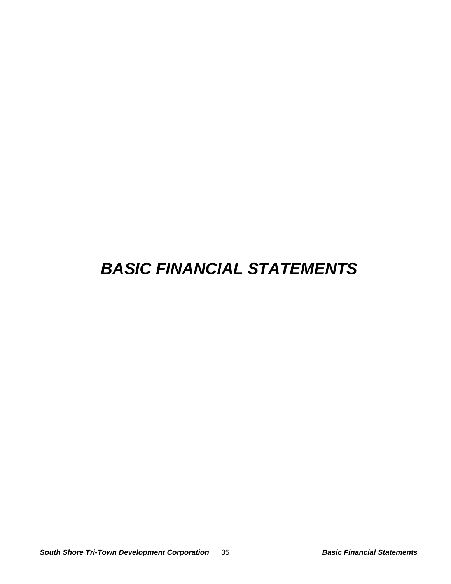# *BASIC FINANCIAL STATEMENTS*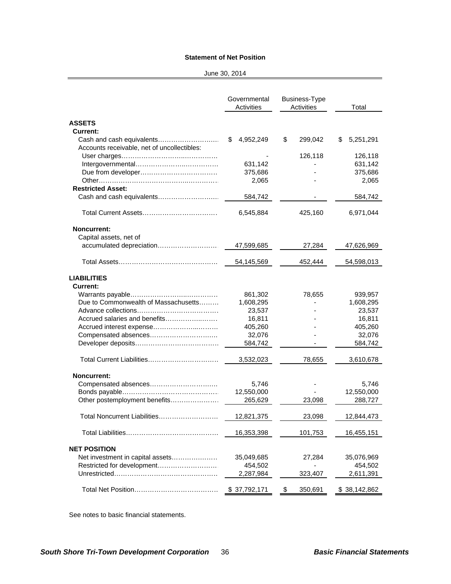## **Statement of Net Position**

## June 30, 2014

|                                             | Governmental<br>Activities | <b>Business-Type</b><br>Activities | Total           |
|---------------------------------------------|----------------------------|------------------------------------|-----------------|
| <b>ASSETS</b>                               |                            |                                    |                 |
| <b>Current:</b>                             |                            |                                    |                 |
|                                             | 4,952,249<br>\$            | \$<br>299,042                      | \$<br>5,251,291 |
| Accounts receivable, net of uncollectibles: |                            |                                    |                 |
|                                             |                            | 126,118                            | 126,118         |
|                                             | 631,142                    |                                    | 631,142         |
|                                             | 375,686                    |                                    | 375,686         |
|                                             | 2,065                      |                                    | 2,065           |
| <b>Restricted Asset:</b>                    |                            |                                    |                 |
|                                             | 584,742                    |                                    | 584,742         |
|                                             |                            | 425,160                            | 6,971,044       |
|                                             | 6,545,884                  |                                    |                 |
| <b>Noncurrent:</b>                          |                            |                                    |                 |
| Capital assets, net of                      |                            |                                    |                 |
| accumulated depreciation                    | 47,599,685                 | 27,284                             | 47,626,969      |
|                                             | 54,145,569                 | 452,444                            | 54,598,013      |
| <b>LIABILITIES</b>                          |                            |                                    |                 |
| <b>Current:</b>                             |                            |                                    |                 |
|                                             | 861,302                    | 78,655                             | 939,957         |
| Due to Commonwealth of Massachusetts        | 1,608,295                  |                                    | 1,608,295       |
|                                             | 23,537                     |                                    | 23,537          |
| Accrued salaries and benefits               | 16,811                     |                                    | 16,811          |
| Accrued interest expense                    | 405,260                    |                                    | 405,260         |
|                                             | 32,076                     |                                    | 32,076          |
|                                             | 584,742                    |                                    | 584,742         |
| Total Current Liabilities                   | 3,532,023                  | 78,655                             | 3,610,678       |
| <b>Noncurrent:</b>                          |                            |                                    |                 |
|                                             | 5,746                      |                                    | 5,746           |
|                                             | 12,550,000                 |                                    | 12,550,000      |
| Other postemployment benefits               | 265,629                    | 23,098                             | 288,727         |
|                                             |                            |                                    |                 |
| Total Noncurrent Liabilities                | 12,821,375                 | 23,098                             | 12,844,473      |
|                                             | 16,353,398                 | 101,753                            | 16,455,151      |
| <b>NET POSITION</b>                         |                            |                                    |                 |
| Net investment in capital assets            | 35,049,685                 | 27,284                             | 35,076,969      |
|                                             | 454,502                    |                                    | 454,502         |
|                                             | 2,287,984                  | 323,407                            | 2,611,391       |
|                                             | \$37,792,171               | \$<br>350,691                      | \$38,142,862    |

See notes to basic financial statements.

 $\overline{\phantom{0}}$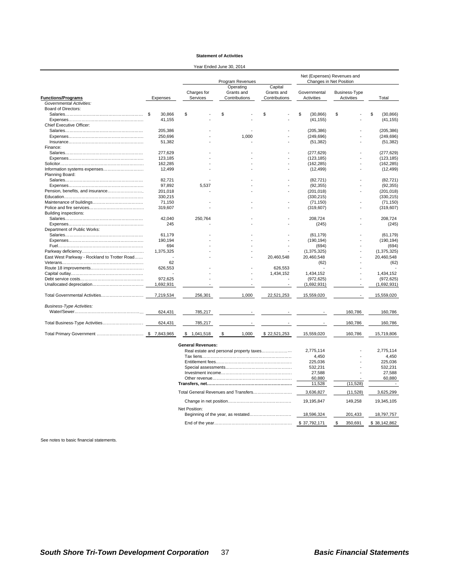| <b>Statement of Activities</b> |
|--------------------------------|
|                                |

Year Ended June 30, 2014

| Program Revenues                                |             |                          |                                         | Net (Expenses) Revenues and<br>Changes in Net Position |                 |                      |               |
|-------------------------------------------------|-------------|--------------------------|-----------------------------------------|--------------------------------------------------------|-----------------|----------------------|---------------|
|                                                 |             | Charges for              | Operating<br>Grants and                 | Capital<br>Grants and                                  | Governmental    | <b>Business-Type</b> |               |
| <b>Functions/Programs</b>                       | Expenses    | Services                 | Contributions                           | Contributions                                          | Activities      | Activities           | Total         |
| Governmental Activities:                        |             |                          |                                         |                                                        |                 |                      |               |
| <b>Board of Directors:</b>                      |             |                          |                                         |                                                        |                 |                      | \$            |
|                                                 | 30,866<br>S | \$                       | \$                                      | \$                                                     | \$<br>(30, 866) | \$                   | (30, 866)     |
|                                                 | 41,155      |                          |                                         |                                                        | (41, 155)       |                      | (41, 155)     |
| Chief Executive Officer:                        |             |                          |                                         |                                                        |                 |                      |               |
|                                                 | 205,386     |                          |                                         |                                                        | (205, 386)      |                      | (205, 386)    |
|                                                 | 250,696     |                          | 1,000                                   |                                                        | (249, 696)      |                      | (249, 696)    |
|                                                 | 51,382      |                          |                                         |                                                        | (51, 382)       |                      | (51, 382)     |
| Finance:                                        |             |                          |                                         |                                                        |                 |                      |               |
|                                                 | 277,629     |                          |                                         |                                                        | (277, 629)      |                      | (277, 629)    |
|                                                 | 123,185     |                          |                                         |                                                        | (123, 185)      |                      | (123, 185)    |
|                                                 | 162,285     |                          |                                         |                                                        | (162, 285)      |                      | (162, 285)    |
| Information systems expenses<br>Planning Board: | 12,499      |                          |                                         |                                                        | (12, 499)       | ٠                    | (12, 499)     |
|                                                 | 82,721      |                          |                                         |                                                        | (82, 721)       |                      | (82, 721)     |
|                                                 | 97,892      | 5,537                    |                                         |                                                        | (92, 355)       |                      | (92, 355)     |
| Pension, benefits, and insurance                | 201,018     |                          |                                         |                                                        | (201, 018)      |                      | (201, 018)    |
|                                                 | 330,215     |                          |                                         |                                                        | (330, 215)      |                      | (330, 215)    |
|                                                 | 71,150      |                          |                                         |                                                        | (71, 150)       |                      | (71, 150)     |
|                                                 | 319,607     |                          |                                         |                                                        | (319, 607)      |                      | (319, 607)    |
| Building inspections:                           |             |                          |                                         |                                                        |                 |                      |               |
|                                                 | 42,040      | 250,764                  |                                         |                                                        | 208,724         |                      | 208,724       |
|                                                 | 245         |                          |                                         |                                                        | (245)           |                      | (245)         |
| Department of Public Works:                     |             |                          |                                         |                                                        |                 |                      |               |
|                                                 | 61,179      |                          |                                         |                                                        | (61, 179)       |                      | (61, 179)     |
|                                                 | 190,194     |                          |                                         |                                                        | (190, 194)      |                      | (190, 194)    |
|                                                 | 694         |                          |                                         |                                                        | (694)           |                      | (694)         |
|                                                 | 1,375,325   |                          |                                         |                                                        | (1,375,325)     |                      | (1, 375, 325) |
| East West Parkway - Rockland to Trotter Road    |             |                          |                                         | 20,460,548                                             | 20,460,548      |                      | 20,460,548    |
|                                                 | 62          |                          |                                         |                                                        | (62)            |                      | (62)          |
|                                                 | 626,553     |                          |                                         | 626,553                                                |                 |                      |               |
|                                                 |             |                          |                                         | 1,434,152                                              | 1,434,152       |                      | 1,434,152     |
|                                                 | 972,625     |                          |                                         |                                                        | (972, 625)      |                      | (972, 625)    |
|                                                 | 1,692,931   |                          |                                         |                                                        | (1,692,931)     |                      | (1,692,931)   |
| Total Governmental Activities                   | 7,219,534   | 256,301                  | 1,000                                   | 22,521,253                                             | 15,559,020      |                      | 15,559,020    |
|                                                 |             |                          |                                         |                                                        |                 |                      |               |
| <b>Business-Type Activities:</b>                |             |                          |                                         |                                                        |                 |                      |               |
|                                                 | 624,431     | 785,217                  |                                         |                                                        |                 | 160,786              | 160,786       |
|                                                 | 624,431     | 785,217                  |                                         |                                                        |                 | 160,786              | 160,786       |
|                                                 | \$7,843,965 | \$1,041,518              | \$<br>1,000                             | \$22,521,253                                           | 15,559,020      | 160,786              | 15,719,806    |
|                                                 |             | <b>General Revenues:</b> |                                         |                                                        |                 |                      |               |
|                                                 |             |                          | Real estate and personal property taxes |                                                        | 2,775,114       |                      | 2,775,114     |
|                                                 |             |                          |                                         |                                                        | 4,450           |                      | 4,450         |
|                                                 |             |                          |                                         |                                                        | 225,036         |                      | 225,036       |
|                                                 |             |                          |                                         |                                                        | 532,231         |                      | 532,231       |
|                                                 |             |                          |                                         |                                                        | 27,588          |                      | 27,588        |
|                                                 |             |                          |                                         |                                                        | 60,880          |                      | 60,880        |
|                                                 |             |                          |                                         |                                                        | 11,528          | (11, 528)            |               |

Net Position:

Total General Revenues and Transfers……………………… 3,636,827 (11,528) 3,625,299 Change in net position……………………………………… 19,195,847 149,258 19,345,105

Beginning of the year, as restated……………………… 18,596,324 201,433 18,797,757 End of the year……………………………………………… 37,792,171 \$ 350,691 \$ 38,142,862 \$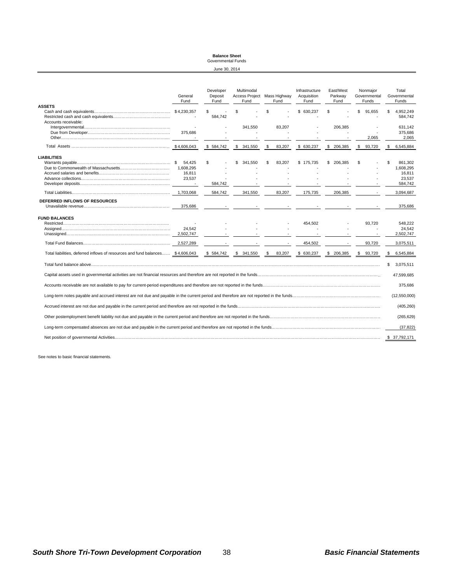# **Balance Sheet** Governmental Funds

June 30, 2014

|                                                                                | General<br>Fund                              | Developer<br>Deposit<br>Fund | Multimodal<br>Fund | Access Project Mass Highway<br>Fund | Infrastructure<br>Acquisition<br>Fund | East/West<br>Parkway<br>Fund | Nonmajor<br>Governmental<br>Funds | Total<br>Governmental<br><b>Funds</b>         |
|--------------------------------------------------------------------------------|----------------------------------------------|------------------------------|--------------------|-------------------------------------|---------------------------------------|------------------------------|-----------------------------------|-----------------------------------------------|
| <b>ASSETS</b>                                                                  | \$4,230,357                                  | \$<br>584,742                | £.                 | \$                                  | \$ 630,237                            | \$                           | 91,655<br>S                       | S<br>4,952,249<br>584,742                     |
| Accounts receivable:                                                           | ÷<br>375,686                                 |                              | 341.550            | 83,207                              |                                       | 206.385                      | 2,065                             | 631.142<br>375,686<br>2,065                   |
|                                                                                | \$4,606,043                                  | \$584,742                    | -S<br>341,550      | 83,207<br>S                         | \$ 630,237                            | S<br>206,385                 | \$<br>93,720                      | 6,545,884<br>S.                               |
| <b>LIABILITIES</b>                                                             | 54,425<br>S<br>1.608.295<br>16,811<br>23,537 | \$                           | 341.550            | 83.207<br>\$                        | \$175.735                             | S<br>206.385                 | £.                                | 861,302<br>۹<br>1,608,295<br>16,811<br>23,537 |
|                                                                                |                                              | 584,742                      |                    |                                     |                                       |                              |                                   | 584.742                                       |
|                                                                                | 1.703.068                                    | 584,742                      | 341,550            | 83.207                              | 175,735                               | 206,385                      |                                   | 3,094,687                                     |
| DEFERRED INFLOWS OF RESOURCES                                                  | 375.686                                      |                              |                    |                                     |                                       |                              |                                   | 375,686                                       |
| <b>FUND BALANCES</b>                                                           | 24,542<br>2,502,747                          |                              |                    |                                     | 454,502                               |                              | 93,720                            | 548,222<br>24,542<br>2,502,747                |
|                                                                                | 2,527,289                                    |                              |                    |                                     | 454,502                               |                              | 93,720                            | 3,075,511                                     |
| Total liabilities, deferred inflows of resources and fund balances \$4,606,043 |                                              | \$584,742                    | \$<br>341,550      | 83,207<br>S                         | \$ 630,237                            | \$ 206,385                   | 93,720                            | S<br>6,545,884                                |
|                                                                                |                                              |                              |                    |                                     |                                       |                              |                                   | S<br>3.075.511                                |
|                                                                                |                                              |                              |                    |                                     |                                       |                              |                                   | 47,599,685                                    |
|                                                                                |                                              |                              |                    |                                     |                                       |                              |                                   | 375,686                                       |
|                                                                                |                                              |                              |                    |                                     |                                       |                              |                                   | (12,550,000)                                  |
|                                                                                |                                              |                              |                    |                                     |                                       |                              |                                   | (405, 260)                                    |
|                                                                                |                                              |                              |                    |                                     |                                       |                              |                                   | (265, 629)                                    |
|                                                                                |                                              |                              |                    |                                     |                                       |                              |                                   | (37, 822)                                     |
|                                                                                |                                              |                              |                    |                                     |                                       |                              |                                   | \$ 37,792,171                                 |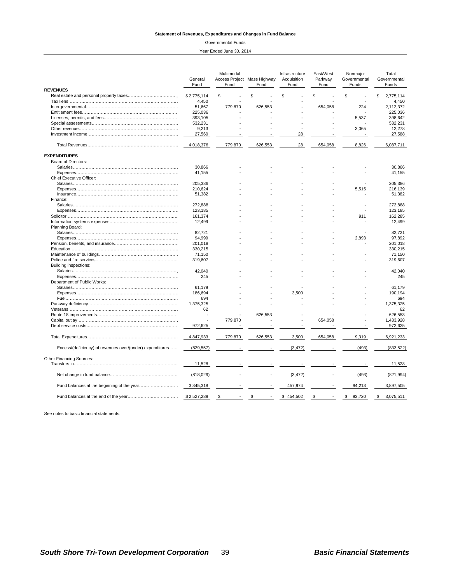Governmental Funds

Year Ended June 30, 2014

|                                                           | General<br>Fund | Multimodal<br>Access Project Mass Highway<br>Fund | Fund    | Infrastructure<br>Acquisition<br>Fund | East/West<br>Parkway<br>Fund | Nonmajor<br>Governmental<br>Funds | Total<br>Governmental<br>Funds |
|-----------------------------------------------------------|-----------------|---------------------------------------------------|---------|---------------------------------------|------------------------------|-----------------------------------|--------------------------------|
| <b>REVENUES</b>                                           |                 |                                                   |         |                                       |                              |                                   |                                |
|                                                           | \$2,775,114     | \$                                                | \$.     | \$                                    | S                            | \$                                | \$<br>2,775,114                |
|                                                           | 4,450           |                                                   |         |                                       |                              |                                   | 4,450                          |
|                                                           | 51,667          | 779,870                                           | 626,553 |                                       | 654,058                      | 224                               | 2,112,372                      |
|                                                           | 225,036         |                                                   |         |                                       |                              |                                   | 225,036                        |
|                                                           | 393,105         |                                                   |         |                                       |                              | 5,537                             | 398,642                        |
|                                                           | 532,231         |                                                   |         |                                       |                              |                                   | 532,231                        |
|                                                           | 9,213           |                                                   |         |                                       |                              | 3,065                             | 12,278                         |
|                                                           | 27,560          |                                                   |         | 28                                    |                              |                                   | 27,588                         |
|                                                           | 4,018,376       | 779,870                                           | 626,553 | 28                                    | 654,058                      | 8,826                             | 6,087,711                      |
| <b>EXPENDITURES</b>                                       |                 |                                                   |         |                                       |                              |                                   |                                |
| Board of Directors:                                       |                 |                                                   |         |                                       |                              |                                   |                                |
|                                                           | 30.866          |                                                   |         |                                       |                              |                                   | 30.866                         |
|                                                           | 41,155          |                                                   |         |                                       |                              |                                   | 41,155                         |
| <b>Chief Executive Officer:</b>                           |                 |                                                   |         |                                       |                              |                                   |                                |
|                                                           | 205,386         |                                                   |         |                                       |                              |                                   | 205,386                        |
|                                                           | 210,624         |                                                   |         |                                       |                              | 5,515                             | 216,139                        |
|                                                           | 51,382          |                                                   |         |                                       |                              |                                   | 51,382                         |
| Finance:                                                  |                 |                                                   |         |                                       |                              |                                   |                                |
|                                                           | 272,888         |                                                   |         |                                       |                              |                                   | 272,888                        |
|                                                           | 123,185         |                                                   |         |                                       |                              |                                   | 123,185                        |
|                                                           | 161,374         |                                                   |         |                                       |                              | 911                               | 162,285                        |
|                                                           | 12,499          |                                                   |         |                                       |                              |                                   | 12,499                         |
| Planning Board:                                           |                 |                                                   |         |                                       |                              |                                   |                                |
|                                                           | 82,721          |                                                   |         |                                       |                              |                                   | 82,721                         |
|                                                           | 94,999          |                                                   |         |                                       |                              | 2,893                             | 97,892                         |
|                                                           | 201,018         |                                                   |         |                                       |                              |                                   | 201,018                        |
|                                                           | 330,215         |                                                   |         |                                       |                              |                                   | 330,215                        |
|                                                           | 71,150          |                                                   |         |                                       |                              |                                   | 71,150                         |
|                                                           | 319,607         |                                                   |         |                                       |                              |                                   | 319,607                        |
| Building inspections:                                     |                 |                                                   |         |                                       |                              |                                   |                                |
|                                                           | 42,040          |                                                   |         |                                       |                              |                                   | 42,040                         |
|                                                           | 245             |                                                   |         |                                       |                              |                                   | 245                            |
| Department of Public Works:                               |                 |                                                   |         |                                       |                              |                                   |                                |
|                                                           | 61,179          |                                                   |         |                                       |                              |                                   | 61,179                         |
|                                                           | 186,694         |                                                   |         | 3,500                                 |                              |                                   | 190,194                        |
|                                                           | 694             |                                                   |         |                                       |                              |                                   | 694                            |
|                                                           | 1,375,325       |                                                   |         |                                       |                              |                                   | 1,375,325                      |
|                                                           | 62              |                                                   |         |                                       |                              |                                   | 62                             |
|                                                           |                 |                                                   | 626,553 |                                       |                              |                                   | 626,553                        |
|                                                           |                 | 779,870                                           |         |                                       | 654,058                      |                                   | 1,433,928                      |
|                                                           | 972,625         |                                                   |         |                                       |                              |                                   | 972,625                        |
|                                                           | 4,847,933       | 779,870                                           | 626,553 | 3,500                                 | 654,058                      | 9,319                             | 6,921,233                      |
| Excess/(deficiency) of revenues over/(under) expenditures | (829, 557)      |                                                   |         | (3, 472)                              |                              | (493)                             | (833, 522)                     |
| Other Financing Sources:                                  |                 |                                                   |         |                                       |                              |                                   |                                |
|                                                           | 11,528          |                                                   |         |                                       |                              |                                   | 11,528                         |
|                                                           | (818, 029)      |                                                   |         | (3, 472)                              |                              | (493)                             | (821, 994)                     |
|                                                           | 3,345,318       |                                                   |         | 457,974                               |                              | 94,213                            | 3,897,505                      |
|                                                           | \$2,527,289     | \$                                                | \$      | \$<br>454,502                         | \$                           | \$<br>93,720                      | 3,075,511                      |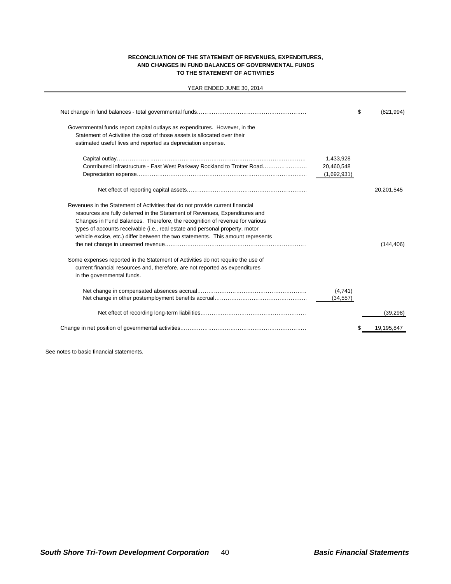#### **RECONCILIATION OF THE STATEMENT OF REVENUES, EXPENDITURES, AND CHANGES IN FUND BALANCES OF GOVERNMENTAL FUNDS TO THE STATEMENT OF ACTIVITIES**

#### YEAR ENDED JUNE 30, 2014

|                                                                                                                                                                                                                                                                                                                                                                                                                |                                        | \$<br>(821, 994) |
|----------------------------------------------------------------------------------------------------------------------------------------------------------------------------------------------------------------------------------------------------------------------------------------------------------------------------------------------------------------------------------------------------------------|----------------------------------------|------------------|
| Governmental funds report capital outlays as expenditures. However, in the<br>Statement of Activities the cost of those assets is allocated over their<br>estimated useful lives and reported as depreciation expense.                                                                                                                                                                                         |                                        |                  |
| Contributed infrastructure - East West Parkway Rockland to Trotter Road                                                                                                                                                                                                                                                                                                                                        | 1,433,928<br>20,460,548<br>(1,692,931) |                  |
|                                                                                                                                                                                                                                                                                                                                                                                                                |                                        | 20,201,545       |
| Revenues in the Statement of Activities that do not provide current financial<br>resources are fully deferred in the Statement of Revenues, Expenditures and<br>Changes in Fund Balances. Therefore, the recognition of revenue for various<br>types of accounts receivable (i.e., real estate and personal property, motor<br>vehicle excise, etc.) differ between the two statements. This amount represents |                                        | (144, 406)       |
| Some expenses reported in the Statement of Activities do not require the use of<br>current financial resources and, therefore, are not reported as expenditures<br>in the governmental funds.                                                                                                                                                                                                                  |                                        |                  |
|                                                                                                                                                                                                                                                                                                                                                                                                                | (4,741)<br>(34, 557)                   |                  |
|                                                                                                                                                                                                                                                                                                                                                                                                                |                                        | (39, 298)        |
|                                                                                                                                                                                                                                                                                                                                                                                                                |                                        | 19,195,847       |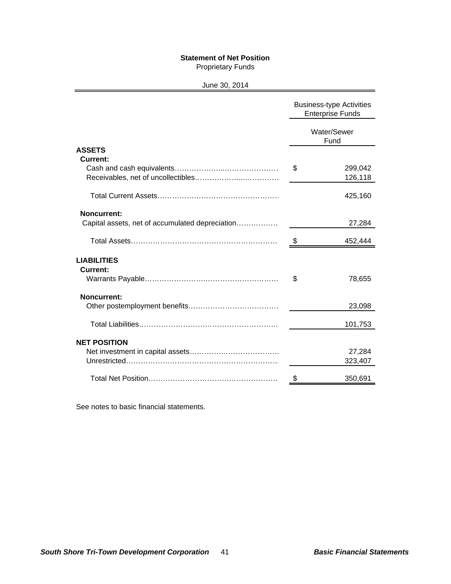## **Statement of Net Position**

Proprietary Funds

## June 30, 2014

|                                                 |      | <b>Business-type Activities</b><br><b>Enterprise Funds</b> |
|-------------------------------------------------|------|------------------------------------------------------------|
|                                                 |      | Water/Sewer<br>Fund                                        |
| <b>ASSETS</b><br><b>Current:</b>                |      |                                                            |
|                                                 | \$   | 299,042<br>126,118                                         |
|                                                 |      | 425,160                                                    |
| <b>Noncurrent:</b>                              |      |                                                            |
| Capital assets, net of accumulated depreciation |      | 27,284                                                     |
|                                                 | - \$ | 452,444                                                    |
| <b>LIABILITIES</b>                              |      |                                                            |
| <b>Current:</b>                                 | \$   | 78,655                                                     |
| <b>Noncurrent:</b>                              |      |                                                            |
|                                                 |      | 23,098                                                     |
|                                                 |      | 101,753                                                    |
| <b>NET POSITION</b>                             |      |                                                            |
|                                                 |      | 27,284                                                     |
|                                                 |      | 323,407                                                    |
|                                                 |      | 350,691                                                    |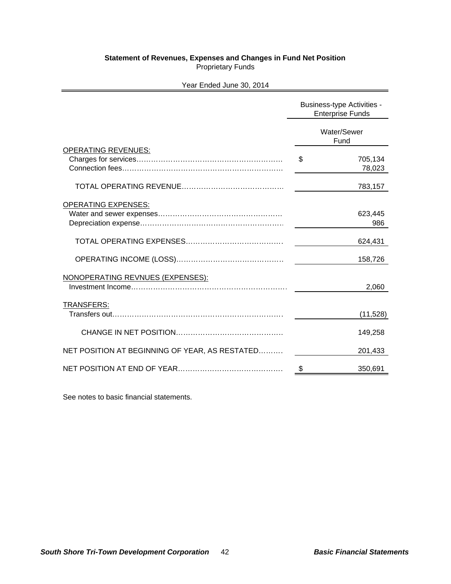# **Statement of Revenues, Expenses and Changes in Fund Net Position**

Proprietary Funds

|                                                |                           | <b>Business-type Activities -</b><br><b>Enterprise Funds</b> |
|------------------------------------------------|---------------------------|--------------------------------------------------------------|
|                                                |                           | Water/Sewer<br>Fund                                          |
| <b>OPERATING REVENUES:</b>                     | \$                        | 705,134<br>78,023                                            |
|                                                |                           | 783,157                                                      |
| <b>OPERATING EXPENSES:</b>                     |                           | 623,445<br>986                                               |
|                                                |                           | 624,431                                                      |
|                                                |                           | 158,726                                                      |
| NONOPERATING REVNUES (EXPENSES):               |                           | 2,060                                                        |
| TRANSFERS:                                     |                           | (11,528)                                                     |
|                                                |                           | 149,258                                                      |
| NET POSITION AT BEGINNING OF YEAR, AS RESTATED |                           | 201,433                                                      |
|                                                | $\boldsymbol{\mathsf{S}}$ | 350,691                                                      |

## Year Ended June 30, 2014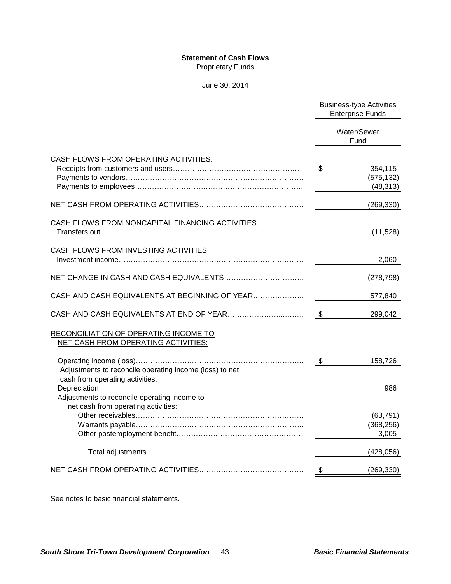## **Statement of Cash Flows**

Proprietary Funds

## June 30, 2014

|                                                                                                                                                                                                   | <b>Business-type Activities</b><br><b>Enterprise Funds</b> |                                    |
|---------------------------------------------------------------------------------------------------------------------------------------------------------------------------------------------------|------------------------------------------------------------|------------------------------------|
|                                                                                                                                                                                                   |                                                            | Water/Sewer<br>Fund                |
| CASH FLOWS FROM OPERATING ACTIVITIES:                                                                                                                                                             | \$                                                         | 354,115<br>(575, 132)<br>(48, 313) |
|                                                                                                                                                                                                   |                                                            | (269, 330)                         |
| CASH FLOWS FROM NONCAPITAL FINANCING ACTIVITIES:                                                                                                                                                  |                                                            | (11,528)                           |
| CASH FLOWS FROM INVESTING ACTIVITIES                                                                                                                                                              |                                                            | 2,060                              |
| NET        CHANGE IN CASH AND CASH        EQUIVALENTS                                                                                                                                             |                                                            | (278, 798)                         |
| CASH AND CASH EQUIVALENTS AT BEGINNING OF YEAR                                                                                                                                                    |                                                            | 577,840                            |
| CASH AND CASH EQUIVALENTS AT END OF YEAR                                                                                                                                                          | \$                                                         | 299,042                            |
| RECONCILIATION OF OPERATING INCOME TO<br>NET CASH FROM OPERATING ACTIVITIES:                                                                                                                      |                                                            |                                    |
|                                                                                                                                                                                                   | - \$                                                       | 158,726                            |
| Adjustments to reconcile operating income (loss) to net<br>cash from operating activities:<br>Depreciation<br>Adjustments to reconcile operating income to<br>net cash from operating activities: |                                                            | 986                                |
|                                                                                                                                                                                                   |                                                            | (63, 791)<br>(368, 256)<br>3,005   |
|                                                                                                                                                                                                   |                                                            | (428, 056)                         |
|                                                                                                                                                                                                   | \$                                                         | (269, 330)                         |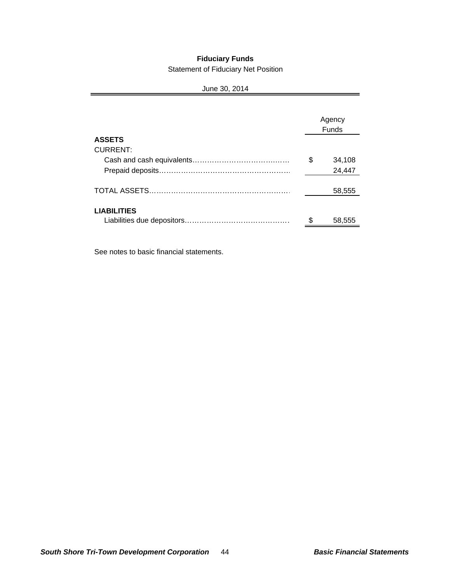# **Fiduciary Funds**

Statement of Fiduciary Net Position

| <b>ASSETS</b>      | Agency<br><b>Funds</b> |
|--------------------|------------------------|
| <b>CURRENT:</b>    |                        |
|                    | \$<br>34,108           |
|                    | 24,447                 |
|                    | 58,555                 |
| <b>LIABILITIES</b> | 58.555                 |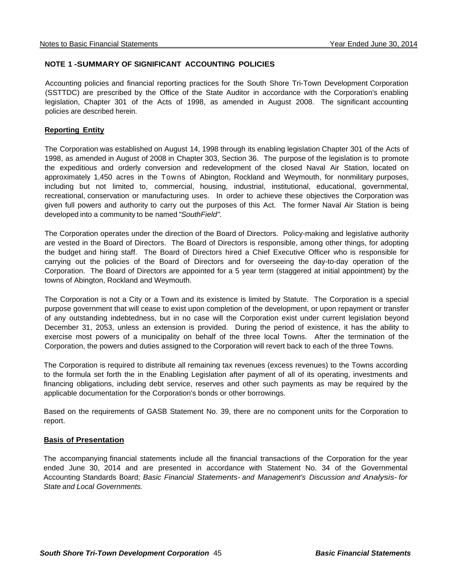## **NOTE 1 -SUMMARY OF SIGNIFICANT ACCOUNTING POLICIES**

Accounting policies and financial reporting practices for the South Shore Tri-Town Development Corporation (SSTTDC) are prescribed by the Office of the State Auditor in accordance with the Corporation's enabling legislation, Chapter 301 of the Acts of 1998, as amended in August 2008. The significant accounting policies are described herein.

## **Reporting Entity**

The Corporation was established on August 14, 1998 through its enabling legislation Chapter 301 of the Acts of 1998, as amended in August of 2008 in Chapter 303, Section 36. The purpose of the legislation is to promote the expeditious and orderly conversion and redevelopment of the closed Naval Air Station, located on approximately 1,450 acres in the Towns of Abington, Rockland and Weymouth, for nonmilitary purposes, including but not limited to, commercial, housing, industrial, institutional, educational, governmental, recreational, conservation or manufacturing uses. In order to achieve these objectives the Corporation was given full powers and authority to carry out the purposes of this Act. The former Naval Air Station is being developed into a community to be named *"SouthField''.*

The Corporation operates under the direction of the Board of Directors. Policy-making and legislative authority are vested in the Board of Directors. The Board of Directors is responsible, among other things, for adopting the budget and hiring staff. The Board of Directors hired a Chief Executive Officer who is responsible for carrying out the policies of the Board of Directors and for overseeing the day-to-day operation of the Corporation. The Board of Directors are appointed for a 5 year term (staggered at initial appointment) by the towns of Abington, Rockland and Weymouth.

The Corporation is not a City or a Town and its existence is limited by Statute. The Corporation is a special purpose government that will cease to exist upon completion of the development, or upon repayment or transfer of any outstanding indebtedness, but in no case will the Corporation exist under current legislation beyond December 31, 2053, unless an extension is provided. During the period of existence, it has the ability to exercise most powers of a municipality on behalf of the three local Towns. After the termination of the Corporation, the powers and duties assigned to the Corporation will revert back to each of the three Towns.

The Corporation is required to distribute all remaining tax revenues (excess revenues) to the Towns according to the formula set forth the in the Enabling Legislation after payment of all of its operating, investments and financing obligations, including debt service, reserves and other such payments as may be required by the applicable documentation for the Corporation's bonds or other borrowings.

Based on the requirements of GASB Statement No. 39, there are no component units for the Corporation to report.

## **Basis of Presentation**

The accompanying financial statements include all the financial transactions of the Corporation for the year ended June 30, 2014 and are presented in accordance with Statement No. 34 of the Governmental Accounting Standards Board; *Basic Financial Statements- and Management's Discussion and Analysis- for State and Local Governments.*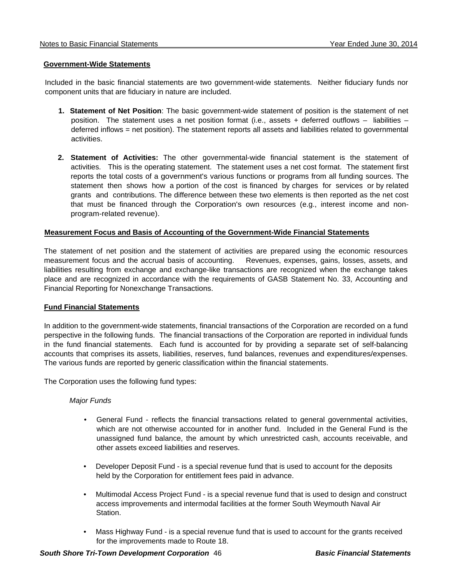#### **Government-Wide Statements**

Included in the basic financial statements are two government-wide statements. Neither fiduciary funds nor component units that are fiduciary in nature are included.

- **1. Statement of Net Position**: The basic government-wide statement of position is the statement of net position. The statement uses a net position format (i.e., assets + deferred outflows – liabilities – deferred inflows = net position). The statement reports all assets and liabilities related to governmental activities.
- **2. Statement of Activities:** The other governmental-wide financial statement is the statement of activities. This is the operating statement. The statement uses a net cost format. The statement first reports the total costs of a government's various functions or programs from all funding sources. The statement then shows how a portion of the cost is financed by charges for services or by related grants and contributions. The difference between these two elements is then reported as the net cost that must be financed through the Corporation's own resources (e.g., interest income and nonprogram-related revenue).

#### **Measurement Focus and Basis of Accounting of the Government-Wide Financial Statements**

The statement of net position and the statement of activities are prepared using the economic resources measurement focus and the accrual basis of accounting. Revenues, expenses, gains, losses, assets, and liabilities resulting from exchange and exchange-like transactions are recognized when the exchange takes place and are recognized in accordance with the requirements of GASB Statement No. 33, Accounting and Financial Reporting for Nonexchange Transactions.

#### **Fund Financial Statements**

In addition to the government-wide statements, financial transactions of the Corporation are recorded on a fund perspective in the following funds. The financial transactions of the Corporation are reported in individual funds in the fund financial statements. Each fund is accounted for by providing a separate set of self-balancing accounts that comprises its assets, liabilities, reserves, fund balances, revenues and expenditures/expenses. The various funds are reported by generic classification within the financial statements.

The Corporation uses the following fund types:

## *Major Funds*

- General Fund reflects the financial transactions related to general governmental activities, which are not otherwise accounted for in another fund. Included in the General Fund is the unassigned fund balance, the amount by which unrestricted cash, accounts receivable, and other assets exceed liabilities and reserves.
- Developer Deposit Fund is a special revenue fund that is used to account for the deposits held by the Corporation for entitlement fees paid in advance.
- Multimodal Access Project Fund is a special revenue fund that is used to design and construct access improvements and intermodal facilities at the former South Weymouth Naval Air Station.
- Mass Highway Fund is a special revenue fund that is used to account for the grants received for the improvements made to Route 18.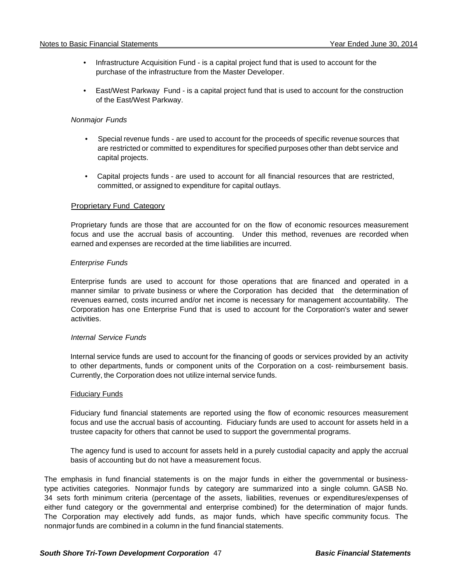- Infrastructure Acquisition Fund is a capital project fund that is used to account for the purchase of the infrastructure from the Master Developer.
- East/West Parkway Fund is a capital project fund that is used to account for the construction of the East/West Parkway.

## *Nonmajor Funds*

- Special revenue funds are used to account for the proceeds of specific revenue sources that are restricted or committed to expenditures for specified purposes other than debt service and capital projects.
- Capital projects funds are used to account for all financial resources that are restricted, committed, or assigned to expenditure for capital outlays.

## Proprietary Fund Category

Proprietary funds are those that are accounted for on the flow of economic resources measurement focus and use the accrual basis of accounting. Under this method, revenues are recorded when earned and expenses are recorded at the time liabilities are incurred.

## *Enterprise Funds*

Enterprise funds are used to account for those operations that are financed and operated in a manner similar to private business or where the Corporation has decided that the determination of revenues earned, costs incurred and/or net income is necessary for management accountability. The Corporation has one Enterprise Fund that is used to account for the Corporation's water and sewer activities.

## *Internal Service Funds*

Internal service funds are used to account for the financing of goods or services provided by an activity to other departments, funds or component units of the Corporation on a cost- reimbursement basis. Currently, the Corporation does not utilize internal service funds.

#### Fiduciary Funds

Fiduciary fund financial statements are reported using the flow of economic resources measurement focus and use the accrual basis of accounting. Fiduciary funds are used to account for assets held in a trustee capacity for others that cannot be used to support the governmental programs.

The agency fund is used to account for assets held in a purely custodial capacity and apply the accrual basis of accounting but do not have a measurement focus.

The emphasis in fund financial statements is on the major funds in either the governmental or businesstype activities categories. Nonmajor funds by category are summarized into a single column. GASB No. 34 sets forth minimum criteria (percentage of the assets, liabilities, revenues or expenditures/expenses of either fund category or the governmental and enterprise combined) for the determination of major funds. The Corporation may electively add funds, as major funds, which have specific community focus. The nonmajor funds are combined in a column in the fund financial statements.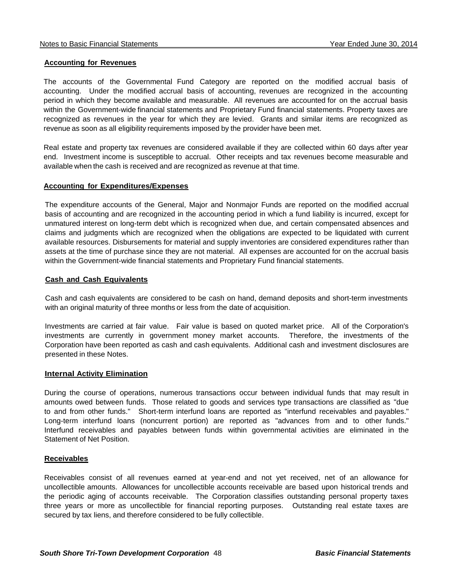#### **Accounting for Revenues**

The accounts of the Governmental Fund Category are reported on the modified accrual basis of accounting. Under the modified accrual basis of accounting, revenues are recognized in the accounting period in which they become available and measurable. All revenues are accounted for on the accrual basis within the Government-wide financial statements and Proprietary Fund financial statements. Property taxes are recognized as revenues in the year for which they are levied. Grants and similar items are recognized as revenue as soon as all eligibility requirements imposed by the provider have been met.

Real estate and property tax revenues are considered available if they are collected within 60 days after year end. Investment income is susceptible to accrual. Other receipts and tax revenues become measurable and available when the cash is received and are recognized as revenue at that time.

#### **Accounting for Expenditures/Expenses**

The expenditure accounts of the General, Major and Nonmajor Funds are reported on the modified accrual basis of accounting and are recognized in the accounting period in which a fund liability is incurred, except for unmatured interest on long-term debt which is recognized when due, and certain compensated absences and claims and judgments which are recognized when the obligations are expected to be liquidated with current available resources. Disbursements for material and supply inventories are considered expenditures rather than assets at the time of purchase since they are not material. All expenses are accounted for on the accrual basis within the Government-wide financial statements and Proprietary Fund financial statements.

## **Cash and Cash Equivalents**

Cash and cash equivalents are considered to be cash on hand, demand deposits and short-term investments with an original maturity of three months or less from the date of acquisition.

Investments are carried at fair value. Fair value is based on quoted market price. All of the Corporation's investments are currently in government money market accounts. Therefore, the investments of the Corporation have been reported as cash and cash equivalents. Additional cash and investment disclosures are presented in these Notes.

## **Internal Activity Elimination**

During the course of operations, numerous transactions occur between individual funds that may result in amounts owed between funds. Those related to goods and services type transactions are classified as "due to and from other funds." Short-term interfund loans are reported as "interfund receivables and payables." Long-term interfund loans (noncurrent portion) are reported as "advances from and to other funds." Interfund receivables and payables between funds within governmental activities are eliminated in the Statement of Net Position.

## **Receivables**

Receivables consist of all revenues earned at year-end and not yet received, net of an allowance for uncollectible amounts. Allowances for uncollectible accounts receivable are based upon historical trends and the periodic aging of accounts receivable. The Corporation classifies outstanding personal property taxes three years or more as uncollectible for financial reporting purposes. Outstanding real estate taxes are secured by tax liens, and therefore considered to be fully collectible.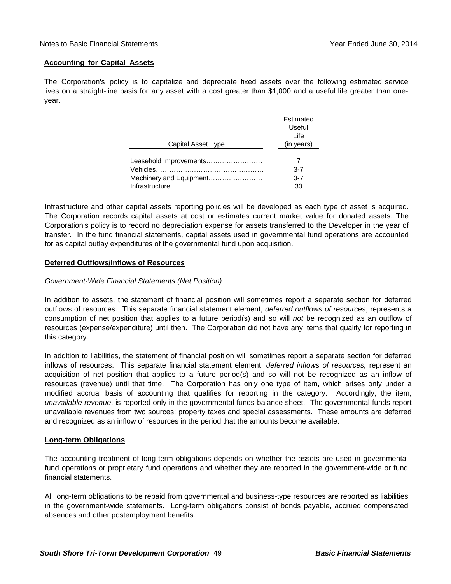## **Accounting for Capital Assets**

The Corporation's policy is to capitalize and depreciate fixed assets over the following estimated service lives on a straight-line basis for any asset with a cost greater than \$1,000 and a useful life greater than oneyear.

|                         | Estimated<br>Useful<br>Life |
|-------------------------|-----------------------------|
| Capital Asset Type      | (in years)                  |
|                         |                             |
| Leasehold Improvements  |                             |
|                         | $3 - 7$                     |
| Machinery and Equipment | $3 - 7$                     |
|                         | 30                          |
|                         |                             |

Infrastructure and other capital assets reporting policies will be developed as each type of asset is acquired. The Corporation records capital assets at cost or estimates current market value for donated assets. The Corporation's policy is to record no depreciation expense for assets transferred to the Developer in the year of transfer. In the fund financial statements, capital assets used in governmental fund operations are accounted for as capital outlay expenditures of the governmental fund upon acquisition.

## **Deferred Outflows/Inflows of Resources**

## *Government-Wide Financial Statements (Net Position)*

In addition to assets, the statement of financial position will sometimes report a separate section for deferred outflows of resources. This separate financial statement element, *deferred outflows of resources*, represents a consumption of net position that applies to a future period(s) and so will *not* be recognized as an outflow of resources (expense/expenditure) until then. The Corporation did not have any items that qualify for reporting in this category.

In addition to liabilities, the statement of financial position will sometimes report a separate section for deferred inflows of resources. This separate financial statement element, *deferred inflows of resources,* represent an acquisition of net position that applies to a future period(s) and so will not be recognized as an inflow of resources (revenue) until that time. The Corporation has only one type of item, which arises only under a modified accrual basis of accounting that qualifies for reporting in the category. Accordingly, the item, *unavailable revenue*, is reported only in the governmental funds balance sheet. The governmental funds report unavailable revenues from two sources: property taxes and special assessments. These amounts are deferred and recognized as an inflow of resources in the period that the amounts become available.

## **Long-term Obligations**

The accounting treatment of long-term obligations depends on whether the assets are used in governmental fund operations or proprietary fund operations and whether they are reported in the government-wide or fund financial statements.

All long-term obligations to be repaid from governmental and business-type resources are reported as liabilities in the government-wide statements. Long-term obligations consist of bonds payable, accrued compensated absences and other postemployment benefits.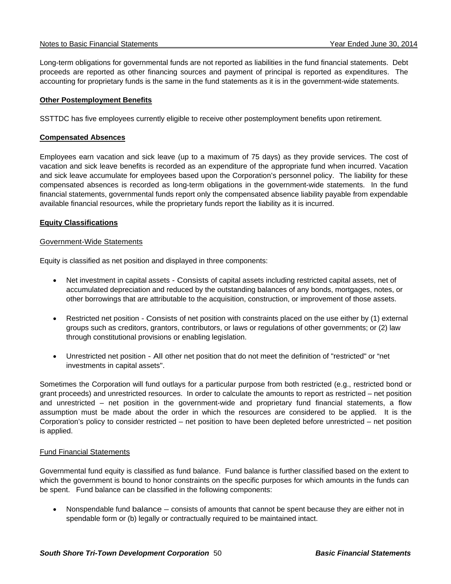#### Notes to Basic Financial Statements **Year Ended June 30, 2014** Notes to Basic Financial Statements

Long-term obligations for governmental funds are not reported as liabilities in the fund financial statements. Debt proceeds are reported as other financing sources and payment of principal is reported as expenditures. The accounting for proprietary funds is the same in the fund statements as it is in the government-wide statements.

## **Other Postemployment Benefits**

SSTTDC has five employees currently eligible to receive other postemployment benefits upon retirement.

## **Compensated Absences**

Employees earn vacation and sick leave (up to a maximum of 75 days) as they provide services. The cost of vacation and sick leave benefits is recorded as an expenditure of the appropriate fund when incurred. Vacation and sick leave accumulate for employees based upon the Corporation's personnel policy. The liability for these compensated absences is recorded as long-term obligations in the government-wide statements. In the fund financial statements, governmental funds report only the compensated absence liability payable from expendable available financial resources, while the proprietary funds report the liability as it is incurred.

## **Equity Classifications**

## Government-Wide Statements

Equity is classified as net position and displayed in three components:

- Net investment in capital assets Consists of capital assets including restricted capital assets, net of accumulated depreciation and reduced by the outstanding balances of any bonds, mortgages, notes, or other borrowings that are attributable to the acquisition, construction, or improvement of those assets.
- Restricted net position Consists of net position with constraints placed on the use either by (1) external groups such as creditors, grantors, contributors, or laws or regulations of other governments; or (2) law through constitutional provisions or enabling legislation.
- Unrestricted net position All other net position that do not meet the definition of "restricted" or "net investments in capital assets".

Sometimes the Corporation will fund outlays for a particular purpose from both restricted (e.g., restricted bond or grant proceeds) and unrestricted resources. In order to calculate the amounts to report as restricted – net position and unrestricted – net position in the government-wide and proprietary fund financial statements, a flow assumption must be made about the order in which the resources are considered to be applied. It is the Corporation's policy to consider restricted – net position to have been depleted before unrestricted – net position is applied.

## Fund Financial Statements

Governmental fund equity is classified as fund balance. Fund balance is further classified based on the extent to which the government is bound to honor constraints on the specific purposes for which amounts in the funds can be spent. Fund balance can be classified in the following components:

• Nonspendable fund balance – consists of amounts that cannot be spent because they are either not in spendable form or (b) legally or contractually required to be maintained intact.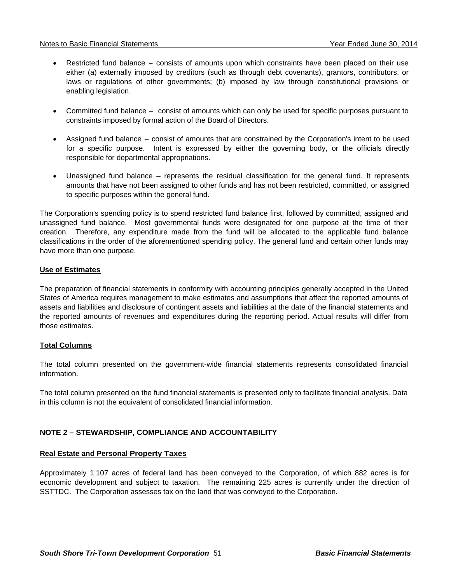- Restricted fund balance consists of amounts upon which constraints have been placed on their use either (a) externally imposed by creditors (such as through debt covenants), grantors, contributors, or laws or regulations of other governments; (b) imposed by law through constitutional provisions or enabling legislation.
- Committed fund balance consist of amounts which can only be used for specific purposes pursuant to constraints imposed by formal action of the Board of Directors.
- Assigned fund balance consist of amounts that are constrained by the Corporation's intent to be used for a specific purpose. Intent is expressed by either the governing body, or the officials directly responsible for departmental appropriations.
- Unassigned fund balance represents the residual classification for the general fund. It represents amounts that have not been assigned to other funds and has not been restricted, committed, or assigned to specific purposes within the general fund.

The Corporation's spending policy is to spend restricted fund balance first, followed by committed, assigned and unassigned fund balance. Most governmental funds were designated for one purpose at the time of their creation. Therefore, any expenditure made from the fund will be allocated to the applicable fund balance classifications in the order of the aforementioned spending policy. The general fund and certain other funds may have more than one purpose.

## **Use of Estimates**

The preparation of financial statements in conformity with accounting principles generally accepted in the United States of America requires management to make estimates and assumptions that affect the reported amounts of assets and liabilities and disclosure of contingent assets and liabilities at the date of the financial statements and the reported amounts of revenues and expenditures during the reporting period. Actual results will differ from those estimates.

## **Total Columns**

The total column presented on the government-wide financial statements represents consolidated financial information.

The total column presented on the fund financial statements is presented only to facilitate financial analysis. Data in this column is not the equivalent of consolidated financial information.

## **NOTE 2 – STEWARDSHIP, COMPLIANCE AND ACCOUNTABILITY**

## **Real Estate and Personal Property Taxes**

Approximately 1,107 acres of federal land has been conveyed to the Corporation, of which 882 acres is for economic development and subject to taxation. The remaining 225 acres is currently under the direction of SSTTDC. The Corporation assesses tax on the land that was conveyed to the Corporation.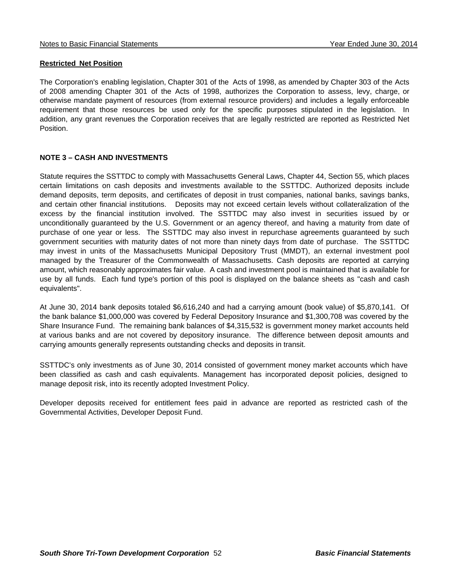## **Restricted Net Position**

The Corporation's enabling legislation, Chapter 301 of the Acts of 1998, as amended by Chapter 303 of the Acts of 2008 amending Chapter 301 of the Acts of 1998, authorizes the Corporation to assess, levy, charge, or otherwise mandate payment of resources (from external resource providers) and includes a legally enforceable requirement that those resources be used only for the specific purposes stipulated in the legislation. In addition, any grant revenues the Corporation receives that are legally restricted are reported as Restricted Net Position.

## **NOTE 3 – CASH AND INVESTMENTS**

Statute requires the SSTTDC to comply with Massachusetts General Laws, Chapter 44, Section 55, which places certain limitations on cash deposits and investments available to the SSTTDC. Authorized deposits include demand deposits, term deposits, and certificates of deposit in trust companies, national banks, savings banks, and certain other financial institutions. Deposits may not exceed certain levels without collateralization of the excess by the financial institution involved. The SSTTDC may also invest in securities issued by or unconditionally guaranteed by the U.S. Government or an agency thereof, and having a maturity from date of purchase of one year or less. The SSTTDC may also invest in repurchase agreements guaranteed by such government securities with maturity dates of not more than ninety days from date of purchase. The SSTTDC may invest in units of the Massachusetts Municipal Depository Trust (MMDT), an external investment pool managed by the Treasurer of the Commonwealth of Massachusetts. Cash deposits are reported at carrying amount, which reasonably approximates fair value. A cash and investment pool is maintained that is available for use by all funds. Each fund type's portion of this pool is displayed on the balance sheets as "cash and cash equivalents".

At June 30, 2014 bank deposits totaled \$6,616,240 and had a carrying amount (book value) of \$5,870,141. Of the bank balance \$1,000,000 was covered by Federal Depository Insurance and \$1,300,708 was covered by the Share Insurance Fund. The remaining bank balances of \$4,315,532 is government money market accounts held at various banks and are not covered by depository insurance. The difference between deposit amounts and carrying amounts generally represents outstanding checks and deposits in transit.

SSTTDC's only investments as of June 30, 2014 consisted of government money market accounts which have been classified as cash and cash equivalents. Management has incorporated deposit policies, designed to manage deposit risk, into its recently adopted Investment Policy.

Developer deposits received for entitlement fees paid in advance are reported as restricted cash of the Governmental Activities, Developer Deposit Fund.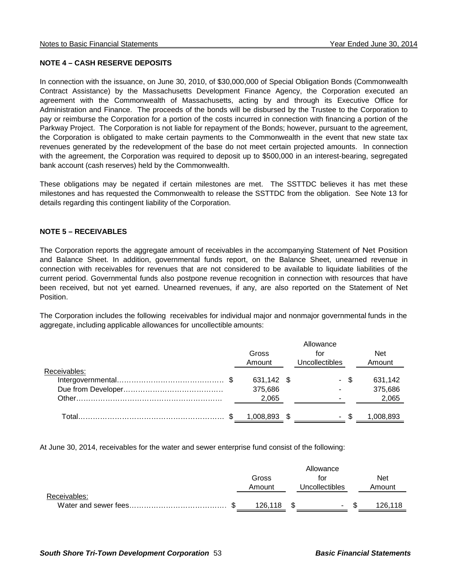## **NOTE 4 – CASH RESERVE DEPOSITS**

In connection with the issuance, on June 30, 2010, of \$30,000,000 of Special Obligation Bonds (Commonwealth Contract Assistance) by the Massachusetts Development Finance Agency, the Corporation executed an agreement with the Commonwealth of Massachusetts, acting by and through its Executive Office for Administration and Finance. The proceeds of the bonds will be disbursed by the Trustee to the Corporation to pay or reimburse the Corporation for a portion of the costs incurred in connection with financing a portion of the Parkway Project. The Corporation is not liable for repayment of the Bonds; however, pursuant to the agreement, the Corporation is obligated to make certain payments to the Commonwealth in the event that new state tax revenues generated by the redevelopment of the base do not meet certain projected amounts. In connection with the agreement, the Corporation was required to deposit up to \$500,000 in an interest-bearing, segregated bank account (cash reserves) held by the Commonwealth.

These obligations may be negated if certain milestones are met. The SSTTDC believes it has met these milestones and has requested the Commonwealth to release the SSTTDC from the obligation. See Note 13 for details regarding this contingent liability of the Corporation.

## **NOTE 5 – RECEIVABLES**

The Corporation reports the aggregate amount of receivables in the accompanying Statement of Net Position and Balance Sheet. In addition, governmental funds report, on the Balance Sheet, unearned revenue in connection with receivables for revenues that are not considered to be available to liquidate liabilities of the current period. Governmental funds also postpone revenue recognition in connection with resources that have been received, but not yet earned. Unearned revenues, if any, are also reported on the Statement of Net Position.

The Corporation includes the following receivables for individual major and nonmajor governmental funds in the aggregate, including applicable allowances for uncollectible amounts:

|              |              | Allowance      |      |            |
|--------------|--------------|----------------|------|------------|
|              | Gross        | tor            |      | <b>Net</b> |
|              | Amount       | Uncollectibles |      | Amount     |
| Receivables: |              |                |      |            |
|              | 631,142 \$   | ۰.             | - \$ | 631,142    |
|              | 375,686      |                |      | 375,686    |
|              | 2,065        |                |      | 2,065      |
|              |              |                |      |            |
| Total……      | 1,008,893 \$ | ۰.             | - \$ | 008,893,ا  |

At June 30, 2014, receivables for the water and sewer enterprise fund consist of the following:

|              |                 | Allowance             |                      |
|--------------|-----------------|-----------------------|----------------------|
|              | Gross<br>Amount | tor<br>Uncollectibles | <b>Net</b><br>Amount |
| Receivables: |                 |                       |                      |
|              | 126.118         | ٠                     | 126.118              |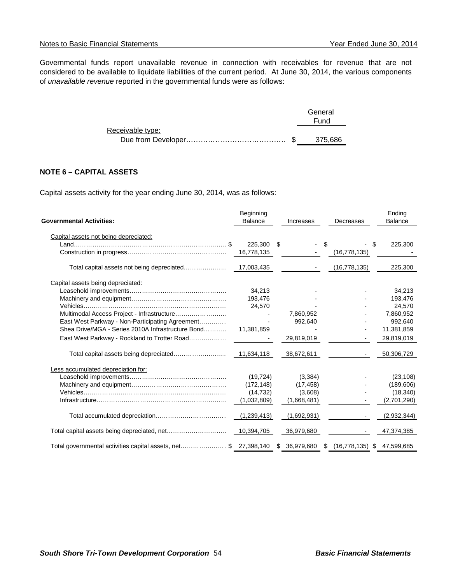Governmental funds report unavailable revenue in connection with receivables for revenue that are not considered to be available to liquidate liabilities of the current period. At June 30, 2014, the various components of *unavailable revenue* reported in the governmental funds were as follows:

|                  | General |
|------------------|---------|
|                  | Fund    |
| Receivable type: |         |
|                  | 375.686 |

## **NOTE 6 – CAPITAL ASSETS**

Capital assets activity for the year ending June 30, 2014, was as follows:

| <b>Governmental Activities:</b>                                | Beginning<br><b>Balance</b> | Increases     | Decreases                           |      | Ending<br><b>Balance</b> |
|----------------------------------------------------------------|-----------------------------|---------------|-------------------------------------|------|--------------------------|
| Capital assets not being depreciated:                          |                             |               |                                     |      |                          |
|                                                                | 225,300                     | \$            | \$                                  | - \$ | 225,300                  |
|                                                                | 16,778,135                  |               | (16,778,135)                        |      |                          |
|                                                                |                             |               | (16, 778, 135)                      |      | 225,300                  |
| Capital assets being depreciated:                              |                             |               |                                     |      |                          |
|                                                                | 34,213                      |               |                                     |      | 34,213                   |
|                                                                | 193,476                     |               |                                     |      | 193,476                  |
|                                                                | 24,570                      |               |                                     |      | 24.570                   |
| Multimodal Access Project - Infrastructure                     |                             | 7,860,952     |                                     |      | 7,860,952                |
| East West Parkway - Non-Participating Agreement                |                             | 992,640       |                                     |      | 992,640                  |
| Shea Drive/MGA - Series 2010A Infrastructure Bond              | 11,381,859                  |               |                                     |      | 11,381,859               |
| East West Parkway - Rockland to Trotter Road                   |                             | 29,819,019    |                                     |      | 29,819,019               |
|                                                                | 11,634,118                  | 38,672,611    | $\blacksquare$                      |      | 50,306,729               |
| Less accumulated depreciation for:                             |                             |               |                                     |      |                          |
|                                                                | (19, 724)                   | (3,384)       |                                     |      | (23, 108)                |
|                                                                | (172, 148)                  | (17, 458)     |                                     |      | (189, 606)               |
|                                                                | (14, 732)                   | (3,608)       |                                     |      | (18, 340)                |
|                                                                | (1,032,809)                 | (1,668,481)   |                                     |      | (2,701,290)              |
|                                                                | (1,239,413)                 | (1,692,931)   |                                     |      | (2,932,344)              |
|                                                                | 10,394,705                  | 36,979,680    | $\blacksquare$                      |      | 47,374,385               |
| Total governmental activities capital assets, net\$ 27,398,140 |                             | \$ 36,979,680 | $$$ $(16,778,135)$ $$$ $47,599,685$ |      |                          |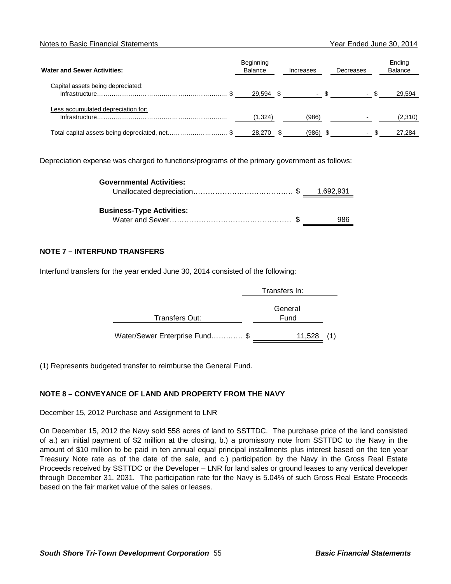#### Notes to Basic Financial Statements Year Ended June 30, 2014

| <b>Water and Sewer Activities:</b>            | Beginning<br>Balance | Increases |    | Decreases |      | Ending<br><b>Balance</b> |
|-----------------------------------------------|----------------------|-----------|----|-----------|------|--------------------------|
| Capital assets being depreciated:             | 29.594 \$            | - \$      |    |           | - \$ | 29,594                   |
| Less accumulated depreciation for:            | (1,324)              | (986)     |    |           |      | (2,310)                  |
| Total capital assets being depreciated, net\$ | 28,270               | (986)     | æ. |           | - \$ | 27,284                   |

Depreciation expense was charged to functions/programs of the primary government as follows:

| <b>Governmental Activities:</b>  | 1,692,931 |
|----------------------------------|-----------|
| <b>Business-Type Activities:</b> |           |

## **NOTE 7 – INTERFUND TRANSFERS**

Interfund transfers for the year ended June 30, 2014 consisted of the following:

|                               | Transfers In:   |  |
|-------------------------------|-----------------|--|
| Transfers Out:                | General<br>Fund |  |
| Water/Sewer Enterprise Fund\$ | $11,528$ (1)    |  |

(1) Represents budgeted transfer to reimburse the General Fund.

## **NOTE 8 – CONVEYANCE OF LAND AND PROPERTY FROM THE NAVY**

## December 15, 2012 Purchase and Assignment to LNR

On December 15, 2012 the Navy sold 558 acres of land to SSTTDC. The purchase price of the land consisted of a.) an initial payment of \$2 million at the closing, b.) a promissory note from SSTTDC to the Navy in the amount of \$10 million to be paid in ten annual equal principal installments plus interest based on the ten year Treasury Note rate as of the date of the sale, and c.) participation by the Navy in the Gross Real Estate Proceeds received by SSTTDC or the Developer – LNR for land sales or ground leases to any vertical developer through December 31, 2031. The participation rate for the Navy is 5.04% of such Gross Real Estate Proceeds based on the fair market value of the sales or leases.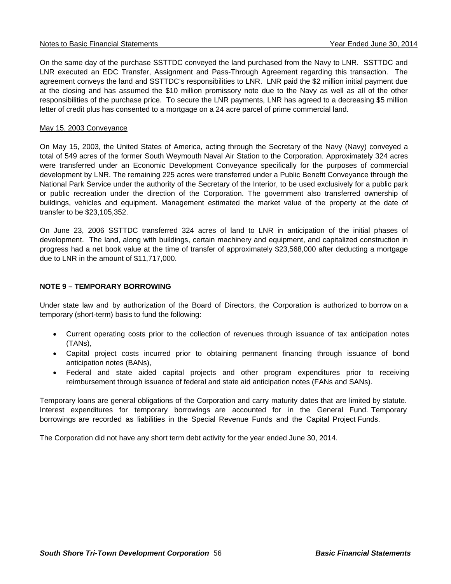#### Notes to Basic Financial Statements **Year Ended June 30, 2014** Notes to Basic Financial Statements

On the same day of the purchase SSTTDC conveyed the land purchased from the Navy to LNR. SSTTDC and LNR executed an EDC Transfer, Assignment and Pass-Through Agreement regarding this transaction. The agreement conveys the land and SSTTDC's responsibilities to LNR. LNR paid the \$2 million initial payment due at the closing and has assumed the \$10 million promissory note due to the Navy as well as all of the other responsibilities of the purchase price. To secure the LNR payments, LNR has agreed to a decreasing \$5 million letter of credit plus has consented to a mortgage on a 24 acre parcel of prime commercial land.

## May 15, 2003 Conveyance

On May 15, 2003, the United States of America, acting through the Secretary of the Navy (Navy) conveyed a total of 549 acres of the former South Weymouth Naval Air Station to the Corporation. Approximately 324 acres were transferred under an Economic Development Conveyance specifically for the purposes of commercial development by LNR. The remaining 225 acres were transferred under a Public Benefit Conveyance through the National Park Service under the authority of the Secretary of the Interior, to be used exclusively for a public park or public recreation under the direction of the Corporation. The government also transferred ownership of buildings, vehicles and equipment. Management estimated the market value of the property at the date of transfer to be \$23,105,352.

On June 23, 2006 SSTTDC transferred 324 acres of land to LNR in anticipation of the initial phases of development. The land, along with buildings, certain machinery and equipment, and capitalized construction in progress had a net book value at the time of transfer of approximately \$23,568,000 after deducting a mortgage due to LNR in the amount of \$11,717,000.

## **NOTE 9 – TEMPORARY BORROWING**

Under state law and by authorization of the Board of Directors, the Corporation is authorized to borrow on a temporary (short-term) basis to fund the following:

- Current operating costs prior to the collection of revenues through issuance of tax anticipation notes (TANs),
- Capital project costs incurred prior to obtaining permanent financing through issuance of bond anticipation notes (BANs),
- Federal and state aided capital projects and other program expenditures prior to receiving reimbursement through issuance of federal and state aid anticipation notes (FANs and SANs).

Temporary loans are general obligations of the Corporation and carry maturity dates that are limited by statute. Interest expenditures for temporary borrowings are accounted for in the General Fund. Temporary borrowings are recorded as liabilities in the Special Revenue Funds and the Capital Project Funds.

The Corporation did not have any short term debt activity for the year ended June 30, 2014.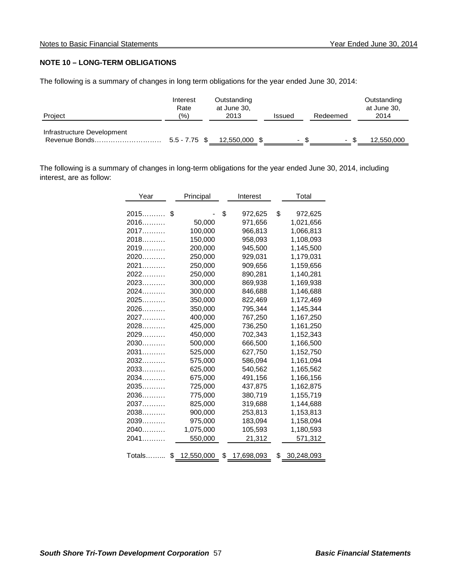## **NOTE 10 – LONG-TERM OBLIGATIONS**

The following is a summary of changes in long term obligations for the year ended June 30, 2014:

| Project                                     | Interest<br>Rate<br>(%) | Outstanding<br>at June 30,<br>2013 |  | Issued | Redeemed |  | Outstanding<br>at June 30,<br>2014 |
|---------------------------------------------|-------------------------|------------------------------------|--|--------|----------|--|------------------------------------|
| Infrastructure Development<br>Revenue Bonds | $5.5 - 7.75$ \$         | 12,550,000 \$                      |  | ۰.     |          |  | 12,550,000                         |

The following is a summary of changes in long-term obligations for the year ended June 30, 2014, including interest, are as follow:

| Year   | Principal        | Interest         |    | Total      |
|--------|------------------|------------------|----|------------|
|        |                  |                  |    |            |
| 2015   | \$               | \$<br>972,625    | \$ | 972,625    |
| $2016$ | 50,000           | 971,656          |    | 1,021,656  |
| 2017   | 100,000          | 966,813          |    | 1,066,813  |
| $2018$ | 150,000          | 958,093          |    | 1,108,093  |
| 2019   | 200,000          | 945,500          |    | 1,145,500  |
| $2020$ | 250,000          | 929,031          |    | 1,179,031  |
| 2021   | 250,000          | 909,656          |    | 1,159,656  |
| $2022$ | 250,000          | 890,281          |    | 1,140,281  |
| 2023   | 300,000          | 869,938          |    | 1,169,938  |
| $2024$ | 300,000          | 846,688          |    | 1,146,688  |
| 2025   | 350,000          | 822,469          |    | 1,172,469  |
| 2026   | 350,000          | 795,344          |    | 1,145,344  |
| 2027   | 400,000          | 767,250          |    | 1,167,250  |
| $2028$ | 425,000          | 736,250          |    | 1,161,250  |
| 2029   | 450,000          | 702,343          |    | 1,152,343  |
| 2030   | 500,000          | 666,500          |    | 1,166,500  |
| 2031   | 525,000          | 627,750          |    | 1,152,750  |
| $2032$ | 575,000          | 586,094          |    | 1,161,094  |
| 2033   | 625,000          | 540,562          |    | 1,165,562  |
| 2034   | 675,000          | 491,156          |    | 1,166,156  |
| 2035   | 725,000          | 437,875          |    | 1,162,875  |
| 2036   | 775,000          | 380,719          |    | 1,155,719  |
| 2037   | 825,000          | 319,688          |    | 1,144,688  |
| 2038   | 900,000          | 253,813          |    | 1,153,813  |
| 2039   | 975,000          | 183,094          |    | 1,158,094  |
| $2040$ | 1,075,000        | 105,593          |    | 1,180,593  |
| $2041$ | 550,000          | 21,312           |    | 571,312    |
|        |                  |                  |    |            |
| Totals | \$<br>12,550,000 | \$<br>17,698,093 | \$ | 30,248,093 |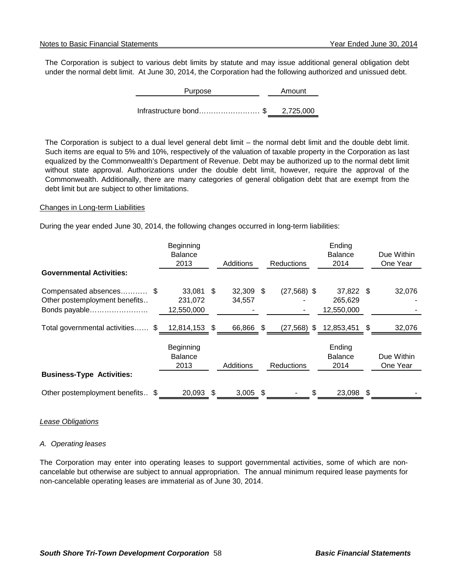The Corporation is subject to various debt limits by statute and may issue additional general obligation debt under the normal debt limit. At June 30, 2014, the Corporation had the following authorized and unissued debt.

Purpose Amount

Infrastructure bond………………………\$ 2,725,000

The Corporation is subject to a dual level general debt limit – the normal debt limit and the double debt limit. Such items are equal to 5% and 10%, respectively of the valuation of taxable property in the Corporation as last equalized by the Commonwealth's Department of Revenue. Debt may be authorized up to the normal debt limit without state approval. Authorizations under the double debt limit, however, require the approval of the Commonwealth. Additionally, there are many categories of general obligation debt that are exempt from the debt limit but are subject to other limitations.

## Changes in Long-term Liabilities

During the year ended June 30, 2014, the following changes occurred in long-term liabilities:

|                                  | Beginning<br><b>Balance</b> |             |               | Ending<br><b>Balance</b> | Due Within |
|----------------------------------|-----------------------------|-------------|---------------|--------------------------|------------|
|                                  | 2013                        | Additions   | Reductions    | 2014                     | One Year   |
| <b>Governmental Activities:</b>  |                             |             |               |                          |            |
| Compensated absences\$           | $33,081$ \$                 | $32,309$ \$ | $(27,568)$ \$ | 37,822 \$                | 32,076     |
| Other postemployment benefits    | 231,072                     | 34,557      |               | 265,629                  |            |
| Bonds payable                    | 12,550,000                  |             |               | 12,550,000               |            |
| Total governmental activities \$ | 12,814,153 \$               | 66,866 \$   |               | $(27,568)$ \$ 12,853,451 | 32,076     |
|                                  | Beginning                   |             |               | Ending                   |            |
|                                  | <b>Balance</b>              |             |               | <b>Balance</b>           | Due Within |
|                                  | 2013                        | Additions   | Reductions    | 2014                     | One Year   |
| <b>Business-Type Activities:</b> |                             |             |               |                          |            |
| Other postemployment benefits \$ | 20,093 \$                   | $3,005$ \$  |               | \$<br>23,098 \$          |            |

## *Lease Obligations*

## *A. Operating leases*

The Corporation may enter into operating leases to support governmental activities, some of which are noncancelable but otherwise are subject to annual appropriation. The annual minimum required lease payments for non-cancelable operating leases are immaterial as of June 30, 2014.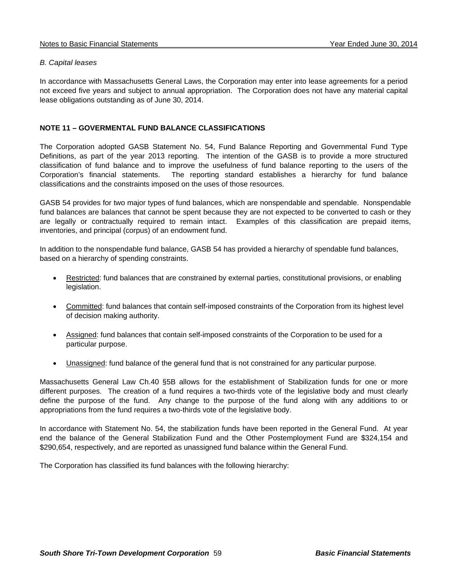#### Notes to Basic Financial Statements **Year Ended June 30, 2014** Notes to Basic Financial Statements

## *B. Capital leases*

In accordance with Massachusetts General Laws, the Corporation may enter into lease agreements for a period not exceed five years and subject to annual appropriation. The Corporation does not have any material capital lease obligations outstanding as of June 30, 2014.

## **NOTE 11 – GOVERMENTAL FUND BALANCE CLASSIFICATIONS**

The Corporation adopted GASB Statement No. 54, Fund Balance Reporting and Governmental Fund Type Definitions, as part of the year 2013 reporting. The intention of the GASB is to provide a more structured classification of fund balance and to improve the usefulness of fund balance reporting to the users of the Corporation's financial statements. The reporting standard establishes a hierarchy for fund balance classifications and the constraints imposed on the uses of those resources.

GASB 54 provides for two major types of fund balances, which are nonspendable and spendable. Nonspendable fund balances are balances that cannot be spent because they are not expected to be converted to cash or they are legally or contractually required to remain intact. Examples of this classification are prepaid items, inventories, and principal (corpus) of an endowment fund.

In addition to the nonspendable fund balance, GASB 54 has provided a hierarchy of spendable fund balances, based on a hierarchy of spending constraints.

- Restricted: fund balances that are constrained by external parties, constitutional provisions, or enabling legislation.
- Committed: fund balances that contain self-imposed constraints of the Corporation from its highest level of decision making authority.
- Assigned: fund balances that contain self-imposed constraints of the Corporation to be used for a particular purpose.
- Unassigned: fund balance of the general fund that is not constrained for any particular purpose.

Massachusetts General Law Ch.40 §5B allows for the establishment of Stabilization funds for one or more different purposes. The creation of a fund requires a two-thirds vote of the legislative body and must clearly define the purpose of the fund. Any change to the purpose of the fund along with any additions to or appropriations from the fund requires a two-thirds vote of the legislative body.

In accordance with Statement No. 54, the stabilization funds have been reported in the General Fund. At year end the balance of the General Stabilization Fund and the Other Postemployment Fund are \$324,154 and \$290,654, respectively, and are reported as unassigned fund balance within the General Fund.

The Corporation has classified its fund balances with the following hierarchy: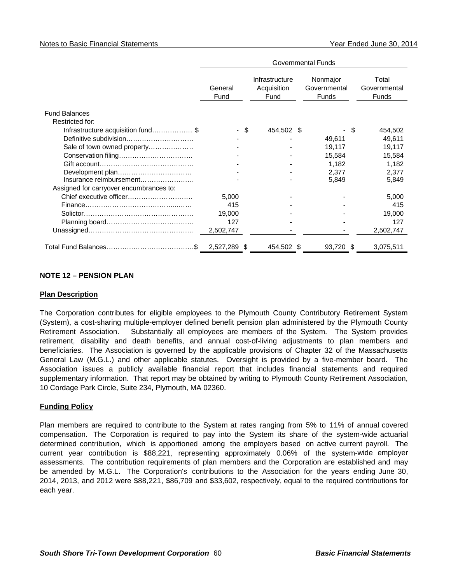|                                         | <b>Governmental Funds</b> |  |                                       |                                   |   |                                |  |  |
|-----------------------------------------|---------------------------|--|---------------------------------------|-----------------------------------|---|--------------------------------|--|--|
|                                         | General<br>Fund           |  | Infrastructure<br>Acquisition<br>Fund | Nonmajor<br>Governmental<br>Funds |   | Total<br>Governmental<br>Funds |  |  |
| <b>Fund Balances</b><br>Restricted for: |                           |  |                                       |                                   |   |                                |  |  |
| Infrastructure acquisition fund\$       | - \$                      |  | 454,502 \$                            |                                   | S | 454,502                        |  |  |
| Definitive subdivision                  |                           |  |                                       | 49,611                            |   | 49,611                         |  |  |
| Sale of town owned property             |                           |  |                                       | 19,117                            |   | 19,117                         |  |  |
|                                         |                           |  |                                       | 15,584                            |   | 15,584                         |  |  |
|                                         |                           |  |                                       | 1,182                             |   | 1,182                          |  |  |
| Development plan                        |                           |  |                                       | 2,377                             |   | 2,377                          |  |  |
| Insurance reimbursement                 |                           |  |                                       | 5,849                             |   | 5,849                          |  |  |
| Assigned for carryover encumbrances to: |                           |  |                                       |                                   |   |                                |  |  |
| Chief executive officer                 | 5,000                     |  |                                       |                                   |   | 5,000                          |  |  |
|                                         | 415                       |  |                                       |                                   |   | 415                            |  |  |
|                                         | 19,000                    |  |                                       |                                   |   | 19,000                         |  |  |
|                                         | 127                       |  |                                       |                                   |   | 127                            |  |  |
|                                         | 2,502,747                 |  |                                       |                                   |   | 2,502,747                      |  |  |
|                                         | 2,527,289 \$              |  | 454,502 \$                            | 93,720 \$                         |   | 3,075,511                      |  |  |

## **NOTE 12 – PENSION PLAN**

## **Plan Description**

The Corporation contributes for eligible employees to the Plymouth County Contributory Retirement System (System), a cost-sharing multiple-employer defined benefit pension plan administered by the Plymouth County Retirement Association. Substantially all employees are members of the System. The System provides retirement, disability and death benefits, and annual cost-of-living adjustments to plan members and beneficiaries. The Association is governed by the applicable provisions of Chapter 32 of the Massachusetts General Law (M.G.L.) and other applicable statutes. Oversight is provided by a five-member board. The Association issues a publicly available financial report that includes financial statements and required supplementary information. That report may be obtained by writing to Plymouth County Retirement Association, 10 Cordage Park Circle, Suite 234, Plymouth, MA 02360.

## **Funding Policy**

Plan members are required to contribute to the System at rates ranging from 5% to 11% of annual covered compensation. The Corporation is required to pay into the System its share of the system-wide actuarial determined contribution, which is apportioned among the employers based on active current payroll. The current year contribution is \$88,221, representing approximately 0.06% of the system-wide employer assessments. The contribution requirements of plan members and the Corporation are established and may be amended by M.G.L. The Corporation's contributions to the Association for the years ending June 30, 2014, 2013, and 2012 were \$88,221, \$86,709 and \$33,602, respectively, equal to the required contributions for each year.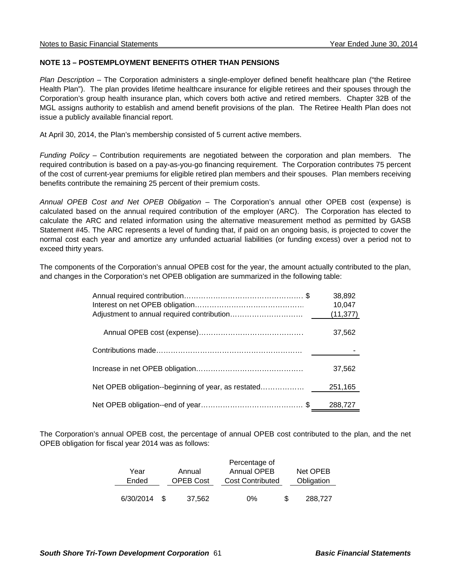## **NOTE 13 – POSTEMPLOYMENT BENEFITS OTHER THAN PENSIONS**

*Plan Description* – The Corporation administers a single-employer defined benefit healthcare plan ("the Retiree Health Plan"). The plan provides lifetime healthcare insurance for eligible retirees and their spouses through the Corporation's group health insurance plan, which covers both active and retired members. Chapter 32B of the MGL assigns authority to establish and amend benefit provisions of the plan. The Retiree Health Plan does not issue a publicly available financial report.

At April 30, 2014, the Plan's membership consisted of 5 current active members.

*Funding Policy* – Contribution requirements are negotiated between the corporation and plan members. The required contribution is based on a pay-as-you-go financing requirement. The Corporation contributes 75 percent of the cost of current-year premiums for eligible retired plan members and their spouses. Plan members receiving benefits contribute the remaining 25 percent of their premium costs.

*Annual OPEB Cost and Net OPEB Obligation* – The Corporation's annual other OPEB cost (expense) is calculated based on the annual required contribution of the employer (ARC). The Corporation has elected to calculate the ARC and related information using the alternative measurement method as permitted by GASB Statement #45. The ARC represents a level of funding that, if paid on an ongoing basis, is projected to cover the normal cost each year and amortize any unfunded actuarial liabilities (or funding excess) over a period not to exceed thirty years.

The components of the Corporation's annual OPEB cost for the year, the amount actually contributed to the plan, and changes in the Corporation's net OPEB obligation are summarized in the following table:

|                                                     | 38,892<br>10,047<br>(11, 377) |
|-----------------------------------------------------|-------------------------------|
|                                                     | 37,562                        |
|                                                     |                               |
|                                                     | 37.562                        |
| Net OPEB obligation--beginning of year, as restated | 251,165                       |
|                                                     | 288,727                       |

The Corporation's annual OPEB cost, the percentage of annual OPEB cost contributed to the plan, and the net OPEB obligation for fiscal year 2014 was as follows:

|           | Percentage of    |                         |  |            |  |  |  |
|-----------|------------------|-------------------------|--|------------|--|--|--|
| Year      | Annual           | <b>Annual OPEB</b>      |  | Net OPEB   |  |  |  |
| Ended     | <b>OPEB Cost</b> | <b>Cost Contributed</b> |  | Obligation |  |  |  |
|           |                  |                         |  |            |  |  |  |
| 6/30/2014 | 37,562           | 0%                      |  | 288,727    |  |  |  |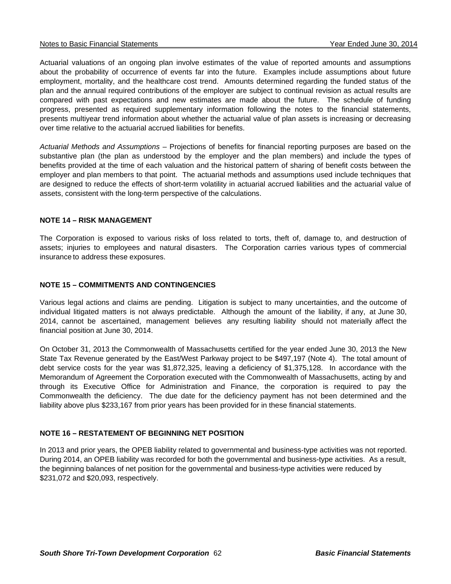#### Notes to Basic Financial Statements **Year Ended June 30, 2014** Notes to Basic Financial Statements

Actuarial valuations of an ongoing plan involve estimates of the value of reported amounts and assumptions about the probability of occurrence of events far into the future. Examples include assumptions about future employment, mortality, and the healthcare cost trend. Amounts determined regarding the funded status of the plan and the annual required contributions of the employer are subject to continual revision as actual results are compared with past expectations and new estimates are made about the future. The schedule of funding progress, presented as required supplementary information following the notes to the financial statements, presents multiyear trend information about whether the actuarial value of plan assets is increasing or decreasing over time relative to the actuarial accrued liabilities for benefits.

*Actuarial Methods and Assumptions* – Projections of benefits for financial reporting purposes are based on the substantive plan (the plan as understood by the employer and the plan members) and include the types of benefits provided at the time of each valuation and the historical pattern of sharing of benefit costs between the employer and plan members to that point. The actuarial methods and assumptions used include techniques that are designed to reduce the effects of short-term volatility in actuarial accrued liabilities and the actuarial value of assets, consistent with the long-term perspective of the calculations.

## **NOTE 14 – RISK MANAGEMENT**

The Corporation is exposed to various risks of loss related to torts, theft of, damage to, and destruction of assets; injuries to employees and natural disasters. The Corporation carries various types of commercial insurance to address these exposures.

## **NOTE 15 – COMMITMENTS AND CONTINGENCIES**

Various legal actions and claims are pending. Litigation is subject to many uncertainties, and the outcome of individual litigated matters is not always predictable. Although the amount of the liability, if any, at June 30, 2014, cannot be ascertained, management believes any resulting liability should not materially affect the financial position at June 30, 2014.

On October 31, 2013 the Commonwealth of Massachusetts certified for the year ended June 30, 2013 the New State Tax Revenue generated by the East/West Parkway project to be \$497,197 (Note 4). The total amount of debt service costs for the year was \$1,872,325, leaving a deficiency of \$1,375,128. In accordance with the Memorandum of Agreement the Corporation executed with the Commonwealth of Massachusetts, acting by and through its Executive Office for Administration and Finance, the corporation is required to pay the Commonwealth the deficiency. The due date for the deficiency payment has not been determined and the liability above plus \$233,167 from prior years has been provided for in these financial statements.

## **NOTE 16 – RESTATEMENT OF BEGINNING NET POSITION**

In 2013 and prior years, the OPEB liability related to governmental and business-type activities was not reported. During 2014, an OPEB liability was recorded for both the governmental and business-type activities. As a result, the beginning balances of net position for the governmental and business-type activities were reduced by \$231,072 and \$20,093, respectively.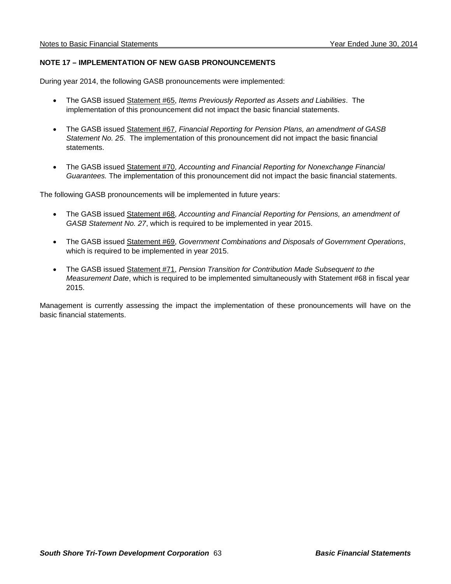## **NOTE 17 – IMPLEMENTATION OF NEW GASB PRONOUNCEMENTS**

During year 2014, the following GASB pronouncements were implemented:

- The GASB issued Statement #65, *Items Previously Reported as Assets and Liabilities*. The implementation of this pronouncement did not impact the basic financial statements.
- The GASB issued Statement #67, *Financial Reporting for Pension Plans, an amendment of GASB Statement No. 25*. The implementation of this pronouncement did not impact the basic financial statements.
- The GASB issued Statement #70, *Accounting and Financial Reporting for Nonexchange Financial Guarantees.* The implementation of this pronouncement did not impact the basic financial statements.

The following GASB pronouncements will be implemented in future years:

- The GASB issued Statement #68, *Accounting and Financial Reporting for Pensions, an amendment of GASB Statement No. 27*, which is required to be implemented in year 2015.
- The GASB issued Statement #69, *Government Combinations and Disposals of Government Operations*, which is required to be implemented in year 2015.
- The GASB issued Statement #71, *Pension Transition for Contribution Made Subsequent to the Measurement Date*, which is required to be implemented simultaneously with Statement #68 in fiscal year 2015.

Management is currently assessing the impact the implementation of these pronouncements will have on the basic financial statements.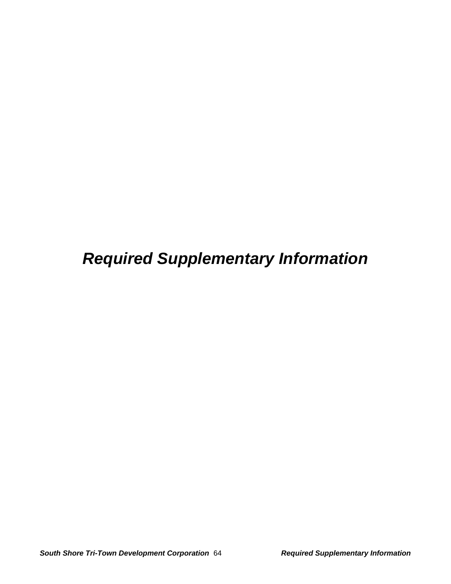*Required Supplementary Information*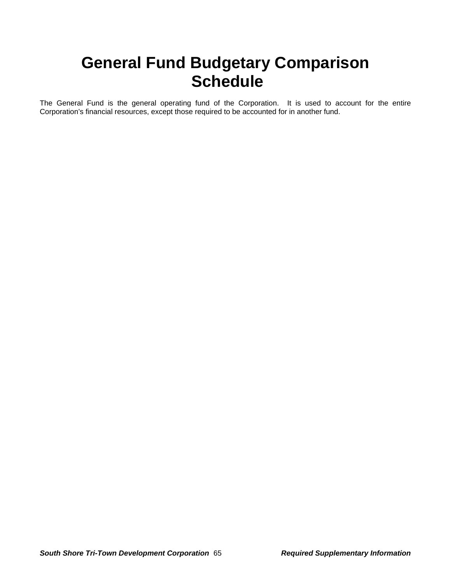# **General Fund Budgetary Comparison Schedule**

The General Fund is the general operating fund of the Corporation. It is used to account for the entire Corporation's financial resources, except those required to be accounted for in another fund.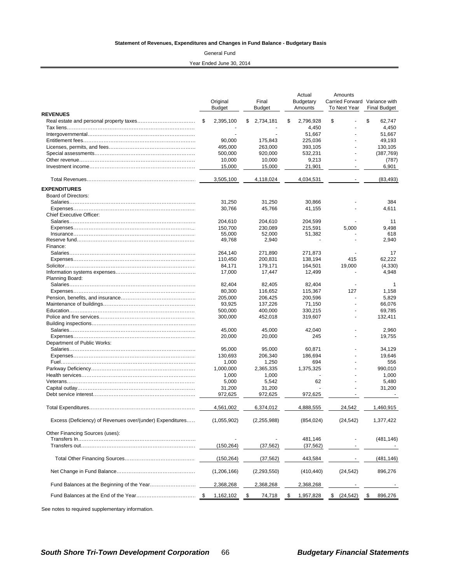General Fund

Year Ended June 30, 2014

|                                                           | Original        | Final           | Actual<br>Budgetary | Amounts<br>Carried Forward Variance with |                     |
|-----------------------------------------------------------|-----------------|-----------------|---------------------|------------------------------------------|---------------------|
|                                                           | <b>Budget</b>   | <b>Budget</b>   | Amounts             | To Next Year                             | <b>Final Budget</b> |
| <b>REVENUES</b>                                           |                 |                 |                     |                                          |                     |
|                                                           | 2,395,100<br>\$ | \$<br>2,734,181 | \$<br>2,796,928     | \$                                       | \$<br>62,747        |
|                                                           |                 |                 | 4,450               |                                          | 4,450               |
|                                                           |                 |                 | 51,667              |                                          | 51,667              |
|                                                           | 90.000          | 175,843         | 225,036             |                                          | 49,193              |
|                                                           | 495,000         | 263,000         | 393,105             |                                          | 130,105             |
|                                                           | 500,000         | 920,000         | 532,231             |                                          | (387,769)           |
|                                                           | 10,000          | 10,000          | 9,213               | ä,                                       |                     |
|                                                           |                 |                 |                     | $\ddot{\phantom{1}}$                     | (787)               |
|                                                           | 15,000          | 15,000          | 21,901              |                                          | 6,901               |
|                                                           | 3,505,100       | 4,118,024       | 4,034,531           |                                          | (83, 493)           |
| <b>EXPENDITURES</b>                                       |                 |                 |                     |                                          |                     |
| Board of Directors:                                       |                 |                 |                     |                                          |                     |
|                                                           | 31,250          | 31,250          | 30,866              |                                          | 384                 |
|                                                           | 30,766          | 45,766          | 41,155              |                                          | 4,611               |
| <b>Chief Executive Officer:</b>                           |                 |                 |                     |                                          |                     |
|                                                           | 204,610         | 204,610         | 204,599             |                                          | 11                  |
|                                                           | 150,700         | 230,089         | 215,591             | 5,000                                    | 9,498               |
|                                                           | 55,000          | 52,000          | 51,382              |                                          | 618                 |
|                                                           | 49,768          | 2,940           |                     |                                          | 2,940               |
| Finance:                                                  |                 |                 |                     |                                          |                     |
|                                                           | 264,140         | 271,890         | 271,873             |                                          | 17                  |
|                                                           | 110,450         | 200,831         | 138,194             | 415                                      | 62,222              |
|                                                           |                 |                 |                     |                                          |                     |
|                                                           | 84,171          | 179,171         | 164,501             | 19,000                                   | (4, 330)            |
| Planning Board:                                           | 17,000          | 17,447          | 12,499              |                                          | 4,948               |
|                                                           | 82,404          | 82.405          | 82,404              |                                          |                     |
|                                                           | 80,300          | 116,652         | 115.367             | 127                                      | 1,158               |
|                                                           | 205,000         | 206,425         | 200,596             | $\sim$                                   | 5,829               |
|                                                           |                 |                 |                     |                                          |                     |
|                                                           | 93,925          | 137,226         | 71,150              |                                          | 66,076              |
|                                                           | 500,000         | 400,000         | 330,215             |                                          | 69,785              |
|                                                           | 300,000         | 452,018         | 319,607             |                                          | 132,411             |
|                                                           |                 |                 |                     |                                          |                     |
|                                                           | 45,000          | 45,000          | 42,040              |                                          | 2,960               |
|                                                           | 20,000          | 20,000          | 245                 |                                          | 19,755              |
| Department of Public Works:                               |                 |                 |                     |                                          |                     |
|                                                           | 95,000          | 95,000          | 60,871              |                                          | 34,129              |
|                                                           | 130,693         | 206,340         | 186,694             | $\blacksquare$                           | 19,646              |
|                                                           | 1,000           | 1,250           | 694                 |                                          | 556                 |
|                                                           | 1,000,000       | 2,365,335       | 1,375,325           |                                          | 990,010             |
|                                                           | 1,000           | 1,000           |                     |                                          | 1,000               |
|                                                           | 5,000           | 5,542           | 62                  |                                          | 5,480               |
|                                                           | 31,200          | 31,200          |                     |                                          | 31,200              |
|                                                           | 972,625         | 972,625         | 972,625             |                                          |                     |
|                                                           | 4,561,002       | 6,374,012       | 4,888,555           | 24,542                                   | 1,460,915           |
| Excess (Deficiency) of Revenues over/(under) Expenditures | (1,055,902)     | (2, 255, 988)   | (854, 024)          | (24, 542)                                | 1,377,422           |
|                                                           |                 |                 |                     |                                          |                     |
| Other Financing Sources (uses):                           |                 |                 |                     |                                          |                     |
|                                                           |                 |                 | 481,146             |                                          | (481, 146)          |
|                                                           | (150, 264)      | (37, 562)       | (37, 562)           |                                          |                     |
|                                                           | (150, 264)      | (37, 562)       | 443,584             |                                          | (481, 146)          |
|                                                           |                 |                 |                     |                                          |                     |
|                                                           | (1,206,166)     | (2,293,550)     | (410, 440)          | (24, 542)                                | 896,276             |
|                                                           | 2,368,268       | 2,368,268       | 2,368,268           |                                          |                     |
|                                                           | 1,162,102       | \$<br>74,718    | 1,957,828           | (24, 542)                                | 896,276<br>\$       |
|                                                           |                 |                 |                     |                                          |                     |

See notes to required supplementary information.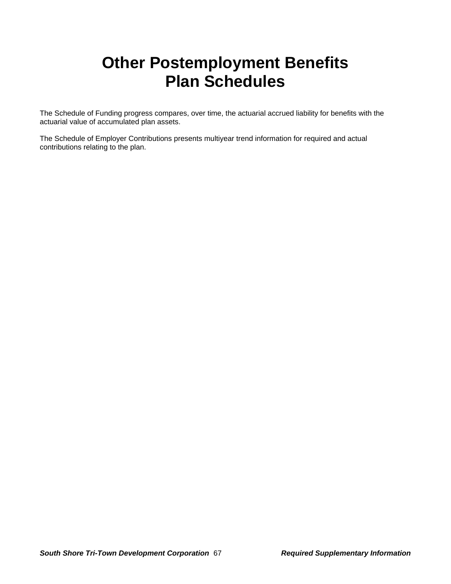# **Other Postemployment Benefits Plan Schedules**

The Schedule of Funding progress compares, over time, the actuarial accrued liability for benefits with the actuarial value of accumulated plan assets.

The Schedule of Employer Contributions presents multiyear trend information for required and actual contributions relating to the plan.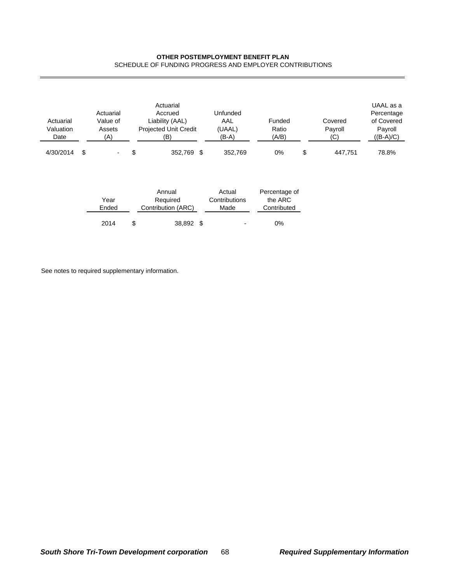#### SCHEDULE OF FUNDING PROGRESS AND EMPLOYER CONTRIBUTIONS **OTHER POSTEMPLOYMENT BENEFIT PLAN**

| Actuarial<br>Valuation<br>Date | Actuarial<br>Value of<br>Assets<br>(A) | Actuarial<br>Accrued<br>Liability (AAL)<br><b>Projected Unit Credit</b><br>(B) | Unfunded<br>AAL<br>(UAAL)<br>$(B-A)$ | Funded<br>Ratio<br>(A/B)                | Covered<br>Payroll<br>(C) | UAAL as a<br>Percentage<br>of Covered<br>Payroll<br>$((B-A)/C)$ |
|--------------------------------|----------------------------------------|--------------------------------------------------------------------------------|--------------------------------------|-----------------------------------------|---------------------------|-----------------------------------------------------------------|
| 4/30/2014                      | \$                                     | \$<br>352,769 \$                                                               | 352,769                              | $0\%$                                   | \$<br>447,751             | 78.8%                                                           |
|                                | Year<br>Ended                          | Annual<br>Required<br>Contribution (ARC)                                       | Actual<br>Contributions<br>Made      | Percentage of<br>the ARC<br>Contributed |                           |                                                                 |
|                                | 2014                                   | \$<br>38,892 \$                                                                |                                      | $0\%$                                   |                           |                                                                 |

See notes to required supplementary information.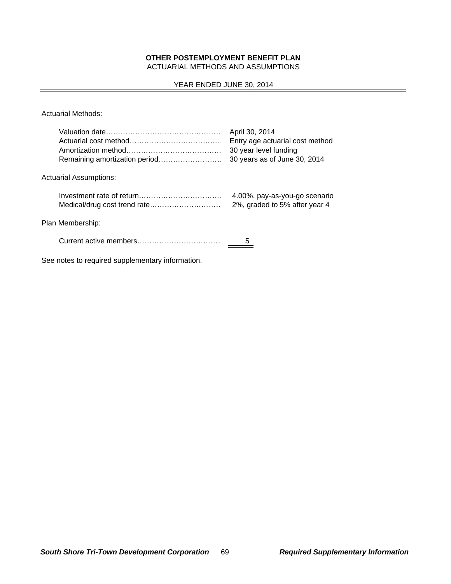## ACTUARIAL METHODS AND ASSUMPTIONS **OTHER POSTEMPLOYMENT BENEFIT PLAN**

# YEAR ENDED JUNE 30, 2014

Actuarial Methods:

|                        | April 30, 2014<br>Entry age actuarial cost method<br>30 year level funding<br>30 years as of June 30, 2014 |
|------------------------|------------------------------------------------------------------------------------------------------------|
| Actuarial Assumptions: |                                                                                                            |
|                        | 4.00%, pay-as-you-go scenario<br>2%, graded to 5% after year 4                                             |
| Plan Membership:       |                                                                                                            |
|                        |                                                                                                            |
|                        |                                                                                                            |

See notes to required supplementary information.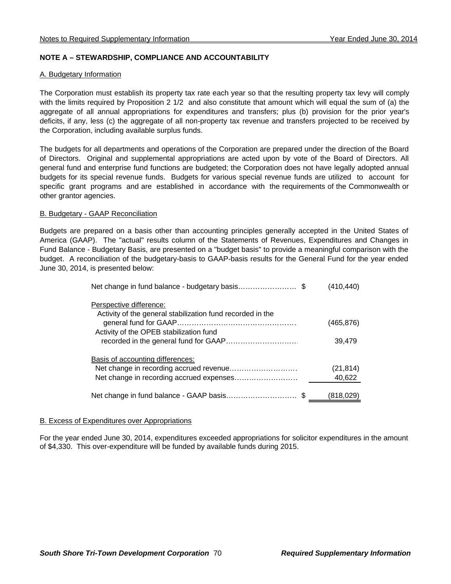## **NOTE A – STEWARDSHIP, COMPLIANCE AND ACCOUNTABILITY**

## A. Budgetary Information

The Corporation must establish its property tax rate each year so that the resulting property tax levy will comply with the limits required by Proposition 2 1/2 and also constitute that amount which will equal the sum of (a) the aggregate of all annual appropriations for expenditures and transfers; plus (b) provision for the prior year's deficits, if any, less (c) the aggregate of all non-property tax revenue and transfers projected to be received by the Corporation, including available surplus funds.

The budgets for all departments and operations of the Corporation are prepared under the direction of the Board of Directors. Original and supplemental appropriations are acted upon by vote of the Board of Directors. All general fund and enterprise fund functions are budgeted; the Corporation does not have legally adopted annual budgets for its special revenue funds. Budgets for various special revenue funds are utilized to account for specific grant programs and are established in accordance with the requirements of the Commonwealth or other grantor agencies.

## B. Budgetary - GAAP Reconciliation

Budgets are prepared on a basis other than accounting principles generally accepted in the United States of America (GAAP). The "actual" results column of the Statements of Revenues, Expenditures and Changes in Fund Balance - Budgetary Basis, are presented on a "budget basis" to provide a meaningful comparison with the budget. A reconciliation of the budgetary-basis to GAAP-basis results for the General Fund for the year ended June 30, 2014, is presented below:

| Net change in fund balance - budgetary basis\$             | (410,440) |
|------------------------------------------------------------|-----------|
| Perspective difference:                                    |           |
| Activity of the general stabilization fund recorded in the |           |
|                                                            | (465,876) |
| Activity of the OPEB stabilization fund                    |           |
|                                                            | 39,479    |
|                                                            |           |
| <b>Basis of accounting differences:</b>                    |           |
|                                                            | (21, 814) |
|                                                            | 40,622    |
|                                                            |           |
| Net change in fund balance - GAAP basis\$                  | (818,029) |
|                                                            |           |

## B. Excess of Expenditures over Appropriations

For the year ended June 30, 2014, expenditures exceeded appropriations for solicitor expenditures in the amount of \$4,330. This over-expenditure will be funded by available funds during 2015.